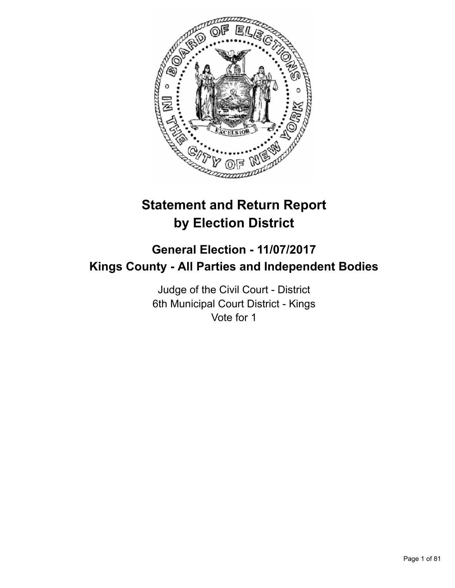

# **Statement and Return Report by Election District**

# **General Election - 11/07/2017 Kings County - All Parties and Independent Bodies**

Judge of the Civil Court - District 6th Municipal Court District - Kings Vote for 1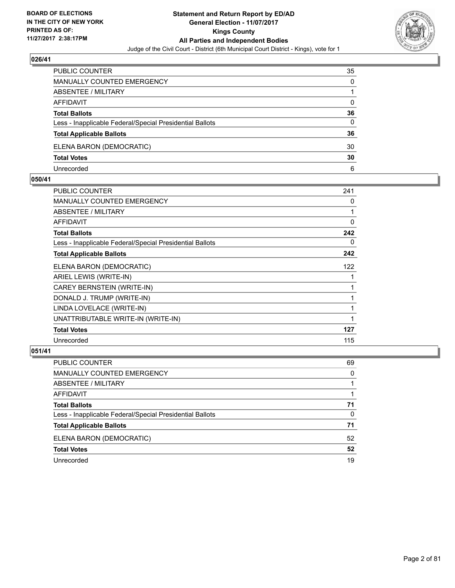

| PUBLIC COUNTER                                           | 35       |
|----------------------------------------------------------|----------|
| <b>MANUALLY COUNTED EMERGENCY</b>                        | 0        |
| <b>ABSENTEE / MILITARY</b>                               |          |
| AFFIDAVIT                                                | $\Omega$ |
| <b>Total Ballots</b>                                     | 36       |
| Less - Inapplicable Federal/Special Presidential Ballots | 0        |
| <b>Total Applicable Ballots</b>                          | 36       |
| ELENA BARON (DEMOCRATIC)                                 | 30       |
| <b>Total Votes</b>                                       | 30       |
| Unrecorded                                               | 6        |

#### **050/41**

| <b>PUBLIC COUNTER</b>                                    | 241 |
|----------------------------------------------------------|-----|
| <b>MANUALLY COUNTED EMERGENCY</b>                        | 0   |
| ABSENTEE / MILITARY                                      | 1   |
| AFFIDAVIT                                                | 0   |
| <b>Total Ballots</b>                                     | 242 |
| Less - Inapplicable Federal/Special Presidential Ballots | 0   |
| <b>Total Applicable Ballots</b>                          | 242 |
| ELENA BARON (DEMOCRATIC)                                 | 122 |
| ARIEL LEWIS (WRITE-IN)                                   |     |
| CAREY BERNSTEIN (WRITE-IN)                               | 1   |
| DONALD J. TRUMP (WRITE-IN)                               | 1   |
| LINDA LOVELACE (WRITE-IN)                                | 1   |
| UNATTRIBUTABLE WRITE-IN (WRITE-IN)                       | 1   |
| <b>Total Votes</b>                                       | 127 |
| Unrecorded                                               | 115 |
|                                                          |     |

| PUBLIC COUNTER                                           | 69 |
|----------------------------------------------------------|----|
| MANUALLY COUNTED EMERGENCY                               | 0  |
| ABSENTEE / MILITARY                                      |    |
| AFFIDAVIT                                                |    |
| <b>Total Ballots</b>                                     | 71 |
| Less - Inapplicable Federal/Special Presidential Ballots | 0  |
| <b>Total Applicable Ballots</b>                          | 71 |
| ELENA BARON (DEMOCRATIC)                                 | 52 |
| <b>Total Votes</b>                                       | 52 |
| Unrecorded                                               | 19 |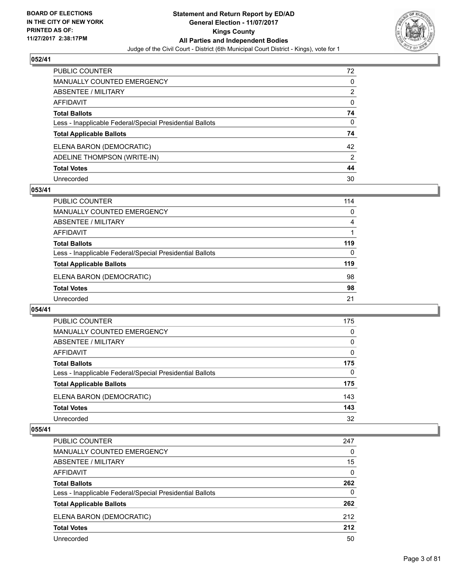

| <b>PUBLIC COUNTER</b>                                    | 72           |
|----------------------------------------------------------|--------------|
| <b>MANUALLY COUNTED EMERGENCY</b>                        | $\Omega$     |
| ABSENTEE / MILITARY                                      | 2            |
| <b>AFFIDAVIT</b>                                         | $\mathbf{0}$ |
| <b>Total Ballots</b>                                     | 74           |
| Less - Inapplicable Federal/Special Presidential Ballots | 0            |
| <b>Total Applicable Ballots</b>                          | 74           |
| ELENA BARON (DEMOCRATIC)                                 | 42           |
| ADELINE THOMPSON (WRITE-IN)                              | 2            |
| <b>Total Votes</b>                                       | 44           |
| Unrecorded                                               | 30           |

#### **053/41**

| 114 |
|-----|
| 0   |
| 4   |
|     |
| 119 |
| 0   |
| 119 |
| 98  |
| 98  |
| 21  |
|     |

# **054/41**

| PUBLIC COUNTER                                           | 175      |
|----------------------------------------------------------|----------|
| <b>MANUALLY COUNTED EMERGENCY</b>                        | 0        |
| <b>ABSENTEE / MILITARY</b>                               | $\Omega$ |
| AFFIDAVIT                                                | 0        |
| <b>Total Ballots</b>                                     | 175      |
| Less - Inapplicable Federal/Special Presidential Ballots | 0        |
| <b>Total Applicable Ballots</b>                          | 175      |
| ELENA BARON (DEMOCRATIC)                                 | 143      |
| <b>Total Votes</b>                                       | 143      |
| Unrecorded                                               | 32       |

| <b>PUBLIC COUNTER</b>                                    | 247 |
|----------------------------------------------------------|-----|
| <b>MANUALLY COUNTED EMERGENCY</b>                        | 0   |
| <b>ABSENTEE / MILITARY</b>                               | 15  |
| AFFIDAVIT                                                | 0   |
| <b>Total Ballots</b>                                     | 262 |
| Less - Inapplicable Federal/Special Presidential Ballots | 0   |
| <b>Total Applicable Ballots</b>                          | 262 |
| ELENA BARON (DEMOCRATIC)                                 | 212 |
| <b>Total Votes</b>                                       | 212 |
| Unrecorded                                               | 50  |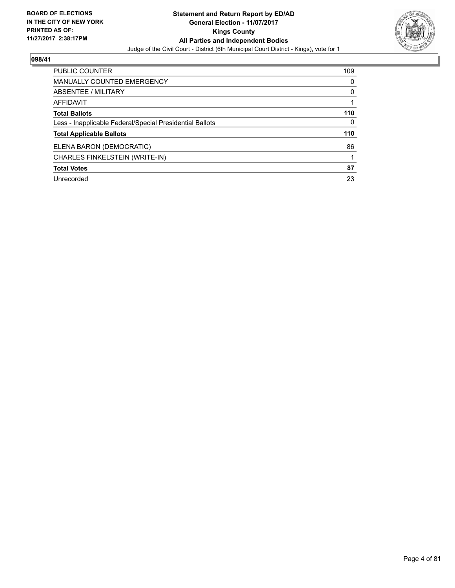

| <b>PUBLIC COUNTER</b>                                    | 109 |
|----------------------------------------------------------|-----|
| <b>MANUALLY COUNTED EMERGENCY</b>                        | 0   |
| ABSENTEE / MILITARY                                      | 0   |
| AFFIDAVIT                                                |     |
| <b>Total Ballots</b>                                     | 110 |
| Less - Inapplicable Federal/Special Presidential Ballots | 0   |
| <b>Total Applicable Ballots</b>                          | 110 |
| ELENA BARON (DEMOCRATIC)                                 | 86  |
| CHARLES FINKELSTEIN (WRITE-IN)                           |     |
| <b>Total Votes</b>                                       | 87  |
| Unrecorded                                               | 23  |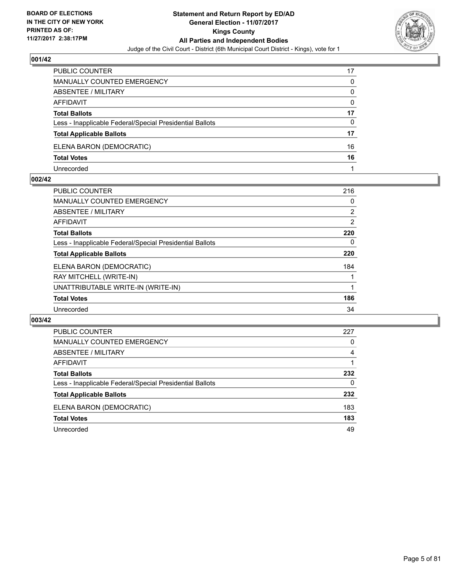

| <b>PUBLIC COUNTER</b>                                    | 17       |
|----------------------------------------------------------|----------|
| MANUALLY COUNTED EMERGENCY                               | 0        |
| <b>ABSENTEE / MILITARY</b>                               | 0        |
| AFFIDAVIT                                                | $\Omega$ |
| <b>Total Ballots</b>                                     | 17       |
| Less - Inapplicable Federal/Special Presidential Ballots | 0        |
| <b>Total Applicable Ballots</b>                          | 17       |
| ELENA BARON (DEMOCRATIC)                                 | 16       |
| <b>Total Votes</b>                                       | 16       |
| Unrecorded                                               |          |

#### **002/42**

| 216 |
|-----|
| 0   |
| 2   |
| 2   |
| 220 |
| 0   |
| 220 |
| 184 |
|     |
|     |
| 186 |
| 34  |
|     |

| PUBLIC COUNTER                                           | 227 |
|----------------------------------------------------------|-----|
| <b>MANUALLY COUNTED EMERGENCY</b>                        | 0   |
| ABSENTEE / MILITARY                                      | 4   |
| AFFIDAVIT                                                |     |
| <b>Total Ballots</b>                                     | 232 |
| Less - Inapplicable Federal/Special Presidential Ballots | 0   |
| <b>Total Applicable Ballots</b>                          | 232 |
| ELENA BARON (DEMOCRATIC)                                 | 183 |
| <b>Total Votes</b>                                       | 183 |
| Unrecorded                                               | 49  |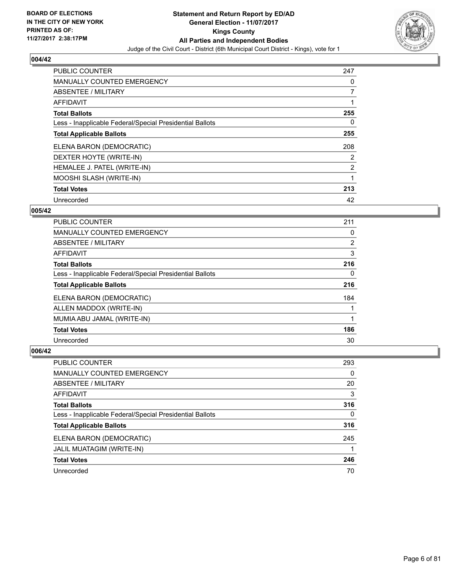

| <b>PUBLIC COUNTER</b>                                    | 247            |
|----------------------------------------------------------|----------------|
| <b>MANUALLY COUNTED EMERGENCY</b>                        | 0              |
| ABSENTEE / MILITARY                                      | $\overline{7}$ |
| <b>AFFIDAVIT</b>                                         |                |
| <b>Total Ballots</b>                                     | 255            |
| Less - Inapplicable Federal/Special Presidential Ballots | 0              |
| <b>Total Applicable Ballots</b>                          | 255            |
| ELENA BARON (DEMOCRATIC)                                 | 208            |
| DEXTER HOYTE (WRITE-IN)                                  | 2              |
| HEMALEE J. PATEL (WRITE-IN)                              | 2              |
| MOOSHI SLASH (WRITE-IN)                                  |                |
| <b>Total Votes</b>                                       | 213            |
| Unrecorded                                               | 42             |

## **005/42**

| <b>PUBLIC COUNTER</b>                                    | 211 |
|----------------------------------------------------------|-----|
| <b>MANUALLY COUNTED EMERGENCY</b>                        | 0   |
| ABSENTEE / MILITARY                                      | 2   |
| <b>AFFIDAVIT</b>                                         | 3   |
| <b>Total Ballots</b>                                     | 216 |
| Less - Inapplicable Federal/Special Presidential Ballots | 0   |
| <b>Total Applicable Ballots</b>                          | 216 |
| ELENA BARON (DEMOCRATIC)                                 | 184 |
| ALLEN MADDOX (WRITE-IN)                                  |     |
| MUMIA ABU JAMAL (WRITE-IN)                               |     |
| <b>Total Votes</b>                                       | 186 |
| Unrecorded                                               | 30  |

| PUBLIC COUNTER                                           | 293 |
|----------------------------------------------------------|-----|
| MANUALLY COUNTED EMERGENCY                               | 0   |
| ABSENTEE / MILITARY                                      | 20  |
| AFFIDAVIT                                                | 3   |
| <b>Total Ballots</b>                                     | 316 |
| Less - Inapplicable Federal/Special Presidential Ballots | 0   |
| <b>Total Applicable Ballots</b>                          | 316 |
| ELENA BARON (DEMOCRATIC)                                 | 245 |
| JALIL MUATAGIM (WRITE-IN)                                |     |
| <b>Total Votes</b>                                       | 246 |
| Unrecorded                                               | 70  |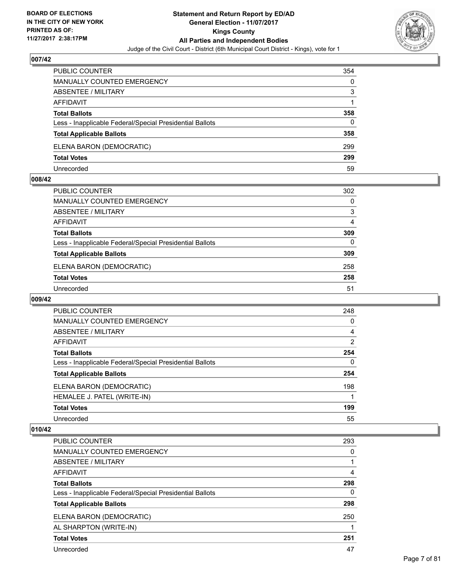

| <b>PUBLIC COUNTER</b>                                    | 354 |
|----------------------------------------------------------|-----|
| MANUALLY COUNTED EMERGENCY                               | 0   |
| <b>ABSENTEE / MILITARY</b>                               | 3   |
| AFFIDAVIT                                                |     |
| <b>Total Ballots</b>                                     | 358 |
| Less - Inapplicable Federal/Special Presidential Ballots | 0   |
| <b>Total Applicable Ballots</b>                          | 358 |
| ELENA BARON (DEMOCRATIC)                                 | 299 |
| <b>Total Votes</b>                                       | 299 |
| Unrecorded                                               | 59  |

#### **008/42**

| PUBLIC COUNTER                                           | 302          |
|----------------------------------------------------------|--------------|
| <b>MANUALLY COUNTED EMERGENCY</b>                        | $\Omega$     |
| <b>ABSENTEE / MILITARY</b>                               | 3            |
| <b>AFFIDAVIT</b>                                         | 4            |
| <b>Total Ballots</b>                                     | 309          |
| Less - Inapplicable Federal/Special Presidential Ballots | $\mathbf{0}$ |
| <b>Total Applicable Ballots</b>                          | 309          |
| ELENA BARON (DEMOCRATIC)                                 | 258          |
| <b>Total Votes</b>                                       | 258          |
| Unrecorded                                               | 51           |

## **009/42**

| <b>PUBLIC COUNTER</b>                                    | 248            |
|----------------------------------------------------------|----------------|
| <b>MANUALLY COUNTED EMERGENCY</b>                        | 0              |
| ABSENTEE / MILITARY                                      | $\overline{4}$ |
| AFFIDAVIT                                                | 2              |
| <b>Total Ballots</b>                                     | 254            |
| Less - Inapplicable Federal/Special Presidential Ballots | 0              |
| <b>Total Applicable Ballots</b>                          | 254            |
| ELENA BARON (DEMOCRATIC)                                 | 198            |
| HEMALEE J. PATEL (WRITE-IN)                              |                |
| <b>Total Votes</b>                                       | 199            |
| Unrecorded                                               | 55             |

| <b>PUBLIC COUNTER</b>                                    | 293 |
|----------------------------------------------------------|-----|
| MANUALLY COUNTED EMERGENCY                               | 0   |
| ABSENTEE / MILITARY                                      |     |
| AFFIDAVIT                                                | 4   |
| <b>Total Ballots</b>                                     | 298 |
| Less - Inapplicable Federal/Special Presidential Ballots | 0   |
| <b>Total Applicable Ballots</b>                          | 298 |
| ELENA BARON (DEMOCRATIC)                                 | 250 |
| AL SHARPTON (WRITE-IN)                                   |     |
| <b>Total Votes</b>                                       | 251 |
| Unrecorded                                               | 47  |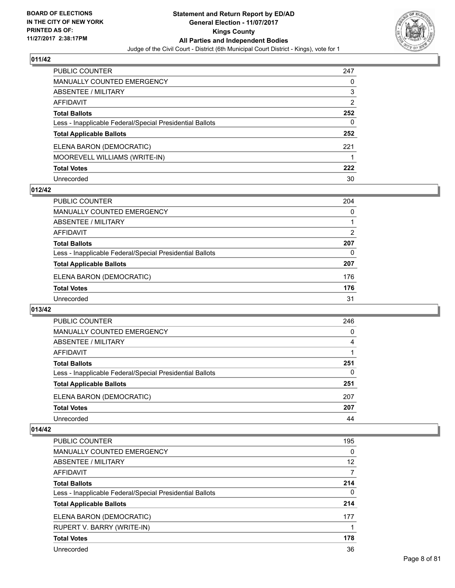

| <b>PUBLIC COUNTER</b>                                    | 247 |
|----------------------------------------------------------|-----|
| <b>MANUALLY COUNTED EMERGENCY</b>                        | 0   |
| <b>ABSENTEE / MILITARY</b>                               | 3   |
| <b>AFFIDAVIT</b>                                         | 2   |
| <b>Total Ballots</b>                                     | 252 |
| Less - Inapplicable Federal/Special Presidential Ballots | 0   |
| <b>Total Applicable Ballots</b>                          | 252 |
| ELENA BARON (DEMOCRATIC)                                 | 221 |
| MOOREVELL WILLIAMS (WRITE-IN)                            |     |
| <b>Total Votes</b>                                       | 222 |
| Unrecorded                                               | 30  |

#### **012/42**

| <b>PUBLIC COUNTER</b>                                    | 204 |
|----------------------------------------------------------|-----|
| MANUALLY COUNTED EMERGENCY                               | 0   |
| ABSENTEE / MILITARY                                      |     |
| AFFIDAVIT                                                | 2   |
| <b>Total Ballots</b>                                     | 207 |
| Less - Inapplicable Federal/Special Presidential Ballots | 0   |
| <b>Total Applicable Ballots</b>                          | 207 |
| ELENA BARON (DEMOCRATIC)                                 | 176 |
| <b>Total Votes</b>                                       | 176 |
| Unrecorded                                               | 31  |

#### **013/42**

| PUBLIC COUNTER                                           | 246 |
|----------------------------------------------------------|-----|
| <b>MANUALLY COUNTED EMERGENCY</b>                        | 0   |
| <b>ABSENTEE / MILITARY</b>                               | 4   |
| <b>AFFIDAVIT</b>                                         |     |
| <b>Total Ballots</b>                                     | 251 |
| Less - Inapplicable Federal/Special Presidential Ballots | 0   |
| <b>Total Applicable Ballots</b>                          | 251 |
| ELENA BARON (DEMOCRATIC)                                 | 207 |
| <b>Total Votes</b>                                       | 207 |
| Unrecorded                                               | 44  |

| <b>PUBLIC COUNTER</b>                                    | 195 |
|----------------------------------------------------------|-----|
| MANUALLY COUNTED EMERGENCY                               | 0   |
| ABSENTEE / MILITARY                                      | 12  |
| AFFIDAVIT                                                | 7   |
| <b>Total Ballots</b>                                     | 214 |
| Less - Inapplicable Federal/Special Presidential Ballots | 0   |
| <b>Total Applicable Ballots</b>                          | 214 |
| ELENA BARON (DEMOCRATIC)                                 | 177 |
| RUPERT V. BARRY (WRITE-IN)                               |     |
| <b>Total Votes</b>                                       | 178 |
| Unrecorded                                               | 36  |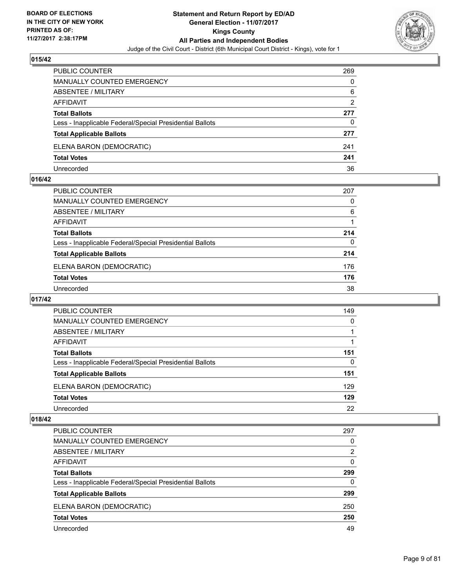

| <b>PUBLIC COUNTER</b>                                    | 269 |
|----------------------------------------------------------|-----|
| <b>MANUALLY COUNTED EMERGENCY</b>                        | 0   |
| ABSENTEE / MILITARY                                      | 6   |
| AFFIDAVIT                                                | 2   |
| <b>Total Ballots</b>                                     | 277 |
| Less - Inapplicable Federal/Special Presidential Ballots | 0   |
| <b>Total Applicable Ballots</b>                          | 277 |
| ELENA BARON (DEMOCRATIC)                                 | 241 |
| <b>Total Votes</b>                                       | 241 |
| Unrecorded                                               | 36  |

#### **016/42**

| PUBLIC COUNTER                                           | 207 |
|----------------------------------------------------------|-----|
| <b>MANUALLY COUNTED EMERGENCY</b>                        | 0   |
| ABSENTEE / MILITARY                                      | 6   |
| AFFIDAVIT                                                |     |
| <b>Total Ballots</b>                                     | 214 |
| Less - Inapplicable Federal/Special Presidential Ballots | 0   |
| <b>Total Applicable Ballots</b>                          | 214 |
| ELENA BARON (DEMOCRATIC)                                 | 176 |
| <b>Total Votes</b>                                       | 176 |
| Unrecorded                                               | 38  |
|                                                          |     |

# **017/42**

| <b>PUBLIC COUNTER</b>                                    | 149 |
|----------------------------------------------------------|-----|
| MANUALLY COUNTED EMERGENCY                               | 0   |
| ABSENTEE / MILITARY                                      |     |
| AFFIDAVIT                                                |     |
| <b>Total Ballots</b>                                     | 151 |
| Less - Inapplicable Federal/Special Presidential Ballots | 0   |
| <b>Total Applicable Ballots</b>                          | 151 |
| ELENA BARON (DEMOCRATIC)                                 | 129 |
| <b>Total Votes</b>                                       | 129 |
| Unrecorded                                               | 22  |

| <b>PUBLIC COUNTER</b>                                    | 297 |
|----------------------------------------------------------|-----|
| <b>MANUALLY COUNTED EMERGENCY</b>                        | 0   |
| <b>ABSENTEE / MILITARY</b>                               | 2   |
| AFFIDAVIT                                                | 0   |
| <b>Total Ballots</b>                                     | 299 |
| Less - Inapplicable Federal/Special Presidential Ballots | 0   |
| <b>Total Applicable Ballots</b>                          | 299 |
| ELENA BARON (DEMOCRATIC)                                 | 250 |
| <b>Total Votes</b>                                       | 250 |
| Unrecorded                                               | 49  |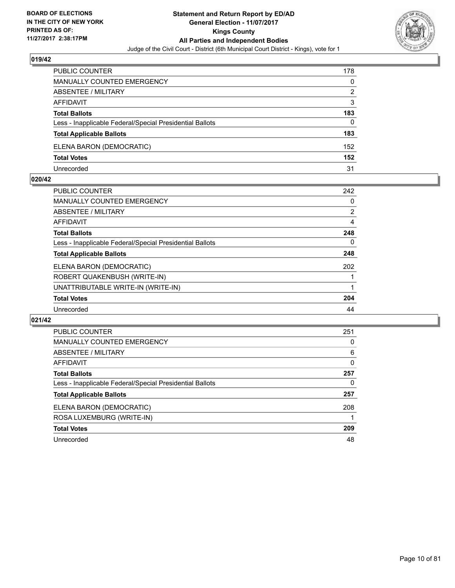

| PUBLIC COUNTER                                           | 178 |
|----------------------------------------------------------|-----|
| MANUALLY COUNTED EMERGENCY                               | 0   |
| ABSENTEE / MILITARY                                      | 2   |
| AFFIDAVIT                                                | 3   |
| <b>Total Ballots</b>                                     | 183 |
| Less - Inapplicable Federal/Special Presidential Ballots | 0   |
| <b>Total Applicable Ballots</b>                          | 183 |
| ELENA BARON (DEMOCRATIC)                                 | 152 |
| <b>Total Votes</b>                                       | 152 |
| Unrecorded                                               | 31  |

#### **020/42**

| 242            |
|----------------|
| 0              |
| $\overline{2}$ |
| 4              |
| 248            |
| 0              |
| 248            |
| 202            |
|                |
|                |
| 204            |
| 44             |
|                |

| <b>PUBLIC COUNTER</b>                                    | 251 |
|----------------------------------------------------------|-----|
| <b>MANUALLY COUNTED EMERGENCY</b>                        | 0   |
| ABSENTEE / MILITARY                                      | 6   |
| <b>AFFIDAVIT</b>                                         | 0   |
| <b>Total Ballots</b>                                     | 257 |
| Less - Inapplicable Federal/Special Presidential Ballots | 0   |
| <b>Total Applicable Ballots</b>                          | 257 |
| ELENA BARON (DEMOCRATIC)                                 | 208 |
| ROSA LUXEMBURG (WRITE-IN)                                |     |
| <b>Total Votes</b>                                       | 209 |
| Unrecorded                                               | 48  |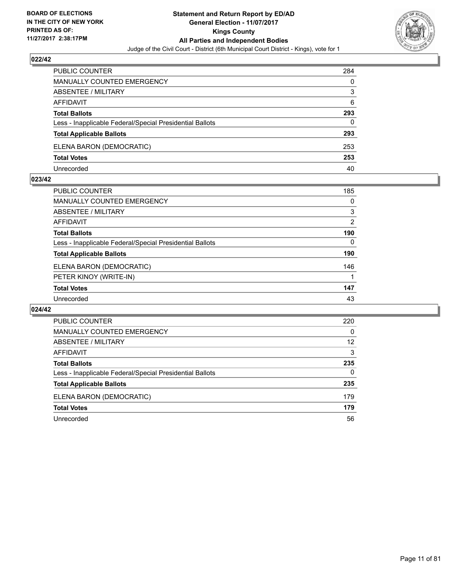

| PUBLIC COUNTER                                           | 284 |
|----------------------------------------------------------|-----|
| <b>MANUALLY COUNTED EMERGENCY</b>                        | 0   |
| ABSENTEE / MILITARY                                      | 3   |
| AFFIDAVIT                                                | 6   |
| <b>Total Ballots</b>                                     | 293 |
| Less - Inapplicable Federal/Special Presidential Ballots | 0   |
| <b>Total Applicable Ballots</b>                          | 293 |
| ELENA BARON (DEMOCRATIC)                                 | 253 |
| <b>Total Votes</b>                                       | 253 |
| Unrecorded                                               | 40  |

#### **023/42**

| <b>PUBLIC COUNTER</b>                                    | 185      |
|----------------------------------------------------------|----------|
| <b>MANUALLY COUNTED EMERGENCY</b>                        | 0        |
| <b>ABSENTEE / MILITARY</b>                               | 3        |
| AFFIDAVIT                                                | 2        |
| <b>Total Ballots</b>                                     | 190      |
| Less - Inapplicable Federal/Special Presidential Ballots | $\Omega$ |
| <b>Total Applicable Ballots</b>                          | 190      |
| ELENA BARON (DEMOCRATIC)                                 | 146      |
| PETER KINOY (WRITE-IN)                                   |          |
| <b>Total Votes</b>                                       | 147      |
| Unrecorded                                               | 43       |
|                                                          |          |

| PUBLIC COUNTER                                           | 220 |
|----------------------------------------------------------|-----|
| <b>MANUALLY COUNTED EMERGENCY</b>                        | 0   |
| ABSENTEE / MILITARY                                      | 12  |
| AFFIDAVIT                                                | 3   |
| <b>Total Ballots</b>                                     | 235 |
| Less - Inapplicable Federal/Special Presidential Ballots | 0   |
| <b>Total Applicable Ballots</b>                          | 235 |
| ELENA BARON (DEMOCRATIC)                                 | 179 |
| <b>Total Votes</b>                                       | 179 |
| Unrecorded                                               | 56  |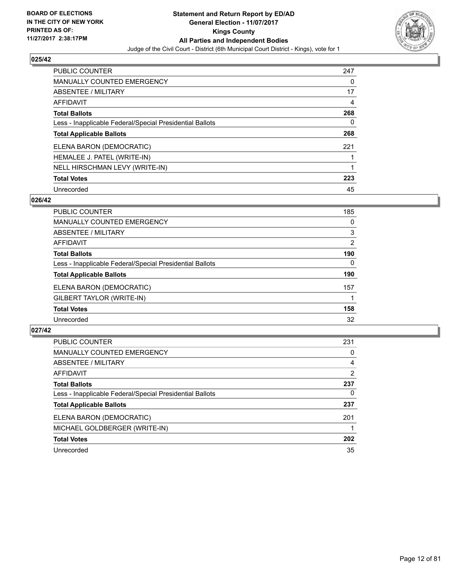

| <b>PUBLIC COUNTER</b>                                    | 247 |
|----------------------------------------------------------|-----|
| MANUALLY COUNTED EMERGENCY                               | 0   |
| ABSENTEE / MILITARY                                      | 17  |
| AFFIDAVIT                                                | 4   |
| <b>Total Ballots</b>                                     | 268 |
| Less - Inapplicable Federal/Special Presidential Ballots | 0   |
| <b>Total Applicable Ballots</b>                          | 268 |
| ELENA BARON (DEMOCRATIC)                                 | 221 |
| HEMALEE J. PATEL (WRITE-IN)                              |     |
| NELL HIRSCHMAN LEVY (WRITE-IN)                           |     |
| <b>Total Votes</b>                                       | 223 |
| Unrecorded                                               | 45  |

#### **026/42**

| <b>PUBLIC COUNTER</b>                                    | 185 |
|----------------------------------------------------------|-----|
| <b>MANUALLY COUNTED EMERGENCY</b>                        | 0   |
| ABSENTEE / MILITARY                                      | 3   |
| AFFIDAVIT                                                | 2   |
| <b>Total Ballots</b>                                     | 190 |
| Less - Inapplicable Federal/Special Presidential Ballots | 0   |
| <b>Total Applicable Ballots</b>                          | 190 |
| ELENA BARON (DEMOCRATIC)                                 | 157 |
| GILBERT TAYLOR (WRITE-IN)                                |     |
| <b>Total Votes</b>                                       | 158 |
| Unrecorded                                               | 32  |

| <b>PUBLIC COUNTER</b>                                    | 231 |
|----------------------------------------------------------|-----|
| MANUALLY COUNTED EMERGENCY                               | 0   |
| ABSENTEE / MILITARY                                      | 4   |
| AFFIDAVIT                                                | 2   |
| <b>Total Ballots</b>                                     | 237 |
| Less - Inapplicable Federal/Special Presidential Ballots | 0   |
| <b>Total Applicable Ballots</b>                          | 237 |
| ELENA BARON (DEMOCRATIC)                                 | 201 |
| MICHAEL GOLDBERGER (WRITE-IN)                            |     |
| <b>Total Votes</b>                                       | 202 |
| Unrecorded                                               | 35  |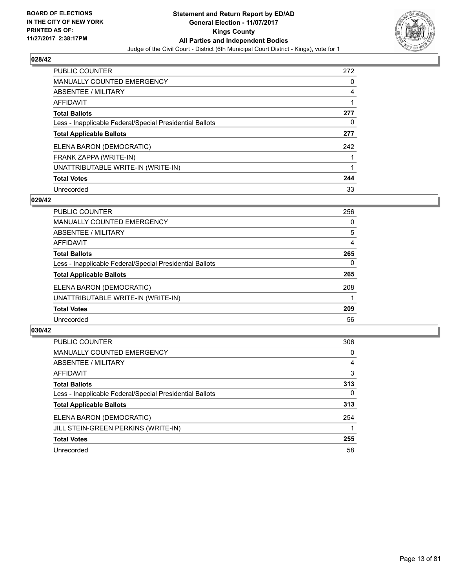

| <b>PUBLIC COUNTER</b>                                    | 272 |
|----------------------------------------------------------|-----|
| <b>MANUALLY COUNTED EMERGENCY</b>                        | 0   |
| ABSENTEE / MILITARY                                      | 4   |
| AFFIDAVIT                                                |     |
| <b>Total Ballots</b>                                     | 277 |
| Less - Inapplicable Federal/Special Presidential Ballots | 0   |
| <b>Total Applicable Ballots</b>                          | 277 |
| ELENA BARON (DEMOCRATIC)                                 | 242 |
| FRANK ZAPPA (WRITE-IN)                                   |     |
| UNATTRIBUTABLE WRITE-IN (WRITE-IN)                       |     |
| <b>Total Votes</b>                                       | 244 |
| Unrecorded                                               | 33  |

#### **029/42**

| PUBLIC COUNTER                                           | 256 |
|----------------------------------------------------------|-----|
| <b>MANUALLY COUNTED EMERGENCY</b>                        | 0   |
| ABSENTEE / MILITARY                                      | 5   |
| AFFIDAVIT                                                | 4   |
| <b>Total Ballots</b>                                     | 265 |
| Less - Inapplicable Federal/Special Presidential Ballots | 0   |
| <b>Total Applicable Ballots</b>                          | 265 |
| ELENA BARON (DEMOCRATIC)                                 | 208 |
| UNATTRIBUTABLE WRITE-IN (WRITE-IN)                       |     |
| <b>Total Votes</b>                                       | 209 |
| Unrecorded                                               | 56  |

| <b>PUBLIC COUNTER</b>                                    | 306      |
|----------------------------------------------------------|----------|
| MANUALLY COUNTED EMERGENCY                               | 0        |
| ABSENTEE / MILITARY                                      | 4        |
| AFFIDAVIT                                                | 3        |
| <b>Total Ballots</b>                                     | 313      |
| Less - Inapplicable Federal/Special Presidential Ballots | $\Omega$ |
| <b>Total Applicable Ballots</b>                          | 313      |
| ELENA BARON (DEMOCRATIC)                                 | 254      |
| JILL STEIN-GREEN PERKINS (WRITE-IN)                      |          |
| <b>Total Votes</b>                                       | 255      |
| Unrecorded                                               | 58       |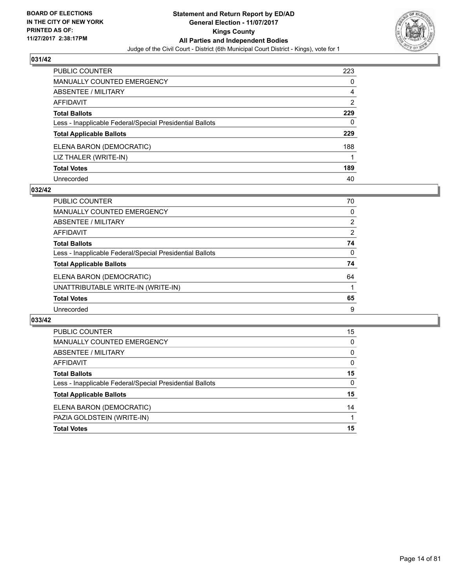

| <b>PUBLIC COUNTER</b>                                    | 223            |
|----------------------------------------------------------|----------------|
| <b>MANUALLY COUNTED EMERGENCY</b>                        | 0              |
| ABSENTEE / MILITARY                                      | 4              |
| AFFIDAVIT                                                | $\overline{2}$ |
| <b>Total Ballots</b>                                     | 229            |
| Less - Inapplicable Federal/Special Presidential Ballots | 0              |
| <b>Total Applicable Ballots</b>                          | 229            |
| ELENA BARON (DEMOCRATIC)                                 | 188            |
| LIZ THALER (WRITE-IN)                                    |                |
| <b>Total Votes</b>                                       | 189            |
| Unrecorded                                               | 40             |

#### **032/42**

| PUBLIC COUNTER                                           | 70             |
|----------------------------------------------------------|----------------|
| <b>MANUALLY COUNTED EMERGENCY</b>                        | 0              |
| ABSENTEE / MILITARY                                      | $\overline{2}$ |
| AFFIDAVIT                                                | 2              |
| <b>Total Ballots</b>                                     | 74             |
| Less - Inapplicable Federal/Special Presidential Ballots | 0              |
| <b>Total Applicable Ballots</b>                          | 74             |
| ELENA BARON (DEMOCRATIC)                                 | 64             |
| UNATTRIBUTABLE WRITE-IN (WRITE-IN)                       |                |
| <b>Total Votes</b>                                       | 65             |
| Unrecorded                                               | 9              |

| <b>PUBLIC COUNTER</b>                                    | 15 |
|----------------------------------------------------------|----|
| <b>MANUALLY COUNTED EMERGENCY</b>                        | 0  |
| <b>ABSENTEE / MILITARY</b>                               | 0  |
| AFFIDAVIT                                                | 0  |
| <b>Total Ballots</b>                                     | 15 |
| Less - Inapplicable Federal/Special Presidential Ballots | 0  |
| <b>Total Applicable Ballots</b>                          | 15 |
| ELENA BARON (DEMOCRATIC)                                 | 14 |
| PAZIA GOLDSTEIN (WRITE-IN)                               |    |
| <b>Total Votes</b>                                       | 15 |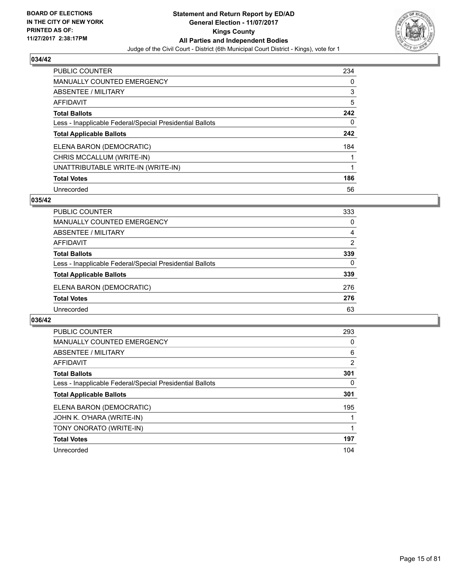

| <b>PUBLIC COUNTER</b>                                    | 234 |
|----------------------------------------------------------|-----|
| <b>MANUALLY COUNTED EMERGENCY</b>                        | 0   |
| ABSENTEE / MILITARY                                      | 3   |
| AFFIDAVIT                                                | 5   |
| <b>Total Ballots</b>                                     | 242 |
| Less - Inapplicable Federal/Special Presidential Ballots | 0   |
| <b>Total Applicable Ballots</b>                          | 242 |
| ELENA BARON (DEMOCRATIC)                                 | 184 |
| CHRIS MCCALLUM (WRITE-IN)                                |     |
| UNATTRIBUTABLE WRITE-IN (WRITE-IN)                       | 1   |
| <b>Total Votes</b>                                       | 186 |
| Unrecorded                                               | 56  |

#### **035/42**

| <b>PUBLIC COUNTER</b>                                    | 333 |
|----------------------------------------------------------|-----|
| MANUALLY COUNTED EMERGENCY                               | 0   |
| ABSENTEE / MILITARY                                      | 4   |
| AFFIDAVIT                                                | 2   |
| <b>Total Ballots</b>                                     | 339 |
| Less - Inapplicable Federal/Special Presidential Ballots | 0   |
| <b>Total Applicable Ballots</b>                          | 339 |
| ELENA BARON (DEMOCRATIC)                                 | 276 |
| <b>Total Votes</b>                                       | 276 |
| Unrecorded                                               | 63  |

| <b>PUBLIC COUNTER</b>                                    | 293 |
|----------------------------------------------------------|-----|
| <b>MANUALLY COUNTED EMERGENCY</b>                        | 0   |
| ABSENTEE / MILITARY                                      | 6   |
| AFFIDAVIT                                                | 2   |
| <b>Total Ballots</b>                                     | 301 |
| Less - Inapplicable Federal/Special Presidential Ballots | 0   |
| <b>Total Applicable Ballots</b>                          | 301 |
| ELENA BARON (DEMOCRATIC)                                 | 195 |
| JOHN K. O'HARA (WRITE-IN)                                |     |
| TONY ONORATO (WRITE-IN)                                  |     |
| <b>Total Votes</b>                                       | 197 |
| Unrecorded                                               | 104 |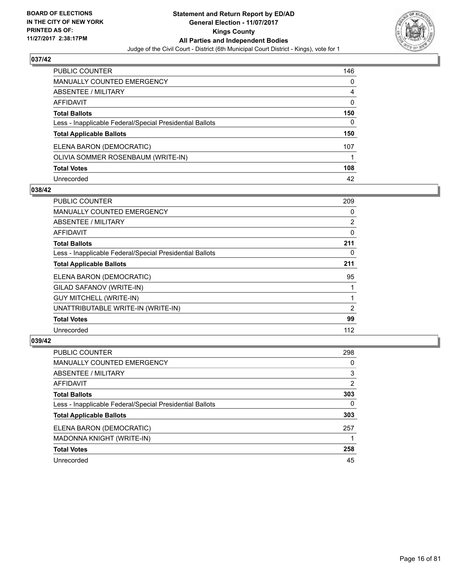

| PUBLIC COUNTER                                           | 146 |
|----------------------------------------------------------|-----|
| MANUALLY COUNTED EMERGENCY                               | 0   |
| ABSENTEE / MILITARY                                      | 4   |
| <b>AFFIDAVIT</b>                                         | 0   |
| <b>Total Ballots</b>                                     | 150 |
| Less - Inapplicable Federal/Special Presidential Ballots | 0   |
| <b>Total Applicable Ballots</b>                          | 150 |
| ELENA BARON (DEMOCRATIC)                                 | 107 |
| OLIVIA SOMMER ROSENBAUM (WRITE-IN)                       |     |
| <b>Total Votes</b>                                       | 108 |
| Unrecorded                                               | 42  |

#### **038/42**

| <b>PUBLIC COUNTER</b>                                    | 209 |
|----------------------------------------------------------|-----|
| <b>MANUALLY COUNTED EMERGENCY</b>                        | 0   |
| <b>ABSENTEE / MILITARY</b>                               | 2   |
| <b>AFFIDAVIT</b>                                         | 0   |
| <b>Total Ballots</b>                                     | 211 |
| Less - Inapplicable Federal/Special Presidential Ballots | 0   |
| <b>Total Applicable Ballots</b>                          | 211 |
| ELENA BARON (DEMOCRATIC)                                 | 95  |
| GILAD SAFANOV (WRITE-IN)                                 |     |
| <b>GUY MITCHELL (WRITE-IN)</b>                           |     |
| UNATTRIBUTABLE WRITE-IN (WRITE-IN)                       | 2   |
| <b>Total Votes</b>                                       | 99  |
| Unrecorded                                               | 112 |

| <b>PUBLIC COUNTER</b>                                    | 298 |
|----------------------------------------------------------|-----|
| MANUALLY COUNTED EMERGENCY                               | 0   |
| ABSENTEE / MILITARY                                      | 3   |
| AFFIDAVIT                                                | 2   |
| <b>Total Ballots</b>                                     | 303 |
| Less - Inapplicable Federal/Special Presidential Ballots | 0   |
| <b>Total Applicable Ballots</b>                          | 303 |
| ELENA BARON (DEMOCRATIC)                                 | 257 |
| MADONNA KNIGHT (WRITE-IN)                                |     |
| <b>Total Votes</b>                                       | 258 |
| Unrecorded                                               | 45  |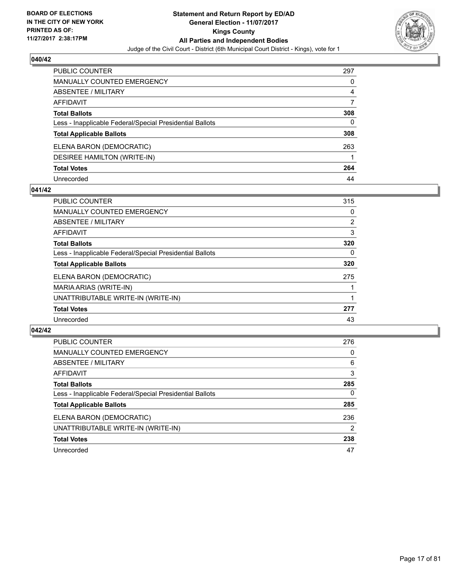

| <b>PUBLIC COUNTER</b>                                    | 297 |
|----------------------------------------------------------|-----|
| <b>MANUALLY COUNTED EMERGENCY</b>                        | 0   |
| ABSENTEE / MILITARY                                      | 4   |
| <b>AFFIDAVIT</b>                                         | 7   |
| <b>Total Ballots</b>                                     | 308 |
| Less - Inapplicable Federal/Special Presidential Ballots | 0   |
| <b>Total Applicable Ballots</b>                          | 308 |
| ELENA BARON (DEMOCRATIC)                                 | 263 |
| DESIREE HAMILTON (WRITE-IN)                              |     |
| <b>Total Votes</b>                                       | 264 |
| Unrecorded                                               | 44  |

#### **041/42**

| <b>PUBLIC COUNTER</b>                                    | 315            |
|----------------------------------------------------------|----------------|
| <b>MANUALLY COUNTED EMERGENCY</b>                        | 0              |
| ABSENTEE / MILITARY                                      | $\overline{2}$ |
| <b>AFFIDAVIT</b>                                         | 3              |
| <b>Total Ballots</b>                                     | 320            |
| Less - Inapplicable Federal/Special Presidential Ballots | 0              |
| <b>Total Applicable Ballots</b>                          | 320            |
| ELENA BARON (DEMOCRATIC)                                 | 275            |
| MARIA ARIAS (WRITE-IN)                                   |                |
| UNATTRIBUTABLE WRITE-IN (WRITE-IN)                       |                |
| <b>Total Votes</b>                                       | 277            |
| Unrecorded                                               | 43             |

| <b>PUBLIC COUNTER</b>                                    | 276 |
|----------------------------------------------------------|-----|
| <b>MANUALLY COUNTED EMERGENCY</b>                        | 0   |
| ABSENTEE / MILITARY                                      | 6   |
| AFFIDAVIT                                                | 3   |
| <b>Total Ballots</b>                                     | 285 |
| Less - Inapplicable Federal/Special Presidential Ballots | 0   |
| <b>Total Applicable Ballots</b>                          | 285 |
| ELENA BARON (DEMOCRATIC)                                 | 236 |
| UNATTRIBUTABLE WRITE-IN (WRITE-IN)                       | 2   |
| <b>Total Votes</b>                                       | 238 |
| Unrecorded                                               | 47  |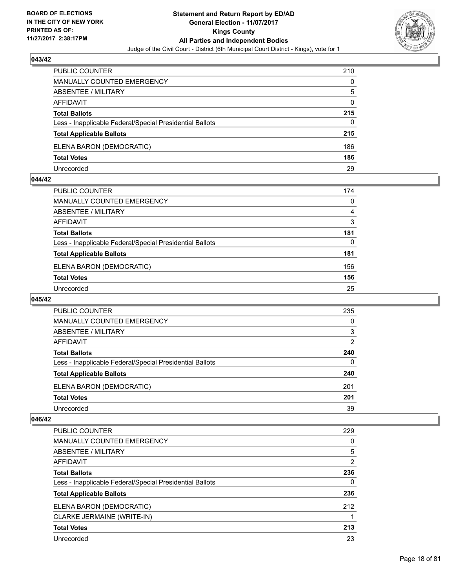

| <b>PUBLIC COUNTER</b>                                    | 210 |
|----------------------------------------------------------|-----|
| <b>MANUALLY COUNTED EMERGENCY</b>                        | 0   |
| ABSENTEE / MILITARY                                      | 5   |
| AFFIDAVIT                                                | 0   |
| <b>Total Ballots</b>                                     | 215 |
| Less - Inapplicable Federal/Special Presidential Ballots | 0   |
| <b>Total Applicable Ballots</b>                          | 215 |
| ELENA BARON (DEMOCRATIC)                                 | 186 |
| <b>Total Votes</b>                                       | 186 |
| Unrecorded                                               | 29  |

#### **044/42**

| PUBLIC COUNTER                                           | 174 |
|----------------------------------------------------------|-----|
| <b>MANUALLY COUNTED EMERGENCY</b>                        | 0   |
| ABSENTEE / MILITARY                                      | 4   |
| AFFIDAVIT                                                | 3   |
| <b>Total Ballots</b>                                     | 181 |
| Less - Inapplicable Federal/Special Presidential Ballots | 0   |
| <b>Total Applicable Ballots</b>                          | 181 |
| ELENA BARON (DEMOCRATIC)                                 | 156 |
| <b>Total Votes</b>                                       | 156 |
| Unrecorded                                               | 25  |
|                                                          |     |

# **045/42**

| <b>PUBLIC COUNTER</b>                                    | 235 |
|----------------------------------------------------------|-----|
| <b>MANUALLY COUNTED EMERGENCY</b>                        | 0   |
| ABSENTEE / MILITARY                                      | 3   |
| AFFIDAVIT                                                | 2   |
| <b>Total Ballots</b>                                     | 240 |
| Less - Inapplicable Federal/Special Presidential Ballots | 0   |
| <b>Total Applicable Ballots</b>                          | 240 |
| ELENA BARON (DEMOCRATIC)                                 | 201 |
| <b>Total Votes</b>                                       | 201 |
| Unrecorded                                               | 39  |

| <b>PUBLIC COUNTER</b>                                    | 229            |
|----------------------------------------------------------|----------------|
| <b>MANUALLY COUNTED EMERGENCY</b>                        | 0              |
| ABSENTEE / MILITARY                                      | 5              |
| AFFIDAVIT                                                | $\overline{2}$ |
| <b>Total Ballots</b>                                     | 236            |
| Less - Inapplicable Federal/Special Presidential Ballots | 0              |
| <b>Total Applicable Ballots</b>                          | 236            |
| ELENA BARON (DEMOCRATIC)                                 | 212            |
| CLARKE JERMAINE (WRITE-IN)                               |                |
| <b>Total Votes</b>                                       | 213            |
| Unrecorded                                               | 23             |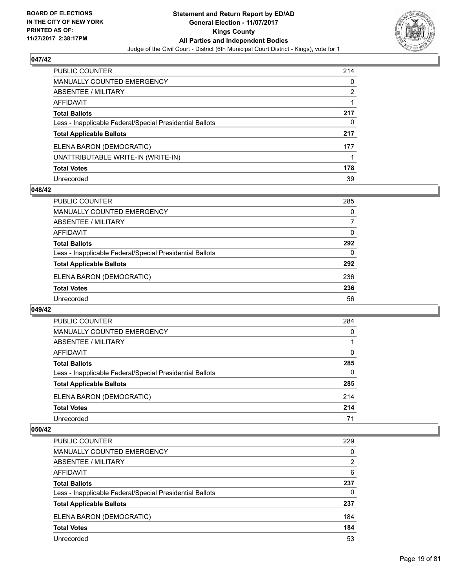

| <b>PUBLIC COUNTER</b>                                    | 214 |
|----------------------------------------------------------|-----|
| <b>MANUALLY COUNTED EMERGENCY</b>                        | 0   |
| ABSENTEE / MILITARY                                      | 2   |
| <b>AFFIDAVIT</b>                                         |     |
| <b>Total Ballots</b>                                     | 217 |
| Less - Inapplicable Federal/Special Presidential Ballots | 0   |
| <b>Total Applicable Ballots</b>                          | 217 |
| ELENA BARON (DEMOCRATIC)                                 | 177 |
| UNATTRIBUTABLE WRITE-IN (WRITE-IN)                       |     |
| <b>Total Votes</b>                                       | 178 |
| Unrecorded                                               | 39  |

#### **048/42**

| <b>PUBLIC COUNTER</b>                                    | 285 |
|----------------------------------------------------------|-----|
| MANUALLY COUNTED EMERGENCY                               | 0   |
| ABSENTEE / MILITARY                                      | 7   |
| AFFIDAVIT                                                | 0   |
| <b>Total Ballots</b>                                     | 292 |
| Less - Inapplicable Federal/Special Presidential Ballots | 0   |
| <b>Total Applicable Ballots</b>                          | 292 |
| ELENA BARON (DEMOCRATIC)                                 | 236 |
| <b>Total Votes</b>                                       | 236 |
| Unrecorded                                               | 56  |

#### **049/42**

| PUBLIC COUNTER                                           | 284 |
|----------------------------------------------------------|-----|
| <b>MANUALLY COUNTED EMERGENCY</b>                        | 0   |
| <b>ABSENTEE / MILITARY</b>                               |     |
| AFFIDAVIT                                                | 0   |
| <b>Total Ballots</b>                                     | 285 |
| Less - Inapplicable Federal/Special Presidential Ballots | 0   |
| <b>Total Applicable Ballots</b>                          | 285 |
| ELENA BARON (DEMOCRATIC)                                 | 214 |
| <b>Total Votes</b>                                       | 214 |
| Unrecorded                                               | 71  |

| PUBLIC COUNTER                                           | 229 |
|----------------------------------------------------------|-----|
| <b>MANUALLY COUNTED EMERGENCY</b>                        | 0   |
| <b>ABSENTEE / MILITARY</b>                               | 2   |
| AFFIDAVIT                                                | 6   |
| <b>Total Ballots</b>                                     | 237 |
| Less - Inapplicable Federal/Special Presidential Ballots | 0   |
| <b>Total Applicable Ballots</b>                          | 237 |
| ELENA BARON (DEMOCRATIC)                                 | 184 |
| <b>Total Votes</b>                                       | 184 |
| Unrecorded                                               | 53  |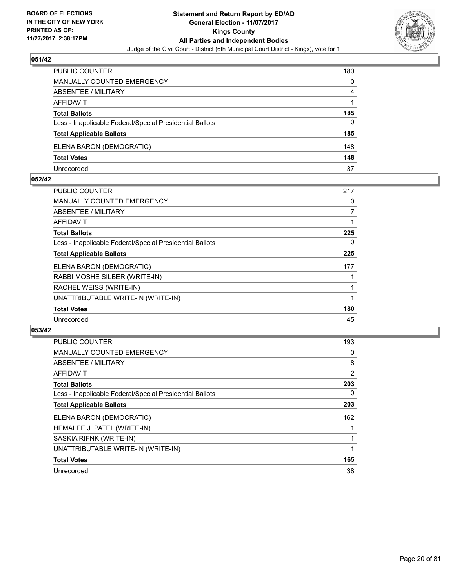

| PUBLIC COUNTER                                           | 180 |
|----------------------------------------------------------|-----|
| MANUALLY COUNTED EMERGENCY                               | 0   |
| ABSENTEE / MILITARY                                      | 4   |
| AFFIDAVIT                                                |     |
| <b>Total Ballots</b>                                     | 185 |
| Less - Inapplicable Federal/Special Presidential Ballots | 0   |
| <b>Total Applicable Ballots</b>                          | 185 |
| ELENA BARON (DEMOCRATIC)                                 | 148 |
| <b>Total Votes</b>                                       | 148 |
| Unrecorded                                               | 37  |

#### **052/42**

| PUBLIC COUNTER                                           | 217 |
|----------------------------------------------------------|-----|
| <b>MANUALLY COUNTED EMERGENCY</b>                        | 0   |
| ABSENTEE / MILITARY                                      | 7   |
| AFFIDAVIT                                                |     |
| <b>Total Ballots</b>                                     | 225 |
| Less - Inapplicable Federal/Special Presidential Ballots | 0   |
| <b>Total Applicable Ballots</b>                          | 225 |
| ELENA BARON (DEMOCRATIC)                                 | 177 |
| RABBI MOSHE SILBER (WRITE-IN)                            |     |
| RACHEL WEISS (WRITE-IN)                                  |     |
| UNATTRIBUTABLE WRITE-IN (WRITE-IN)                       |     |
| <b>Total Votes</b>                                       | 180 |
| Unrecorded                                               | 45  |
|                                                          |     |

| <b>PUBLIC COUNTER</b>                                    | 193 |
|----------------------------------------------------------|-----|
| <b>MANUALLY COUNTED EMERGENCY</b>                        | 0   |
| ABSENTEE / MILITARY                                      | 8   |
| <b>AFFIDAVIT</b>                                         | 2   |
| <b>Total Ballots</b>                                     | 203 |
| Less - Inapplicable Federal/Special Presidential Ballots | 0   |
| <b>Total Applicable Ballots</b>                          | 203 |
| ELENA BARON (DEMOCRATIC)                                 | 162 |
| HEMALEE J. PATEL (WRITE-IN)                              |     |
| SASKIA RIFNK (WRITE-IN)                                  |     |
| UNATTRIBUTABLE WRITE-IN (WRITE-IN)                       |     |
| <b>Total Votes</b>                                       | 165 |
| Unrecorded                                               | 38  |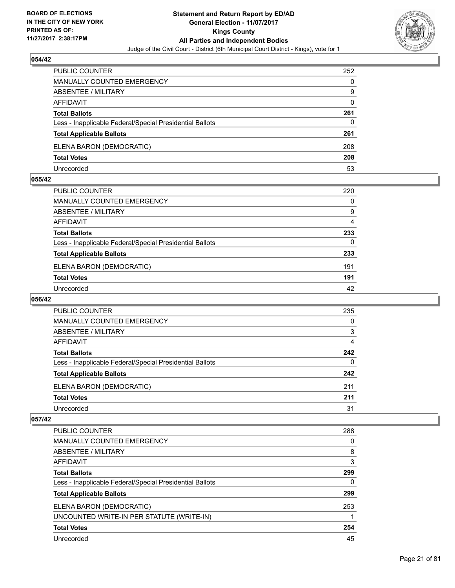

| <b>PUBLIC COUNTER</b>                                    | 252 |
|----------------------------------------------------------|-----|
| MANUALLY COUNTED EMERGENCY                               | 0   |
| ABSENTEE / MILITARY                                      | 9   |
| AFFIDAVIT                                                | 0   |
| <b>Total Ballots</b>                                     | 261 |
| Less - Inapplicable Federal/Special Presidential Ballots | 0   |
| <b>Total Applicable Ballots</b>                          | 261 |
| ELENA BARON (DEMOCRATIC)                                 | 208 |
| <b>Total Votes</b>                                       | 208 |
| Unrecorded                                               | 53  |

#### **055/42**

| PUBLIC COUNTER                                           | 220      |
|----------------------------------------------------------|----------|
| MANUALLY COUNTED EMERGENCY                               | $\Omega$ |
| <b>ABSENTEE / MILITARY</b>                               | 9        |
| <b>AFFIDAVIT</b>                                         | 4        |
| <b>Total Ballots</b>                                     | 233      |
| Less - Inapplicable Federal/Special Presidential Ballots | 0        |
| <b>Total Applicable Ballots</b>                          | 233      |
| ELENA BARON (DEMOCRATIC)                                 | 191      |
| <b>Total Votes</b>                                       | 191      |
| Unrecorded                                               | 42       |
|                                                          |          |

## **056/42**

| PUBLIC COUNTER                                           | 235 |
|----------------------------------------------------------|-----|
| <b>MANUALLY COUNTED EMERGENCY</b>                        | 0   |
| ABSENTEE / MILITARY                                      | 3   |
| AFFIDAVIT                                                | 4   |
| <b>Total Ballots</b>                                     | 242 |
| Less - Inapplicable Federal/Special Presidential Ballots | 0   |
| <b>Total Applicable Ballots</b>                          | 242 |
| ELENA BARON (DEMOCRATIC)                                 | 211 |
| <b>Total Votes</b>                                       | 211 |
| Unrecorded                                               | 31  |

| PUBLIC COUNTER                                           | 288 |
|----------------------------------------------------------|-----|
| <b>MANUALLY COUNTED EMERGENCY</b>                        | 0   |
| ABSENTEE / MILITARY                                      | 8   |
| AFFIDAVIT                                                | 3   |
| <b>Total Ballots</b>                                     | 299 |
| Less - Inapplicable Federal/Special Presidential Ballots | 0   |
| <b>Total Applicable Ballots</b>                          | 299 |
| ELENA BARON (DEMOCRATIC)                                 | 253 |
| UNCOUNTED WRITE-IN PER STATUTE (WRITE-IN)                |     |
| <b>Total Votes</b>                                       | 254 |
| Unrecorded                                               | 45  |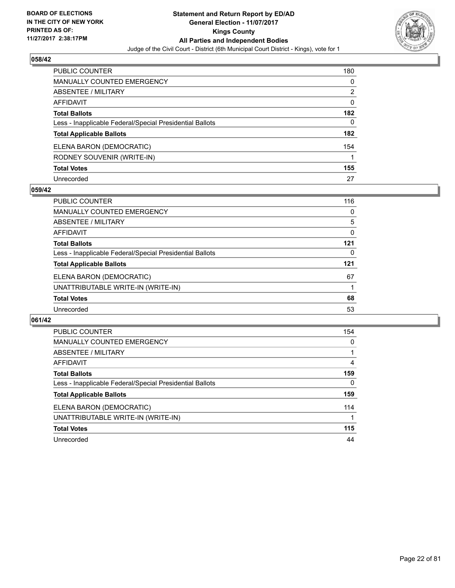

| <b>PUBLIC COUNTER</b>                                    | 180 |
|----------------------------------------------------------|-----|
| <b>MANUALLY COUNTED EMERGENCY</b>                        | 0   |
| ABSENTEE / MILITARY                                      | 2   |
| <b>AFFIDAVIT</b>                                         | 0   |
| <b>Total Ballots</b>                                     | 182 |
| Less - Inapplicable Federal/Special Presidential Ballots | 0   |
| <b>Total Applicable Ballots</b>                          | 182 |
| ELENA BARON (DEMOCRATIC)                                 | 154 |
| RODNEY SOUVENIR (WRITE-IN)                               |     |
| <b>Total Votes</b>                                       | 155 |
| Unrecorded                                               | 27  |

#### **059/42**

| <b>PUBLIC COUNTER</b>                                    | 116 |
|----------------------------------------------------------|-----|
| MANUALLY COUNTED EMERGENCY                               | 0   |
| ABSENTEE / MILITARY                                      | 5   |
| AFFIDAVIT                                                | 0   |
| <b>Total Ballots</b>                                     | 121 |
| Less - Inapplicable Federal/Special Presidential Ballots | 0   |
| <b>Total Applicable Ballots</b>                          | 121 |
| ELENA BARON (DEMOCRATIC)                                 | 67  |
| UNATTRIBUTABLE WRITE-IN (WRITE-IN)                       |     |
| <b>Total Votes</b>                                       | 68  |
| Unrecorded                                               | 53  |

| <b>PUBLIC COUNTER</b>                                    | 154 |
|----------------------------------------------------------|-----|
| <b>MANUALLY COUNTED EMERGENCY</b>                        | 0   |
| ABSENTEE / MILITARY                                      |     |
| <b>AFFIDAVIT</b>                                         | 4   |
| <b>Total Ballots</b>                                     | 159 |
| Less - Inapplicable Federal/Special Presidential Ballots | 0   |
| <b>Total Applicable Ballots</b>                          | 159 |
| ELENA BARON (DEMOCRATIC)                                 | 114 |
| UNATTRIBUTABLE WRITE-IN (WRITE-IN)                       |     |
| <b>Total Votes</b>                                       | 115 |
| Unrecorded                                               | 44  |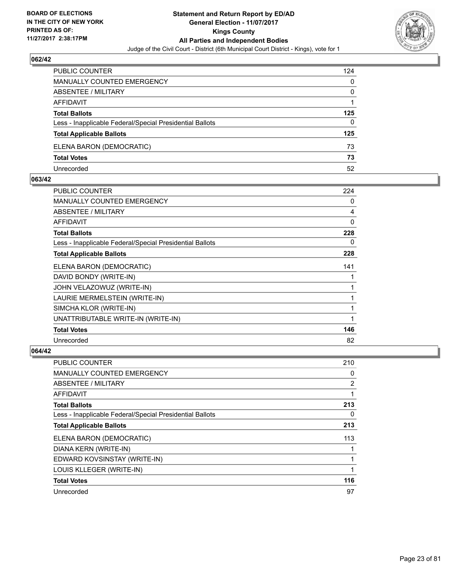

| <b>PUBLIC COUNTER</b>                                    | 124 |
|----------------------------------------------------------|-----|
| <b>MANUALLY COUNTED EMERGENCY</b>                        | 0   |
| ABSENTEE / MILITARY                                      | 0   |
| AFFIDAVIT                                                |     |
| <b>Total Ballots</b>                                     | 125 |
| Less - Inapplicable Federal/Special Presidential Ballots | 0   |
| <b>Total Applicable Ballots</b>                          | 125 |
| ELENA BARON (DEMOCRATIC)                                 | 73  |
| <b>Total Votes</b>                                       | 73  |
| Unrecorded                                               | 52  |

#### **063/42**

| PUBLIC COUNTER                                           | 224 |
|----------------------------------------------------------|-----|
| MANUALLY COUNTED EMERGENCY                               | 0   |
| ABSENTEE / MILITARY                                      | 4   |
| AFFIDAVIT                                                | 0   |
| <b>Total Ballots</b>                                     | 228 |
| Less - Inapplicable Federal/Special Presidential Ballots | 0   |
| <b>Total Applicable Ballots</b>                          | 228 |
| ELENA BARON (DEMOCRATIC)                                 | 141 |
| DAVID BONDY (WRITE-IN)                                   |     |
| JOHN VELAZOWUZ (WRITE-IN)                                | 1   |
| LAURIE MERMELSTEIN (WRITE-IN)                            | 1   |
| SIMCHA KLOR (WRITE-IN)                                   |     |
| UNATTRIBUTABLE WRITE-IN (WRITE-IN)                       | 1   |
| <b>Total Votes</b>                                       | 146 |
| Unrecorded                                               | 82  |
|                                                          |     |

| <b>PUBLIC COUNTER</b>                                    | 210 |
|----------------------------------------------------------|-----|
| <b>MANUALLY COUNTED EMERGENCY</b>                        | 0   |
| ABSENTEE / MILITARY                                      | 2   |
| AFFIDAVIT                                                |     |
| <b>Total Ballots</b>                                     | 213 |
| Less - Inapplicable Federal/Special Presidential Ballots | 0   |
| <b>Total Applicable Ballots</b>                          | 213 |
| ELENA BARON (DEMOCRATIC)                                 | 113 |
| DIANA KERN (WRITE-IN)                                    |     |
| EDWARD KOVSINSTAY (WRITE-IN)                             |     |
| LOUIS KLLEGER (WRITE-IN)                                 |     |
| <b>Total Votes</b>                                       | 116 |
| Unrecorded                                               | 97  |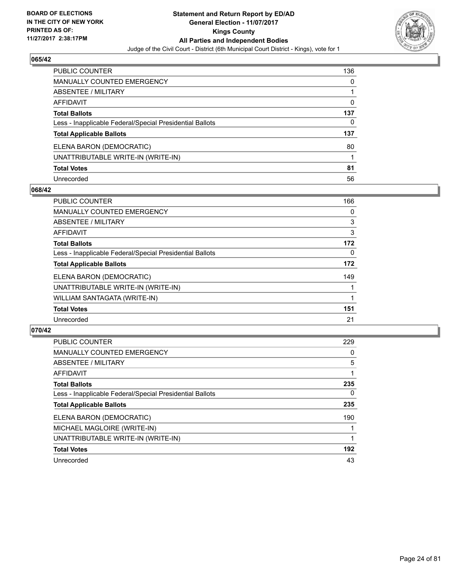

| <b>PUBLIC COUNTER</b>                                    | 136 |
|----------------------------------------------------------|-----|
| <b>MANUALLY COUNTED EMERGENCY</b>                        | 0   |
| <b>ABSENTEE / MILITARY</b>                               |     |
| <b>AFFIDAVIT</b>                                         | 0   |
| <b>Total Ballots</b>                                     | 137 |
| Less - Inapplicable Federal/Special Presidential Ballots | 0   |
| <b>Total Applicable Ballots</b>                          | 137 |
| ELENA BARON (DEMOCRATIC)                                 | 80  |
| UNATTRIBUTABLE WRITE-IN (WRITE-IN)                       |     |
| <b>Total Votes</b>                                       | 81  |
| Unrecorded                                               | 56  |

#### **068/42**

| <b>PUBLIC COUNTER</b>                                    | 166 |
|----------------------------------------------------------|-----|
| <b>MANUALLY COUNTED EMERGENCY</b>                        | 0   |
| <b>ABSENTEE / MILITARY</b>                               | 3   |
| <b>AFFIDAVIT</b>                                         | 3   |
| <b>Total Ballots</b>                                     | 172 |
| Less - Inapplicable Federal/Special Presidential Ballots | 0   |
| <b>Total Applicable Ballots</b>                          | 172 |
| ELENA BARON (DEMOCRATIC)                                 | 149 |
| UNATTRIBUTABLE WRITE-IN (WRITE-IN)                       |     |
| WILLIAM SANTAGATA (WRITE-IN)                             |     |
| <b>Total Votes</b>                                       | 151 |
| Unrecorded                                               | 21  |

| <b>PUBLIC COUNTER</b>                                    | 229 |
|----------------------------------------------------------|-----|
| <b>MANUALLY COUNTED EMERGENCY</b>                        | 0   |
| ABSENTEE / MILITARY                                      | 5   |
| AFFIDAVIT                                                |     |
| <b>Total Ballots</b>                                     | 235 |
| Less - Inapplicable Federal/Special Presidential Ballots | 0   |
| <b>Total Applicable Ballots</b>                          | 235 |
| ELENA BARON (DEMOCRATIC)                                 | 190 |
| MICHAEL MAGLOIRE (WRITE-IN)                              |     |
| UNATTRIBUTABLE WRITE-IN (WRITE-IN)                       |     |
| <b>Total Votes</b>                                       | 192 |
| Unrecorded                                               | 43  |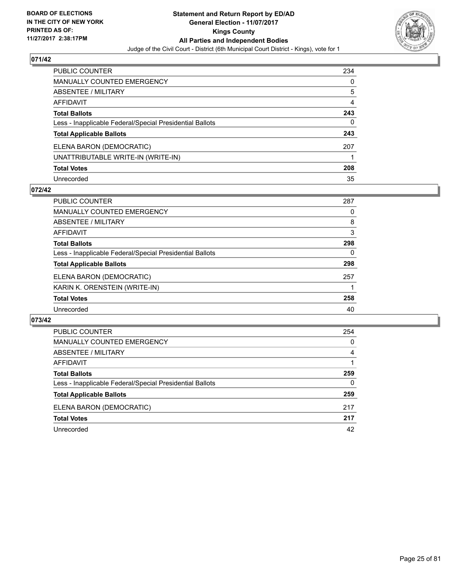

| PUBLIC COUNTER                                           | 234 |
|----------------------------------------------------------|-----|
| <b>MANUALLY COUNTED EMERGENCY</b>                        | 0   |
| <b>ABSENTEE / MILITARY</b>                               | 5   |
| <b>AFFIDAVIT</b>                                         | 4   |
| <b>Total Ballots</b>                                     | 243 |
| Less - Inapplicable Federal/Special Presidential Ballots | 0   |
| <b>Total Applicable Ballots</b>                          | 243 |
| ELENA BARON (DEMOCRATIC)                                 | 207 |
| UNATTRIBUTABLE WRITE-IN (WRITE-IN)                       |     |
| <b>Total Votes</b>                                       | 208 |
| Unrecorded                                               | 35  |

#### **072/42**

| <b>PUBLIC COUNTER</b>                                    | 287 |
|----------------------------------------------------------|-----|
| <b>MANUALLY COUNTED EMERGENCY</b>                        | 0   |
| ABSENTEE / MILITARY                                      | 8   |
| AFFIDAVIT                                                | 3   |
| <b>Total Ballots</b>                                     | 298 |
| Less - Inapplicable Federal/Special Presidential Ballots | 0   |
| <b>Total Applicable Ballots</b>                          | 298 |
| ELENA BARON (DEMOCRATIC)                                 | 257 |
| KARIN K. ORENSTEIN (WRITE-IN)                            |     |
| <b>Total Votes</b>                                       | 258 |
| Unrecorded                                               | 40  |

| <b>PUBLIC COUNTER</b>                                    | 254 |
|----------------------------------------------------------|-----|
| <b>MANUALLY COUNTED EMERGENCY</b>                        | 0   |
| <b>ABSENTEE / MILITARY</b>                               | 4   |
| AFFIDAVIT                                                |     |
| <b>Total Ballots</b>                                     | 259 |
| Less - Inapplicable Federal/Special Presidential Ballots | 0   |
| <b>Total Applicable Ballots</b>                          | 259 |
| ELENA BARON (DEMOCRATIC)                                 | 217 |
| <b>Total Votes</b>                                       | 217 |
| Unrecorded                                               | 42  |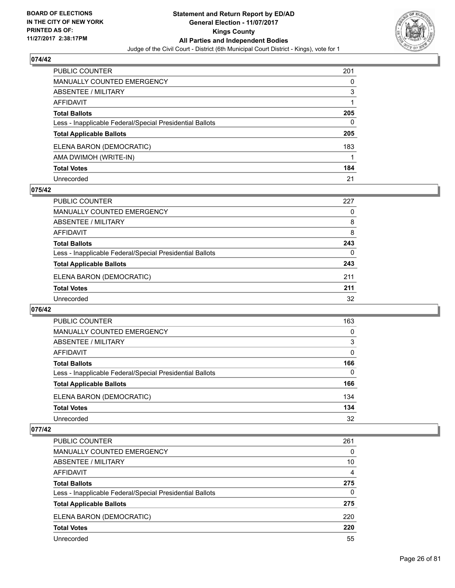

| PUBLIC COUNTER                                           | 201 |
|----------------------------------------------------------|-----|
| <b>MANUALLY COUNTED EMERGENCY</b>                        | 0   |
| ABSENTEE / MILITARY                                      | 3   |
| <b>AFFIDAVIT</b>                                         |     |
| <b>Total Ballots</b>                                     | 205 |
| Less - Inapplicable Federal/Special Presidential Ballots | 0   |
| <b>Total Applicable Ballots</b>                          | 205 |
| ELENA BARON (DEMOCRATIC)                                 | 183 |
| AMA DWIMOH (WRITE-IN)                                    |     |
| <b>Total Votes</b>                                       | 184 |
| Unrecorded                                               | 21  |

#### **075/42**

| <b>PUBLIC COUNTER</b>                                    | 227 |
|----------------------------------------------------------|-----|
| MANUALLY COUNTED EMERGENCY                               | 0   |
| ABSENTEE / MILITARY                                      | 8   |
| AFFIDAVIT                                                | 8   |
| <b>Total Ballots</b>                                     | 243 |
| Less - Inapplicable Federal/Special Presidential Ballots | 0   |
| <b>Total Applicable Ballots</b>                          | 243 |
| ELENA BARON (DEMOCRATIC)                                 | 211 |
| <b>Total Votes</b>                                       | 211 |
| Unrecorded                                               | 32  |

#### **076/42**

| PUBLIC COUNTER                                           | 163 |
|----------------------------------------------------------|-----|
| MANUALLY COUNTED EMERGENCY                               | 0   |
| <b>ABSENTEE / MILITARY</b>                               | 3   |
| AFFIDAVIT                                                | 0   |
| <b>Total Ballots</b>                                     | 166 |
| Less - Inapplicable Federal/Special Presidential Ballots | 0   |
| <b>Total Applicable Ballots</b>                          | 166 |
| ELENA BARON (DEMOCRATIC)                                 | 134 |
| <b>Total Votes</b>                                       | 134 |
| Unrecorded                                               | 32  |

| <b>PUBLIC COUNTER</b>                                    | 261 |
|----------------------------------------------------------|-----|
| MANUALLY COUNTED EMERGENCY                               | 0   |
| ABSENTEE / MILITARY                                      | 10  |
| AFFIDAVIT                                                | 4   |
| <b>Total Ballots</b>                                     | 275 |
| Less - Inapplicable Federal/Special Presidential Ballots | 0   |
| <b>Total Applicable Ballots</b>                          | 275 |
| ELENA BARON (DEMOCRATIC)                                 | 220 |
| <b>Total Votes</b>                                       | 220 |
| Unrecorded                                               | 55  |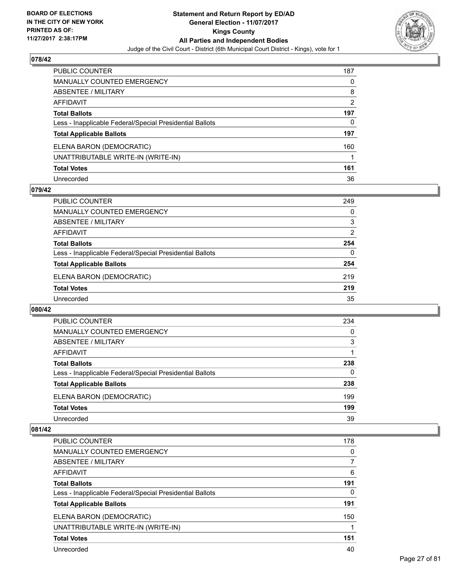

| PUBLIC COUNTER                                           | 187 |
|----------------------------------------------------------|-----|
| <b>MANUALLY COUNTED EMERGENCY</b>                        | 0   |
| ABSENTEE / MILITARY                                      | 8   |
| AFFIDAVIT                                                | 2   |
| <b>Total Ballots</b>                                     | 197 |
| Less - Inapplicable Federal/Special Presidential Ballots | 0   |
| <b>Total Applicable Ballots</b>                          | 197 |
| ELENA BARON (DEMOCRATIC)                                 | 160 |
| UNATTRIBUTABLE WRITE-IN (WRITE-IN)                       |     |
| <b>Total Votes</b>                                       | 161 |
| Unrecorded                                               | 36  |

#### **079/42**

| <b>PUBLIC COUNTER</b>                                    | 249            |
|----------------------------------------------------------|----------------|
| <b>MANUALLY COUNTED EMERGENCY</b>                        | 0              |
| ABSENTEE / MILITARY                                      | 3              |
| AFFIDAVIT                                                | $\overline{2}$ |
| <b>Total Ballots</b>                                     | 254            |
| Less - Inapplicable Federal/Special Presidential Ballots | 0              |
| <b>Total Applicable Ballots</b>                          | 254            |
| ELENA BARON (DEMOCRATIC)                                 | 219            |
| <b>Total Votes</b>                                       | 219            |
| Unrecorded                                               | 35             |

#### **080/42**

| <b>PUBLIC COUNTER</b>                                    | 234      |
|----------------------------------------------------------|----------|
| <b>MANUALLY COUNTED EMERGENCY</b>                        | $\Omega$ |
| ABSENTEE / MILITARY                                      | 3        |
| AFFIDAVIT                                                |          |
| <b>Total Ballots</b>                                     | 238      |
| Less - Inapplicable Federal/Special Presidential Ballots | 0        |
| <b>Total Applicable Ballots</b>                          | 238      |
| ELENA BARON (DEMOCRATIC)                                 | 199      |
| <b>Total Votes</b>                                       | 199      |
| Unrecorded                                               | 39       |

| <b>PUBLIC COUNTER</b>                                    | 178 |
|----------------------------------------------------------|-----|
| <b>MANUALLY COUNTED EMERGENCY</b>                        | 0   |
| ABSENTEE / MILITARY                                      | 7   |
| AFFIDAVIT                                                | 6   |
| <b>Total Ballots</b>                                     | 191 |
| Less - Inapplicable Federal/Special Presidential Ballots | 0   |
| <b>Total Applicable Ballots</b>                          | 191 |
| ELENA BARON (DEMOCRATIC)                                 | 150 |
| UNATTRIBUTABLE WRITE-IN (WRITE-IN)                       |     |
| <b>Total Votes</b>                                       | 151 |
| Unrecorded                                               | 40  |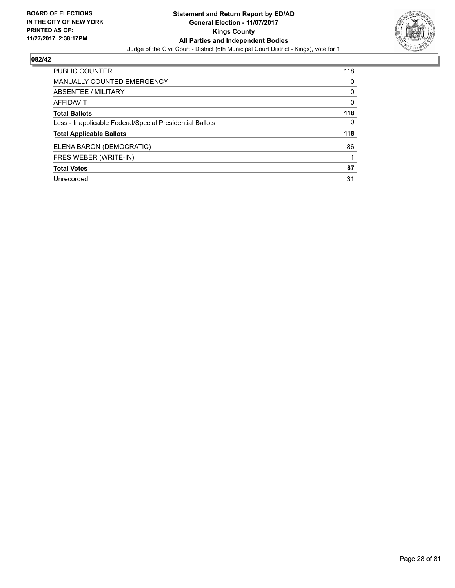

| <b>PUBLIC COUNTER</b>                                    | 118 |
|----------------------------------------------------------|-----|
| <b>MANUALLY COUNTED EMERGENCY</b>                        | 0   |
| ABSENTEE / MILITARY                                      | 0   |
| AFFIDAVIT                                                | 0   |
| <b>Total Ballots</b>                                     | 118 |
| Less - Inapplicable Federal/Special Presidential Ballots | 0   |
| <b>Total Applicable Ballots</b>                          | 118 |
| ELENA BARON (DEMOCRATIC)                                 | 86  |
| FRES WEBER (WRITE-IN)                                    |     |
| <b>Total Votes</b>                                       | 87  |
| Unrecorded                                               | 31  |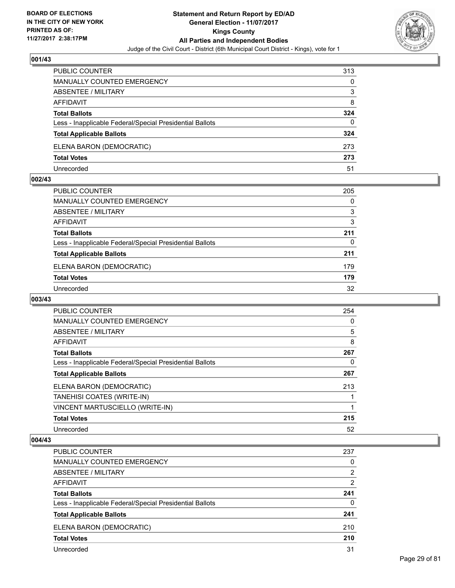

| PUBLIC COUNTER                                           | 313 |
|----------------------------------------------------------|-----|
| MANUALLY COUNTED EMERGENCY                               | 0   |
| <b>ABSENTEE / MILITARY</b>                               | 3   |
| AFFIDAVIT                                                | 8   |
| <b>Total Ballots</b>                                     | 324 |
| Less - Inapplicable Federal/Special Presidential Ballots | 0   |
| <b>Total Applicable Ballots</b>                          | 324 |
| ELENA BARON (DEMOCRATIC)                                 | 273 |
| <b>Total Votes</b>                                       | 273 |
| Unrecorded                                               | 51  |

#### **002/43**

| <b>PUBLIC COUNTER</b>                                    | 205 |
|----------------------------------------------------------|-----|
| MANUALLY COUNTED EMERGENCY                               | 0   |
| ABSENTEE / MILITARY                                      | 3   |
| AFFIDAVIT                                                | 3   |
| <b>Total Ballots</b>                                     | 211 |
| Less - Inapplicable Federal/Special Presidential Ballots | 0   |
| <b>Total Applicable Ballots</b>                          | 211 |
| ELENA BARON (DEMOCRATIC)                                 | 179 |
| <b>Total Votes</b>                                       | 179 |
| Unrecorded                                               | 32  |
|                                                          |     |

# **003/43**

| <b>PUBLIC COUNTER</b>                                    | 254 |
|----------------------------------------------------------|-----|
| <b>MANUALLY COUNTED EMERGENCY</b>                        | 0   |
| ABSENTEE / MILITARY                                      | 5   |
| <b>AFFIDAVIT</b>                                         | 8   |
| <b>Total Ballots</b>                                     | 267 |
| Less - Inapplicable Federal/Special Presidential Ballots | 0   |
| <b>Total Applicable Ballots</b>                          | 267 |
| ELENA BARON (DEMOCRATIC)                                 | 213 |
| TANEHISI COATES (WRITE-IN)                               |     |
| VINCENT MARTUSCIELLO (WRITE-IN)                          |     |
| <b>Total Votes</b>                                       | 215 |
| Unrecorded                                               | 52  |

| <b>PUBLIC COUNTER</b>                                    | 237            |
|----------------------------------------------------------|----------------|
| MANUALLY COUNTED EMERGENCY                               | 0              |
| ABSENTEE / MILITARY                                      | 2              |
| AFFIDAVIT                                                | $\overline{2}$ |
| <b>Total Ballots</b>                                     | 241            |
| Less - Inapplicable Federal/Special Presidential Ballots | 0              |
| <b>Total Applicable Ballots</b>                          | 241            |
| ELENA BARON (DEMOCRATIC)                                 | 210            |
| <b>Total Votes</b>                                       | 210            |
| Unrecorded                                               | 31             |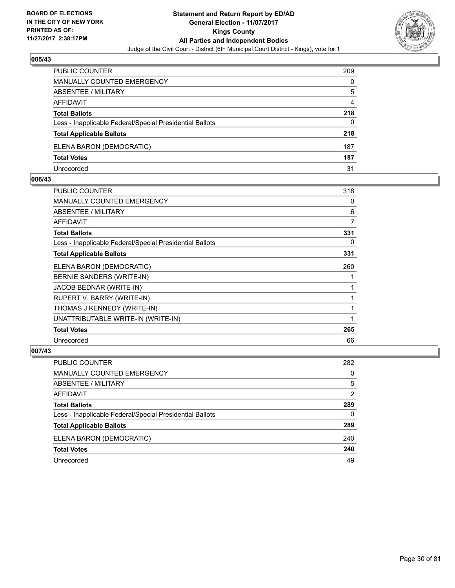

| <b>PUBLIC COUNTER</b>                                    | 209 |
|----------------------------------------------------------|-----|
| <b>MANUALLY COUNTED EMERGENCY</b>                        | 0   |
| ABSENTEE / MILITARY                                      | 5   |
| AFFIDAVIT                                                | 4   |
| <b>Total Ballots</b>                                     | 218 |
| Less - Inapplicable Federal/Special Presidential Ballots | 0   |
| <b>Total Applicable Ballots</b>                          | 218 |
| ELENA BARON (DEMOCRATIC)                                 | 187 |
| <b>Total Votes</b>                                       | 187 |
| Unrecorded                                               | 31  |

#### **006/43**

| <b>PUBLIC COUNTER</b>                                    | 318 |
|----------------------------------------------------------|-----|
| <b>MANUALLY COUNTED EMERGENCY</b>                        | 0   |
| ABSENTEE / MILITARY                                      | 6   |
| AFFIDAVIT                                                | 7   |
| <b>Total Ballots</b>                                     | 331 |
| Less - Inapplicable Federal/Special Presidential Ballots | 0   |
| <b>Total Applicable Ballots</b>                          | 331 |
| ELENA BARON (DEMOCRATIC)                                 | 260 |
| BERNIE SANDERS (WRITE-IN)                                |     |
| JACOB BEDNAR (WRITE-IN)                                  |     |
| RUPERT V. BARRY (WRITE-IN)                               |     |
| THOMAS J KENNEDY (WRITE-IN)                              |     |
| UNATTRIBUTABLE WRITE-IN (WRITE-IN)                       | 1   |
| <b>Total Votes</b>                                       | 265 |
| Unrecorded                                               | 66  |
|                                                          |     |

| PUBLIC COUNTER                                           | 282 |
|----------------------------------------------------------|-----|
| <b>MANUALLY COUNTED EMERGENCY</b>                        | 0   |
| ABSENTEE / MILITARY                                      | 5   |
| AFFIDAVIT                                                | 2   |
| <b>Total Ballots</b>                                     | 289 |
| Less - Inapplicable Federal/Special Presidential Ballots | 0   |
| <b>Total Applicable Ballots</b>                          | 289 |
| ELENA BARON (DEMOCRATIC)                                 | 240 |
| <b>Total Votes</b>                                       | 240 |
| Unrecorded                                               | 49  |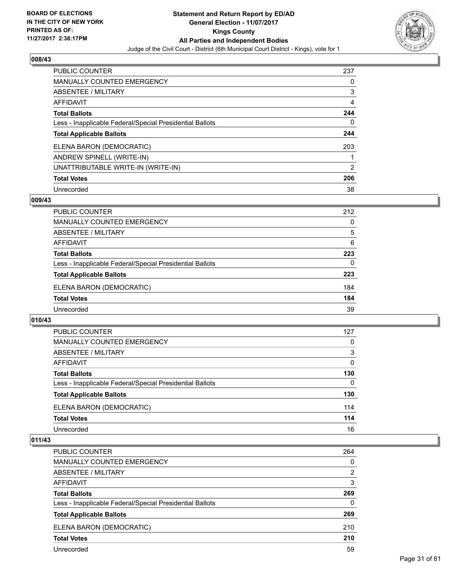

| <b>PUBLIC COUNTER</b>                                    | 237 |
|----------------------------------------------------------|-----|
| <b>MANUALLY COUNTED EMERGENCY</b>                        | 0   |
| ABSENTEE / MILITARY                                      | 3   |
| AFFIDAVIT                                                | 4   |
| <b>Total Ballots</b>                                     | 244 |
| Less - Inapplicable Federal/Special Presidential Ballots | 0   |
| <b>Total Applicable Ballots</b>                          | 244 |
| ELENA BARON (DEMOCRATIC)                                 | 203 |
| ANDREW SPINELL (WRITE-IN)                                |     |
| UNATTRIBUTABLE WRITE-IN (WRITE-IN)                       | 2   |
| <b>Total Votes</b>                                       | 206 |
| Unrecorded                                               | 38  |

#### **009/43**

| <b>PUBLIC COUNTER</b>                                    | 212 |
|----------------------------------------------------------|-----|
| MANUALLY COUNTED EMERGENCY                               | 0   |
| ABSENTEE / MILITARY                                      | 5   |
| AFFIDAVIT                                                | 6   |
| <b>Total Ballots</b>                                     | 223 |
| Less - Inapplicable Federal/Special Presidential Ballots | 0   |
| <b>Total Applicable Ballots</b>                          | 223 |
| ELENA BARON (DEMOCRATIC)                                 | 184 |
| <b>Total Votes</b>                                       | 184 |
| Unrecorded                                               | 39  |

#### **010/43**

| <b>PUBLIC COUNTER</b>                                    | 127      |
|----------------------------------------------------------|----------|
| MANUALLY COUNTED EMERGENCY                               | 0        |
| ABSENTEE / MILITARY                                      | 3        |
| AFFIDAVIT                                                | 0        |
| <b>Total Ballots</b>                                     | 130      |
| Less - Inapplicable Federal/Special Presidential Ballots | $\Omega$ |
| <b>Total Applicable Ballots</b>                          | 130      |
| ELENA BARON (DEMOCRATIC)                                 | 114      |
| <b>Total Votes</b>                                       | 114      |
| Unrecorded                                               | 16       |

| <b>PUBLIC COUNTER</b>                                    | 264 |
|----------------------------------------------------------|-----|
| <b>MANUALLY COUNTED EMERGENCY</b>                        | 0   |
| ABSENTEE / MILITARY                                      | 2   |
| AFFIDAVIT                                                | 3   |
| <b>Total Ballots</b>                                     | 269 |
| Less - Inapplicable Federal/Special Presidential Ballots | 0   |
| <b>Total Applicable Ballots</b>                          | 269 |
| ELENA BARON (DEMOCRATIC)                                 | 210 |
| <b>Total Votes</b>                                       | 210 |
| Unrecorded                                               | 59  |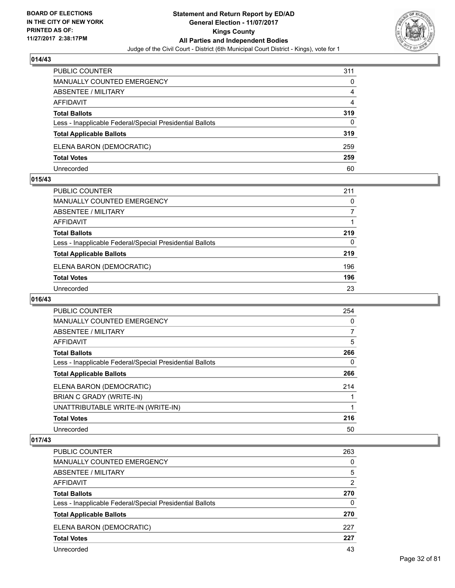

| <b>PUBLIC COUNTER</b>                                    | 311 |
|----------------------------------------------------------|-----|
| <b>MANUALLY COUNTED EMERGENCY</b>                        | 0   |
| ABSENTEE / MILITARY                                      | 4   |
| AFFIDAVIT                                                | 4   |
| <b>Total Ballots</b>                                     | 319 |
| Less - Inapplicable Federal/Special Presidential Ballots | 0   |
| <b>Total Applicable Ballots</b>                          | 319 |
| ELENA BARON (DEMOCRATIC)                                 | 259 |
| <b>Total Votes</b>                                       | 259 |
| Unrecorded                                               | 60  |

#### **015/43**

| PUBLIC COUNTER                                           | 211 |
|----------------------------------------------------------|-----|
| <b>MANUALLY COUNTED EMERGENCY</b>                        | 0   |
| ABSENTEE / MILITARY                                      |     |
| AFFIDAVIT                                                |     |
| <b>Total Ballots</b>                                     | 219 |
| Less - Inapplicable Federal/Special Presidential Ballots | 0   |
| <b>Total Applicable Ballots</b>                          | 219 |
| ELENA BARON (DEMOCRATIC)                                 | 196 |
| <b>Total Votes</b>                                       | 196 |
| Unrecorded                                               | 23  |

# **016/43**

| <b>PUBLIC COUNTER</b>                                    | 254 |
|----------------------------------------------------------|-----|
| <b>MANUALLY COUNTED EMERGENCY</b>                        | 0   |
| ABSENTEE / MILITARY                                      | 7   |
| <b>AFFIDAVIT</b>                                         | 5   |
| <b>Total Ballots</b>                                     | 266 |
| Less - Inapplicable Federal/Special Presidential Ballots | 0   |
| <b>Total Applicable Ballots</b>                          | 266 |
| ELENA BARON (DEMOCRATIC)                                 | 214 |
| BRIAN C GRADY (WRITE-IN)                                 |     |
| UNATTRIBUTABLE WRITE-IN (WRITE-IN)                       |     |
| <b>Total Votes</b>                                       | 216 |
| Unrecorded                                               | 50  |

| <b>PUBLIC COUNTER</b>                                    | 263            |
|----------------------------------------------------------|----------------|
| MANUALLY COUNTED EMERGENCY                               | 0              |
| ABSENTEE / MILITARY                                      | 5              |
| AFFIDAVIT                                                | $\overline{2}$ |
| <b>Total Ballots</b>                                     | 270            |
| Less - Inapplicable Federal/Special Presidential Ballots | 0              |
| <b>Total Applicable Ballots</b>                          | 270            |
| ELENA BARON (DEMOCRATIC)                                 | 227            |
| <b>Total Votes</b>                                       | 227            |
| Unrecorded                                               | 43             |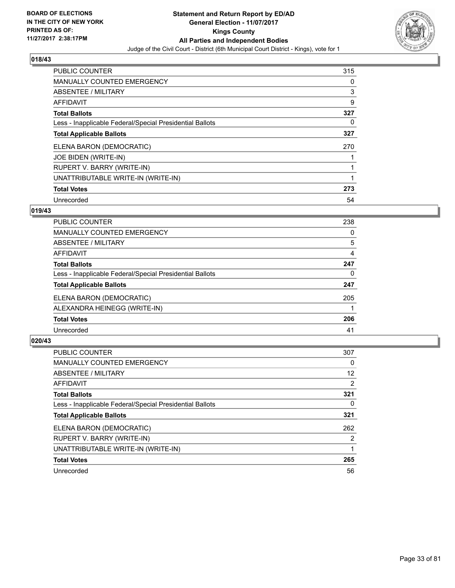

| PUBLIC COUNTER                                           | 315 |
|----------------------------------------------------------|-----|
| <b>MANUALLY COUNTED EMERGENCY</b>                        | 0   |
| <b>ABSENTEE / MILITARY</b>                               | 3   |
| <b>AFFIDAVIT</b>                                         | 9   |
| <b>Total Ballots</b>                                     | 327 |
| Less - Inapplicable Federal/Special Presidential Ballots | 0   |
| <b>Total Applicable Ballots</b>                          | 327 |
| ELENA BARON (DEMOCRATIC)                                 | 270 |
| JOE BIDEN (WRITE-IN)                                     |     |
| RUPERT V. BARRY (WRITE-IN)                               | 1   |
| UNATTRIBUTABLE WRITE-IN (WRITE-IN)                       |     |
| <b>Total Votes</b>                                       | 273 |
| Unrecorded                                               | 54  |

#### **019/43**

| <b>PUBLIC COUNTER</b>                                    | 238 |
|----------------------------------------------------------|-----|
| <b>MANUALLY COUNTED EMERGENCY</b>                        | 0   |
| ABSENTEE / MILITARY                                      | 5   |
| AFFIDAVIT                                                | 4   |
| <b>Total Ballots</b>                                     | 247 |
| Less - Inapplicable Federal/Special Presidential Ballots | 0   |
| <b>Total Applicable Ballots</b>                          | 247 |
| ELENA BARON (DEMOCRATIC)                                 | 205 |
| ALEXANDRA HEINEGG (WRITE-IN)                             |     |
| <b>Total Votes</b>                                       | 206 |
| Unrecorded                                               | 41  |

| <b>PUBLIC COUNTER</b>                                    | 307 |
|----------------------------------------------------------|-----|
| <b>MANUALLY COUNTED EMERGENCY</b>                        | 0   |
| ABSENTEE / MILITARY                                      | 12  |
| AFFIDAVIT                                                | 2   |
| <b>Total Ballots</b>                                     | 321 |
| Less - Inapplicable Federal/Special Presidential Ballots | 0   |
| <b>Total Applicable Ballots</b>                          | 321 |
| ELENA BARON (DEMOCRATIC)                                 | 262 |
| RUPERT V. BARRY (WRITE-IN)                               | 2   |
| UNATTRIBUTABLE WRITE-IN (WRITE-IN)                       |     |
| <b>Total Votes</b>                                       | 265 |
| Unrecorded                                               | 56  |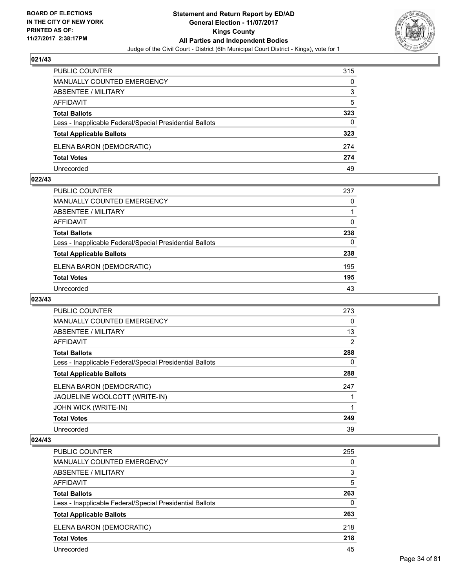

| PUBLIC COUNTER                                           | 315 |
|----------------------------------------------------------|-----|
| <b>MANUALLY COUNTED EMERGENCY</b>                        | 0   |
| <b>ABSENTEE / MILITARY</b>                               | 3   |
| AFFIDAVIT                                                | 5   |
| <b>Total Ballots</b>                                     | 323 |
| Less - Inapplicable Federal/Special Presidential Ballots | 0   |
| <b>Total Applicable Ballots</b>                          | 323 |
| ELENA BARON (DEMOCRATIC)                                 | 274 |
| <b>Total Votes</b>                                       | 274 |
| Unrecorded                                               | 49  |

#### **022/43**

| PUBLIC COUNTER                                           | 237 |
|----------------------------------------------------------|-----|
| <b>MANUALLY COUNTED EMERGENCY</b>                        | 0   |
| <b>ABSENTEE / MILITARY</b>                               |     |
| <b>AFFIDAVIT</b>                                         | 0   |
| <b>Total Ballots</b>                                     | 238 |
| Less - Inapplicable Federal/Special Presidential Ballots | 0   |
| <b>Total Applicable Ballots</b>                          | 238 |
| ELENA BARON (DEMOCRATIC)                                 | 195 |
| <b>Total Votes</b>                                       | 195 |
| Unrecorded                                               | 43  |

# **023/43**

| <b>PUBLIC COUNTER</b>                                    | 273 |
|----------------------------------------------------------|-----|
| <b>MANUALLY COUNTED EMERGENCY</b>                        | 0   |
| ABSENTEE / MILITARY                                      | 13  |
| <b>AFFIDAVIT</b>                                         | 2   |
| <b>Total Ballots</b>                                     | 288 |
| Less - Inapplicable Federal/Special Presidential Ballots | 0   |
| <b>Total Applicable Ballots</b>                          | 288 |
| ELENA BARON (DEMOCRATIC)                                 | 247 |
| JAQUELINE WOOLCOTT (WRITE-IN)                            |     |
| <b>JOHN WICK (WRITE-IN)</b>                              |     |
| <b>Total Votes</b>                                       | 249 |
| Unrecorded                                               | 39  |

| <b>PUBLIC COUNTER</b>                                    | 255 |
|----------------------------------------------------------|-----|
| MANUALLY COUNTED EMERGENCY                               | 0   |
| ABSENTEE / MILITARY                                      | 3   |
| AFFIDAVIT                                                | 5   |
| <b>Total Ballots</b>                                     | 263 |
| Less - Inapplicable Federal/Special Presidential Ballots | 0   |
| <b>Total Applicable Ballots</b>                          | 263 |
| ELENA BARON (DEMOCRATIC)                                 | 218 |
| <b>Total Votes</b>                                       | 218 |
| Unrecorded                                               | 45  |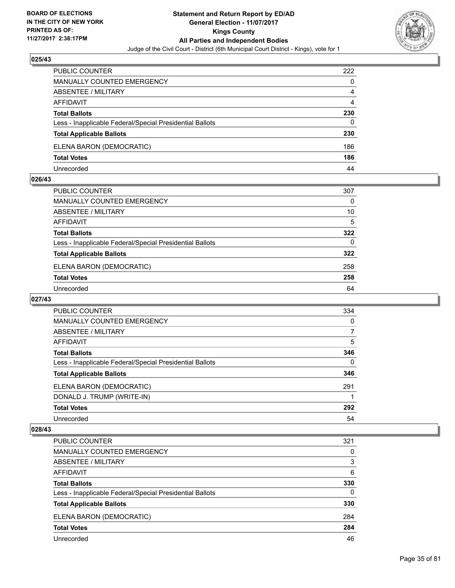

| <b>PUBLIC COUNTER</b>                                    | 222 |
|----------------------------------------------------------|-----|
| <b>MANUALLY COUNTED EMERGENCY</b>                        | 0   |
| <b>ABSENTEE / MILITARY</b>                               | 4   |
| AFFIDAVIT                                                | 4   |
| <b>Total Ballots</b>                                     | 230 |
| Less - Inapplicable Federal/Special Presidential Ballots | 0   |
| <b>Total Applicable Ballots</b>                          | 230 |
| ELENA BARON (DEMOCRATIC)                                 | 186 |
| <b>Total Votes</b>                                       | 186 |
| Unrecorded                                               | 44  |

#### **026/43**

| PUBLIC COUNTER                                           | 307      |
|----------------------------------------------------------|----------|
| <b>MANUALLY COUNTED EMERGENCY</b>                        | $\Omega$ |
| <b>ABSENTEE / MILITARY</b>                               | 10       |
| AFFIDAVIT                                                | 5        |
| <b>Total Ballots</b>                                     | 322      |
| Less - Inapplicable Federal/Special Presidential Ballots | 0        |
| <b>Total Applicable Ballots</b>                          | 322      |
| ELENA BARON (DEMOCRATIC)                                 | 258      |
| <b>Total Votes</b>                                       | 258      |
| Unrecorded                                               | 64       |
|                                                          |          |

# **027/43**

| <b>PUBLIC COUNTER</b>                                    | 334          |
|----------------------------------------------------------|--------------|
| <b>MANUALLY COUNTED EMERGENCY</b>                        | 0            |
| ABSENTEE / MILITARY                                      | 7            |
| AFFIDAVIT                                                | 5            |
| <b>Total Ballots</b>                                     | 346          |
| Less - Inapplicable Federal/Special Presidential Ballots | $\mathbf{0}$ |
| <b>Total Applicable Ballots</b>                          | 346          |
| ELENA BARON (DEMOCRATIC)                                 | 291          |
| DONALD J. TRUMP (WRITE-IN)                               |              |
| <b>Total Votes</b>                                       | 292          |
| Unrecorded                                               | 54           |

| <b>PUBLIC COUNTER</b>                                    | 321 |
|----------------------------------------------------------|-----|
| <b>MANUALLY COUNTED EMERGENCY</b>                        | 0   |
| ABSENTEE / MILITARY                                      | 3   |
| AFFIDAVIT                                                | 6   |
| <b>Total Ballots</b>                                     | 330 |
| Less - Inapplicable Federal/Special Presidential Ballots | 0   |
| <b>Total Applicable Ballots</b>                          | 330 |
| ELENA BARON (DEMOCRATIC)                                 | 284 |
| <b>Total Votes</b>                                       | 284 |
| Unrecorded                                               | 46  |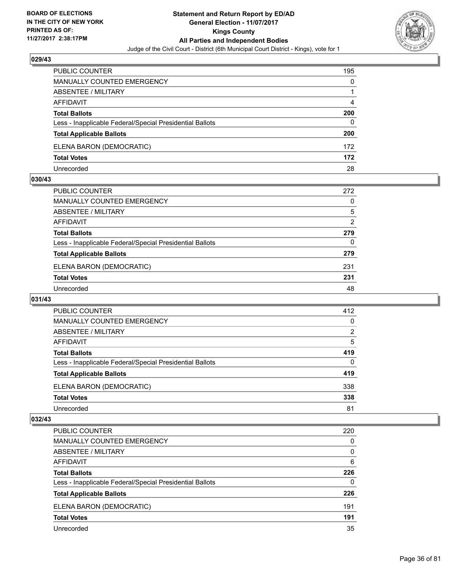

| PUBLIC COUNTER                                           | 195 |
|----------------------------------------------------------|-----|
| <b>MANUALLY COUNTED EMERGENCY</b>                        | 0   |
| <b>ABSENTEE / MILITARY</b>                               |     |
| AFFIDAVIT                                                | 4   |
| <b>Total Ballots</b>                                     | 200 |
| Less - Inapplicable Federal/Special Presidential Ballots | 0   |
| <b>Total Applicable Ballots</b>                          | 200 |
| ELENA BARON (DEMOCRATIC)                                 | 172 |
| <b>Total Votes</b>                                       | 172 |
| Unrecorded                                               | 28  |

#### **030/43**

| PUBLIC COUNTER                                           | 272 |
|----------------------------------------------------------|-----|
| <b>MANUALLY COUNTED EMERGENCY</b>                        | 0   |
| ABSENTEE / MILITARY                                      | 5   |
| AFFIDAVIT                                                | 2   |
| <b>Total Ballots</b>                                     | 279 |
| Less - Inapplicable Federal/Special Presidential Ballots | 0   |
| <b>Total Applicable Ballots</b>                          | 279 |
| ELENA BARON (DEMOCRATIC)                                 | 231 |
| <b>Total Votes</b>                                       | 231 |
| Unrecorded                                               | 48  |
|                                                          |     |

## **031/43**

| <b>PUBLIC COUNTER</b>                                    | 412 |
|----------------------------------------------------------|-----|
| <b>MANUALLY COUNTED EMERGENCY</b>                        | 0   |
| ABSENTEE / MILITARY                                      | 2   |
| AFFIDAVIT                                                | 5   |
| <b>Total Ballots</b>                                     | 419 |
| Less - Inapplicable Federal/Special Presidential Ballots | 0   |
| <b>Total Applicable Ballots</b>                          | 419 |
| ELENA BARON (DEMOCRATIC)                                 | 338 |
| <b>Total Votes</b>                                       | 338 |
| Unrecorded                                               | 81  |

| <b>PUBLIC COUNTER</b>                                    | 220 |
|----------------------------------------------------------|-----|
| <b>MANUALLY COUNTED EMERGENCY</b>                        | 0   |
| <b>ABSENTEE / MILITARY</b>                               | 0   |
| AFFIDAVIT                                                | 6   |
| <b>Total Ballots</b>                                     | 226 |
| Less - Inapplicable Federal/Special Presidential Ballots | 0   |
| <b>Total Applicable Ballots</b>                          | 226 |
| ELENA BARON (DEMOCRATIC)                                 | 191 |
| <b>Total Votes</b>                                       | 191 |
| Unrecorded                                               | 35  |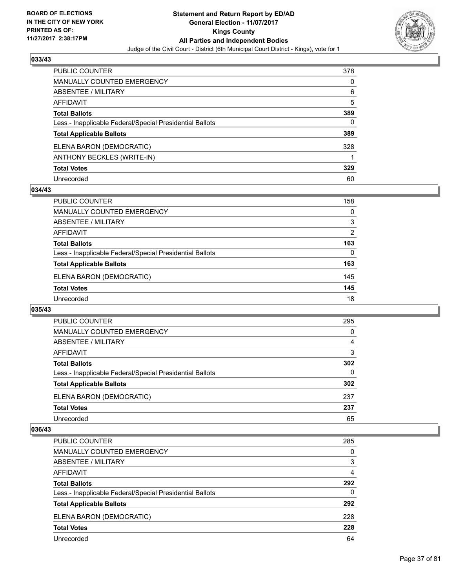

| PUBLIC COUNTER                                           | 378 |
|----------------------------------------------------------|-----|
| <b>MANUALLY COUNTED EMERGENCY</b>                        | 0   |
| ABSENTEE / MILITARY                                      | 6   |
| AFFIDAVIT                                                | 5   |
| <b>Total Ballots</b>                                     | 389 |
| Less - Inapplicable Federal/Special Presidential Ballots | 0   |
| <b>Total Applicable Ballots</b>                          | 389 |
| ELENA BARON (DEMOCRATIC)                                 | 328 |
| ANTHONY BECKLES (WRITE-IN)                               |     |
| <b>Total Votes</b>                                       | 329 |
| Unrecorded                                               | 60  |

### **034/43**

| <b>PUBLIC COUNTER</b>                                    | 158 |
|----------------------------------------------------------|-----|
| <b>MANUALLY COUNTED EMERGENCY</b>                        | 0   |
| ABSENTEE / MILITARY                                      | 3   |
| AFFIDAVIT                                                | 2   |
| <b>Total Ballots</b>                                     | 163 |
| Less - Inapplicable Federal/Special Presidential Ballots | 0   |
| <b>Total Applicable Ballots</b>                          | 163 |
| ELENA BARON (DEMOCRATIC)                                 | 145 |
| <b>Total Votes</b>                                       | 145 |
| Unrecorded                                               | 18  |

#### **035/43**

| PUBLIC COUNTER                                           | 295 |
|----------------------------------------------------------|-----|
| MANUALLY COUNTED EMERGENCY                               | 0   |
| <b>ABSENTEE / MILITARY</b>                               | 4   |
| AFFIDAVIT                                                | 3   |
| <b>Total Ballots</b>                                     | 302 |
| Less - Inapplicable Federal/Special Presidential Ballots | 0   |
| <b>Total Applicable Ballots</b>                          | 302 |
| ELENA BARON (DEMOCRATIC)                                 | 237 |
| <b>Total Votes</b>                                       | 237 |
| Unrecorded                                               | 65  |

| <b>PUBLIC COUNTER</b>                                    | 285 |
|----------------------------------------------------------|-----|
| <b>MANUALLY COUNTED EMERGENCY</b>                        | 0   |
| <b>ABSENTEE / MILITARY</b>                               | 3   |
| AFFIDAVIT                                                | 4   |
| <b>Total Ballots</b>                                     | 292 |
| Less - Inapplicable Federal/Special Presidential Ballots | 0   |
| <b>Total Applicable Ballots</b>                          | 292 |
| ELENA BARON (DEMOCRATIC)                                 | 228 |
| <b>Total Votes</b>                                       | 228 |
| Unrecorded                                               | 64  |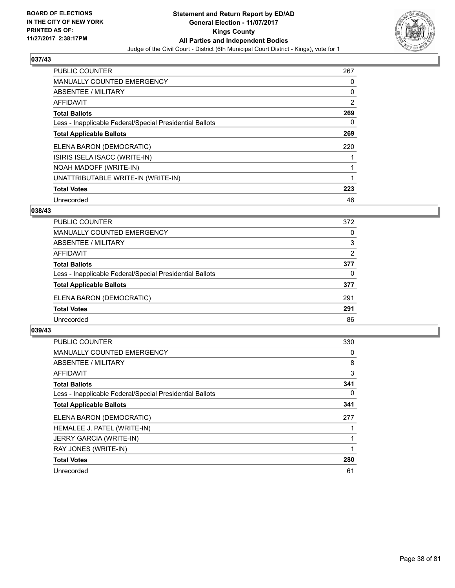

| <b>PUBLIC COUNTER</b>                                    | 267 |
|----------------------------------------------------------|-----|
| <b>MANUALLY COUNTED EMERGENCY</b>                        | 0   |
| ABSENTEE / MILITARY                                      | 0   |
| <b>AFFIDAVIT</b>                                         | 2   |
| <b>Total Ballots</b>                                     | 269 |
| Less - Inapplicable Federal/Special Presidential Ballots | 0   |
| <b>Total Applicable Ballots</b>                          | 269 |
| ELENA BARON (DEMOCRATIC)                                 | 220 |
| ISIRIS ISELA ISACC (WRITE-IN)                            |     |
| NOAH MADOFF (WRITE-IN)                                   |     |
| UNATTRIBUTABLE WRITE-IN (WRITE-IN)                       |     |
| <b>Total Votes</b>                                       | 223 |
| Unrecorded                                               | 46  |

# **038/43**

| <b>PUBLIC COUNTER</b>                                    | 372 |
|----------------------------------------------------------|-----|
| MANUALLY COUNTED EMERGENCY                               | 0   |
| ABSENTEE / MILITARY                                      | 3   |
| AFFIDAVIT                                                | 2   |
| <b>Total Ballots</b>                                     | 377 |
| Less - Inapplicable Federal/Special Presidential Ballots | 0   |
| <b>Total Applicable Ballots</b>                          | 377 |
| ELENA BARON (DEMOCRATIC)                                 | 291 |
| <b>Total Votes</b>                                       | 291 |
| Unrecorded                                               | 86  |

| <b>PUBLIC COUNTER</b>                                    | 330 |
|----------------------------------------------------------|-----|
| <b>MANUALLY COUNTED EMERGENCY</b>                        | 0   |
| ABSENTEE / MILITARY                                      | 8   |
| AFFIDAVIT                                                | 3   |
| <b>Total Ballots</b>                                     | 341 |
| Less - Inapplicable Federal/Special Presidential Ballots | 0   |
| <b>Total Applicable Ballots</b>                          | 341 |
| ELENA BARON (DEMOCRATIC)                                 | 277 |
| HEMALEE J. PATEL (WRITE-IN)                              |     |
| <b>JERRY GARCIA (WRITE-IN)</b>                           |     |
| RAY JONES (WRITE-IN)                                     |     |
| <b>Total Votes</b>                                       | 280 |
| Unrecorded                                               | 61  |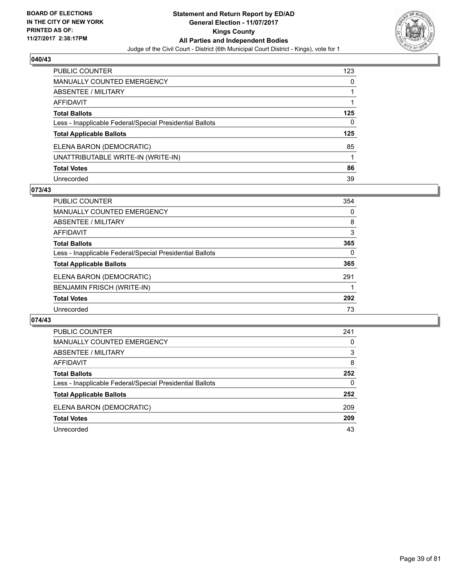

| <b>PUBLIC COUNTER</b>                                    | 123 |
|----------------------------------------------------------|-----|
| <b>MANUALLY COUNTED EMERGENCY</b>                        | 0   |
| ABSENTEE / MILITARY                                      |     |
| <b>AFFIDAVIT</b>                                         |     |
| <b>Total Ballots</b>                                     | 125 |
| Less - Inapplicable Federal/Special Presidential Ballots | 0   |
| <b>Total Applicable Ballots</b>                          | 125 |
| ELENA BARON (DEMOCRATIC)                                 | 85  |
| UNATTRIBUTABLE WRITE-IN (WRITE-IN)                       |     |
| <b>Total Votes</b>                                       | 86  |
| Unrecorded                                               | 39  |

### **073/43**

| PUBLIC COUNTER                                           | 354 |
|----------------------------------------------------------|-----|
| <b>MANUALLY COUNTED EMERGENCY</b>                        | 0   |
| ABSENTEE / MILITARY                                      | 8   |
| AFFIDAVIT                                                | 3   |
| <b>Total Ballots</b>                                     | 365 |
| Less - Inapplicable Federal/Special Presidential Ballots | 0   |
| <b>Total Applicable Ballots</b>                          | 365 |
| ELENA BARON (DEMOCRATIC)                                 | 291 |
| BENJAMIN FRISCH (WRITE-IN)                               |     |
| <b>Total Votes</b>                                       | 292 |
| Unrecorded                                               | 73  |

| <b>PUBLIC COUNTER</b>                                    | 241 |
|----------------------------------------------------------|-----|
| <b>MANUALLY COUNTED EMERGENCY</b>                        | 0   |
| <b>ABSENTEE / MILITARY</b>                               | 3   |
| AFFIDAVIT                                                | 8   |
| <b>Total Ballots</b>                                     | 252 |
| Less - Inapplicable Federal/Special Presidential Ballots | 0   |
| <b>Total Applicable Ballots</b>                          | 252 |
| ELENA BARON (DEMOCRATIC)                                 | 209 |
| <b>Total Votes</b>                                       | 209 |
| Unrecorded                                               | 43  |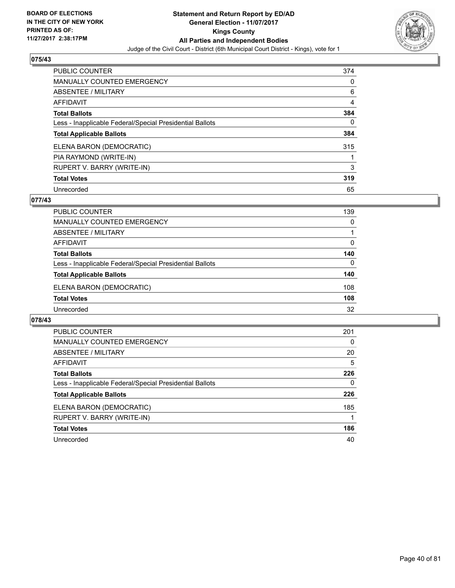

| <b>PUBLIC COUNTER</b>                                    | 374 |
|----------------------------------------------------------|-----|
| <b>MANUALLY COUNTED EMERGENCY</b>                        | 0   |
| ABSENTEE / MILITARY                                      | 6   |
| AFFIDAVIT                                                | 4   |
| <b>Total Ballots</b>                                     | 384 |
| Less - Inapplicable Federal/Special Presidential Ballots | 0   |
| <b>Total Applicable Ballots</b>                          | 384 |
| ELENA BARON (DEMOCRATIC)                                 | 315 |
| PIA RAYMOND (WRITE-IN)                                   |     |
| RUPERT V. BARRY (WRITE-IN)                               | 3   |
| <b>Total Votes</b>                                       | 319 |
| Unrecorded                                               | 65  |

### **077/43**

| <b>PUBLIC COUNTER</b>                                    | 139 |
|----------------------------------------------------------|-----|
| MANUALLY COUNTED EMERGENCY                               | 0   |
| ABSENTEE / MILITARY                                      |     |
| AFFIDAVIT                                                | 0   |
| <b>Total Ballots</b>                                     | 140 |
| Less - Inapplicable Federal/Special Presidential Ballots | 0   |
| <b>Total Applicable Ballots</b>                          | 140 |
| ELENA BARON (DEMOCRATIC)                                 | 108 |
| <b>Total Votes</b>                                       | 108 |
| Unrecorded                                               | 32  |

| <b>PUBLIC COUNTER</b>                                    | 201 |
|----------------------------------------------------------|-----|
| <b>MANUALLY COUNTED EMERGENCY</b>                        | 0   |
| <b>ABSENTEE / MILITARY</b>                               | 20  |
| <b>AFFIDAVIT</b>                                         | 5   |
| <b>Total Ballots</b>                                     | 226 |
| Less - Inapplicable Federal/Special Presidential Ballots | 0   |
| <b>Total Applicable Ballots</b>                          | 226 |
| ELENA BARON (DEMOCRATIC)                                 | 185 |
| RUPERT V. BARRY (WRITE-IN)                               |     |
| <b>Total Votes</b>                                       | 186 |
| Unrecorded                                               | 40  |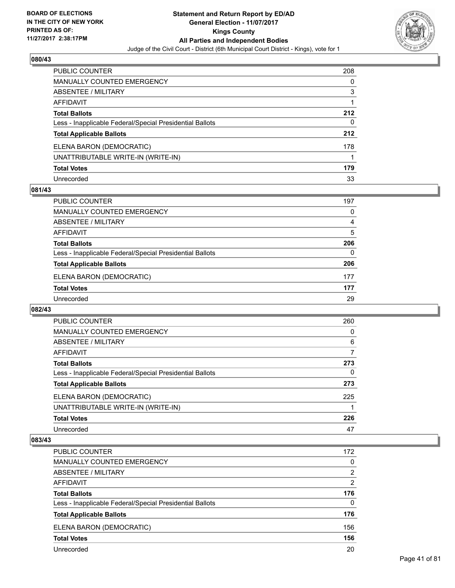

| <b>PUBLIC COUNTER</b>                                    | 208 |
|----------------------------------------------------------|-----|
| <b>MANUALLY COUNTED EMERGENCY</b>                        | 0   |
| ABSENTEE / MILITARY                                      | 3   |
| AFFIDAVIT                                                |     |
| <b>Total Ballots</b>                                     | 212 |
| Less - Inapplicable Federal/Special Presidential Ballots | 0   |
| <b>Total Applicable Ballots</b>                          | 212 |
| ELENA BARON (DEMOCRATIC)                                 | 178 |
| UNATTRIBUTABLE WRITE-IN (WRITE-IN)                       |     |
| <b>Total Votes</b>                                       | 179 |
| Unrecorded                                               | 33  |

### **081/43**

| <b>PUBLIC COUNTER</b>                                    | 197 |
|----------------------------------------------------------|-----|
| MANUALLY COUNTED EMERGENCY                               | 0   |
| ABSENTEE / MILITARY                                      | 4   |
| AFFIDAVIT                                                | 5   |
| <b>Total Ballots</b>                                     | 206 |
| Less - Inapplicable Federal/Special Presidential Ballots | 0   |
| <b>Total Applicable Ballots</b>                          | 206 |
| ELENA BARON (DEMOCRATIC)                                 | 177 |
| <b>Total Votes</b>                                       | 177 |
| Unrecorded                                               | 29  |

# **082/43**

| <b>PUBLIC COUNTER</b>                                    | 260 |
|----------------------------------------------------------|-----|
| MANUALLY COUNTED EMERGENCY                               | 0   |
| ABSENTEE / MILITARY                                      | 6   |
| AFFIDAVIT                                                | 7   |
| <b>Total Ballots</b>                                     | 273 |
| Less - Inapplicable Federal/Special Presidential Ballots | 0   |
| <b>Total Applicable Ballots</b>                          | 273 |
| ELENA BARON (DEMOCRATIC)                                 | 225 |
| UNATTRIBUTABLE WRITE-IN (WRITE-IN)                       |     |
| <b>Total Votes</b>                                       | 226 |
| Unrecorded                                               | 47  |

| PUBLIC COUNTER                                           | 172            |
|----------------------------------------------------------|----------------|
| <b>MANUALLY COUNTED EMERGENCY</b>                        | 0              |
| ABSENTEE / MILITARY                                      | 2              |
| AFFIDAVIT                                                | $\overline{2}$ |
| <b>Total Ballots</b>                                     | 176            |
| Less - Inapplicable Federal/Special Presidential Ballots | 0              |
| <b>Total Applicable Ballots</b>                          | 176            |
| ELENA BARON (DEMOCRATIC)                                 | 156            |
| <b>Total Votes</b>                                       | 156            |
| Unrecorded                                               | 20             |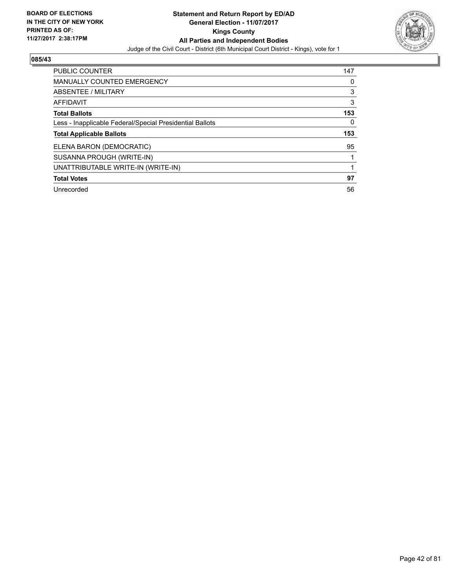

| <b>PUBLIC COUNTER</b>                                    | 147 |
|----------------------------------------------------------|-----|
| <b>MANUALLY COUNTED EMERGENCY</b>                        | 0   |
| <b>ABSENTEE / MILITARY</b>                               | 3   |
| AFFIDAVIT                                                | 3   |
| <b>Total Ballots</b>                                     | 153 |
| Less - Inapplicable Federal/Special Presidential Ballots | 0   |
| <b>Total Applicable Ballots</b>                          | 153 |
|                                                          |     |
| ELENA BARON (DEMOCRATIC)                                 | 95  |
| SUSANNA PROUGH (WRITE-IN)                                |     |
| UNATTRIBUTABLE WRITE-IN (WRITE-IN)                       |     |
| <b>Total Votes</b>                                       | 97  |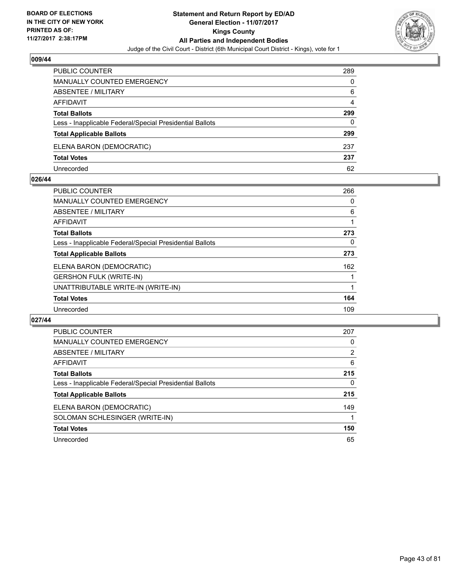

| <b>PUBLIC COUNTER</b>                                    | 289 |
|----------------------------------------------------------|-----|
| <b>MANUALLY COUNTED EMERGENCY</b>                        | 0   |
| ABSENTEE / MILITARY                                      | 6   |
| AFFIDAVIT                                                | 4   |
| <b>Total Ballots</b>                                     | 299 |
| Less - Inapplicable Federal/Special Presidential Ballots | 0   |
| <b>Total Applicable Ballots</b>                          | 299 |
| ELENA BARON (DEMOCRATIC)                                 | 237 |
| <b>Total Votes</b>                                       | 237 |
| Unrecorded                                               | 62  |

#### **026/44**

| <b>PUBLIC COUNTER</b>                                    | 266 |
|----------------------------------------------------------|-----|
| MANUALLY COUNTED EMERGENCY                               | 0   |
| ABSENTEE / MILITARY                                      | 6   |
| AFFIDAVIT                                                |     |
| <b>Total Ballots</b>                                     | 273 |
| Less - Inapplicable Federal/Special Presidential Ballots | 0   |
| <b>Total Applicable Ballots</b>                          | 273 |
| ELENA BARON (DEMOCRATIC)                                 | 162 |
| <b>GERSHON FULK (WRITE-IN)</b>                           |     |
| UNATTRIBUTABLE WRITE-IN (WRITE-IN)                       |     |
| <b>Total Votes</b>                                       | 164 |
| Unrecorded                                               | 109 |
|                                                          |     |

| <b>PUBLIC COUNTER</b>                                    | 207 |
|----------------------------------------------------------|-----|
| <b>MANUALLY COUNTED EMERGENCY</b>                        | 0   |
| ABSENTEE / MILITARY                                      | 2   |
| AFFIDAVIT                                                | 6   |
| <b>Total Ballots</b>                                     | 215 |
| Less - Inapplicable Federal/Special Presidential Ballots | 0   |
| <b>Total Applicable Ballots</b>                          | 215 |
| ELENA BARON (DEMOCRATIC)                                 | 149 |
| SOLOMAN SCHLESINGER (WRITE-IN)                           |     |
| <b>Total Votes</b>                                       | 150 |
| Unrecorded                                               | 65  |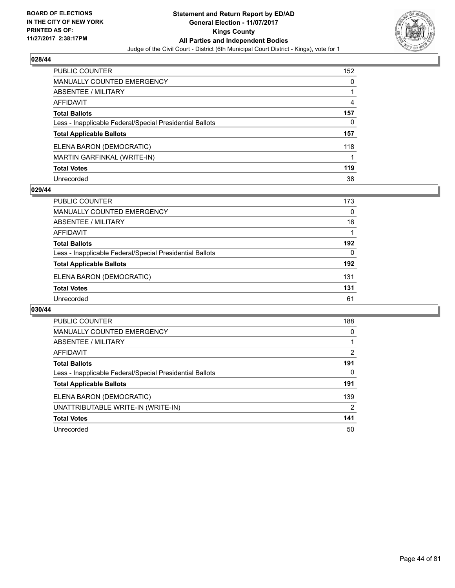

| PUBLIC COUNTER                                           | 152 |
|----------------------------------------------------------|-----|
| <b>MANUALLY COUNTED EMERGENCY</b>                        | 0   |
| <b>ABSENTEE / MILITARY</b>                               |     |
| <b>AFFIDAVIT</b>                                         | 4   |
| <b>Total Ballots</b>                                     | 157 |
| Less - Inapplicable Federal/Special Presidential Ballots | 0   |
| <b>Total Applicable Ballots</b>                          | 157 |
| ELENA BARON (DEMOCRATIC)                                 | 118 |
| MARTIN GARFINKAL (WRITE-IN)                              |     |
| <b>Total Votes</b>                                       | 119 |
| Unrecorded                                               | 38  |

#### **029/44**

| <b>PUBLIC COUNTER</b>                                    | 173      |
|----------------------------------------------------------|----------|
| MANUALLY COUNTED EMERGENCY                               | 0        |
| ABSENTEE / MILITARY                                      | 18       |
| AFFIDAVIT                                                |          |
| <b>Total Ballots</b>                                     | 192      |
| Less - Inapplicable Federal/Special Presidential Ballots | $\Omega$ |
| <b>Total Applicable Ballots</b>                          | 192      |
| ELENA BARON (DEMOCRATIC)                                 | 131      |
| <b>Total Votes</b>                                       | 131      |
| Unrecorded                                               | 61       |
|                                                          |          |

| <b>PUBLIC COUNTER</b>                                    | 188            |
|----------------------------------------------------------|----------------|
| <b>MANUALLY COUNTED EMERGENCY</b>                        | 0              |
| ABSENTEE / MILITARY                                      |                |
| <b>AFFIDAVIT</b>                                         | 2              |
| <b>Total Ballots</b>                                     | 191            |
| Less - Inapplicable Federal/Special Presidential Ballots | 0              |
| <b>Total Applicable Ballots</b>                          | 191            |
| ELENA BARON (DEMOCRATIC)                                 | 139            |
| UNATTRIBUTABLE WRITE-IN (WRITE-IN)                       | $\overline{2}$ |
| <b>Total Votes</b>                                       | 141            |
| Unrecorded                                               | 50             |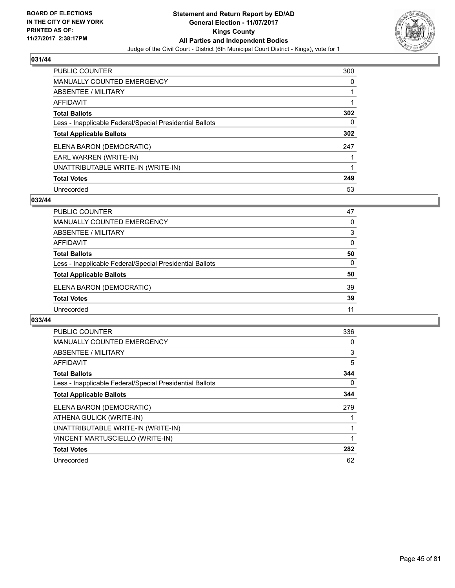

| <b>PUBLIC COUNTER</b>                                    | 300 |
|----------------------------------------------------------|-----|
| <b>MANUALLY COUNTED EMERGENCY</b>                        | 0   |
| ABSENTEE / MILITARY                                      |     |
| AFFIDAVIT                                                |     |
| <b>Total Ballots</b>                                     | 302 |
| Less - Inapplicable Federal/Special Presidential Ballots | 0   |
| <b>Total Applicable Ballots</b>                          | 302 |
| ELENA BARON (DEMOCRATIC)                                 | 247 |
| EARL WARREN (WRITE-IN)                                   |     |
| UNATTRIBUTABLE WRITE-IN (WRITE-IN)                       |     |
| <b>Total Votes</b>                                       | 249 |
| Unrecorded                                               | 53  |

#### **032/44**

| <b>PUBLIC COUNTER</b>                                    | 47 |
|----------------------------------------------------------|----|
| <b>MANUALLY COUNTED EMERGENCY</b>                        | 0  |
| ABSENTEE / MILITARY                                      | 3  |
| AFFIDAVIT                                                | 0  |
| <b>Total Ballots</b>                                     | 50 |
| Less - Inapplicable Federal/Special Presidential Ballots | 0  |
| <b>Total Applicable Ballots</b>                          | 50 |
| ELENA BARON (DEMOCRATIC)                                 | 39 |
| <b>Total Votes</b>                                       | 39 |
| Unrecorded                                               | 11 |

| <b>PUBLIC COUNTER</b>                                    | 336 |
|----------------------------------------------------------|-----|
| <b>MANUALLY COUNTED EMERGENCY</b>                        | 0   |
| ABSENTEE / MILITARY                                      | 3   |
| <b>AFFIDAVIT</b>                                         | 5   |
| <b>Total Ballots</b>                                     | 344 |
| Less - Inapplicable Federal/Special Presidential Ballots | 0   |
| <b>Total Applicable Ballots</b>                          | 344 |
| ELENA BARON (DEMOCRATIC)                                 | 279 |
| ATHENA GULICK (WRITE-IN)                                 |     |
| UNATTRIBUTABLE WRITE-IN (WRITE-IN)                       |     |
| VINCENT MARTUSCIELLO (WRITE-IN)                          | 1   |
| <b>Total Votes</b>                                       | 282 |
| Unrecorded                                               | 62  |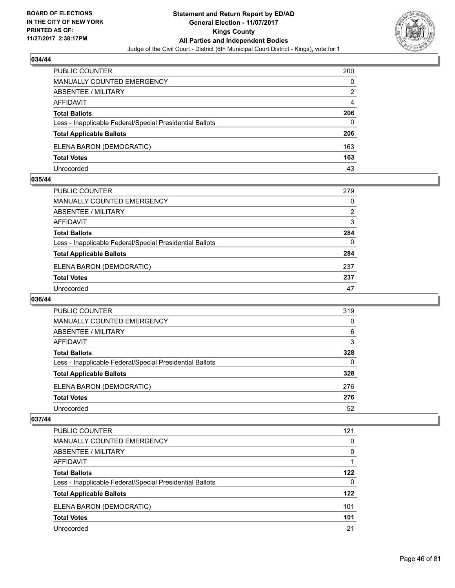

| <b>PUBLIC COUNTER</b>                                    | 200 |
|----------------------------------------------------------|-----|
| <b>MANUALLY COUNTED EMERGENCY</b>                        | 0   |
| <b>ABSENTEE / MILITARY</b>                               | 2   |
| AFFIDAVIT                                                | 4   |
| <b>Total Ballots</b>                                     | 206 |
| Less - Inapplicable Federal/Special Presidential Ballots | 0   |
| <b>Total Applicable Ballots</b>                          | 206 |
| ELENA BARON (DEMOCRATIC)                                 | 163 |
| <b>Total Votes</b>                                       | 163 |
| Unrecorded                                               | 43  |

#### **035/44**

| PUBLIC COUNTER                                           | 279 |
|----------------------------------------------------------|-----|
| <b>MANUALLY COUNTED EMERGENCY</b>                        | 0   |
| ABSENTEE / MILITARY                                      | 2   |
| AFFIDAVIT                                                | 3   |
| <b>Total Ballots</b>                                     | 284 |
| Less - Inapplicable Federal/Special Presidential Ballots | 0   |
| <b>Total Applicable Ballots</b>                          | 284 |
| ELENA BARON (DEMOCRATIC)                                 | 237 |
| <b>Total Votes</b>                                       | 237 |
| Unrecorded                                               | 47  |

# **036/44**

| <b>PUBLIC COUNTER</b>                                    | 319 |
|----------------------------------------------------------|-----|
| <b>MANUALLY COUNTED EMERGENCY</b>                        | 0   |
| ABSENTEE / MILITARY                                      | 6   |
| AFFIDAVIT                                                | 3   |
| <b>Total Ballots</b>                                     | 328 |
| Less - Inapplicable Federal/Special Presidential Ballots | 0   |
| <b>Total Applicable Ballots</b>                          | 328 |
| ELENA BARON (DEMOCRATIC)                                 | 276 |
| <b>Total Votes</b>                                       | 276 |
| Unrecorded                                               | 52  |

| <b>PUBLIC COUNTER</b>                                    | 121 |
|----------------------------------------------------------|-----|
| <b>MANUALLY COUNTED EMERGENCY</b>                        | 0   |
| <b>ABSENTEE / MILITARY</b>                               | 0   |
| AFFIDAVIT                                                |     |
| <b>Total Ballots</b>                                     | 122 |
| Less - Inapplicable Federal/Special Presidential Ballots | 0   |
| <b>Total Applicable Ballots</b>                          | 122 |
| ELENA BARON (DEMOCRATIC)                                 | 101 |
| <b>Total Votes</b>                                       | 101 |
| Unrecorded                                               | 21  |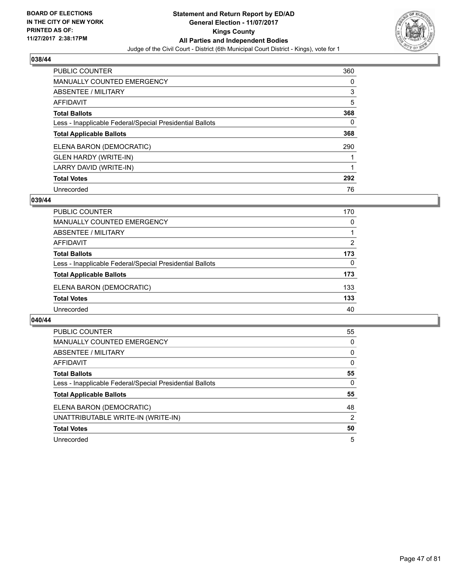

| <b>PUBLIC COUNTER</b>                                    | 360 |
|----------------------------------------------------------|-----|
| <b>MANUALLY COUNTED EMERGENCY</b>                        | 0   |
| ABSENTEE / MILITARY                                      | 3   |
| AFFIDAVIT                                                | 5   |
| <b>Total Ballots</b>                                     | 368 |
| Less - Inapplicable Federal/Special Presidential Ballots | 0   |
| <b>Total Applicable Ballots</b>                          | 368 |
| ELENA BARON (DEMOCRATIC)                                 | 290 |
| <b>GLEN HARDY (WRITE-IN)</b>                             |     |
| LARRY DAVID (WRITE-IN)                                   |     |
| <b>Total Votes</b>                                       | 292 |
| Unrecorded                                               | 76  |

#### **039/44**

| <b>PUBLIC COUNTER</b>                                    | 170 |
|----------------------------------------------------------|-----|
| <b>MANUALLY COUNTED EMERGENCY</b>                        | 0   |
| ABSENTEE / MILITARY                                      |     |
| AFFIDAVIT                                                | 2   |
| <b>Total Ballots</b>                                     | 173 |
| Less - Inapplicable Federal/Special Presidential Ballots | 0   |
| <b>Total Applicable Ballots</b>                          | 173 |
| ELENA BARON (DEMOCRATIC)                                 | 133 |
| <b>Total Votes</b>                                       | 133 |
| Unrecorded                                               | 40  |

| <b>PUBLIC COUNTER</b>                                    | 55 |
|----------------------------------------------------------|----|
| <b>MANUALLY COUNTED EMERGENCY</b>                        | 0  |
| <b>ABSENTEE / MILITARY</b>                               | 0  |
| <b>AFFIDAVIT</b>                                         | 0  |
| <b>Total Ballots</b>                                     | 55 |
| Less - Inapplicable Federal/Special Presidential Ballots | 0  |
| <b>Total Applicable Ballots</b>                          | 55 |
| ELENA BARON (DEMOCRATIC)                                 | 48 |
| UNATTRIBUTABLE WRITE-IN (WRITE-IN)                       | 2  |
| <b>Total Votes</b>                                       | 50 |
| Unrecorded                                               | 5  |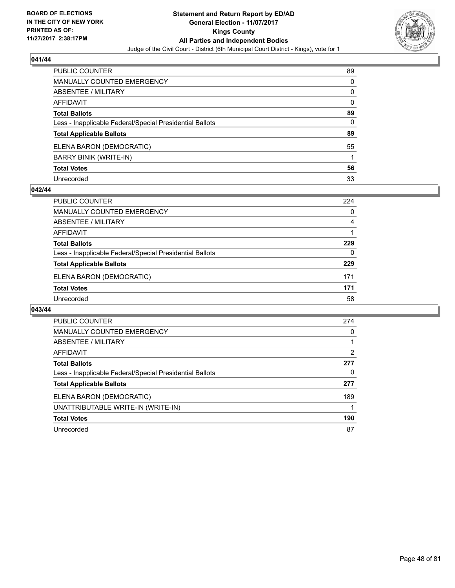

| PUBLIC COUNTER                                           | 89 |
|----------------------------------------------------------|----|
| <b>MANUALLY COUNTED EMERGENCY</b>                        | 0  |
| <b>ABSENTEE / MILITARY</b>                               | 0  |
| <b>AFFIDAVIT</b>                                         | 0  |
| <b>Total Ballots</b>                                     | 89 |
| Less - Inapplicable Federal/Special Presidential Ballots | 0  |
| <b>Total Applicable Ballots</b>                          | 89 |
| ELENA BARON (DEMOCRATIC)                                 | 55 |
| <b>BARRY BINIK (WRITE-IN)</b>                            |    |
| <b>Total Votes</b>                                       | 56 |
| Unrecorded                                               | 33 |

### **042/44**

| 0   |
|-----|
| 4   |
|     |
| 229 |
| 0   |
| 229 |
| 171 |
| 171 |
| 58  |
|     |

| PUBLIC COUNTER                                           | 274 |
|----------------------------------------------------------|-----|
| MANUALLY COUNTED EMERGENCY                               | 0   |
| ABSENTEE / MILITARY                                      |     |
| AFFIDAVIT                                                | 2   |
| <b>Total Ballots</b>                                     | 277 |
| Less - Inapplicable Federal/Special Presidential Ballots | 0   |
| <b>Total Applicable Ballots</b>                          | 277 |
| ELENA BARON (DEMOCRATIC)                                 | 189 |
| UNATTRIBUTABLE WRITE-IN (WRITE-IN)                       |     |
| <b>Total Votes</b>                                       | 190 |
| Unrecorded                                               | 87  |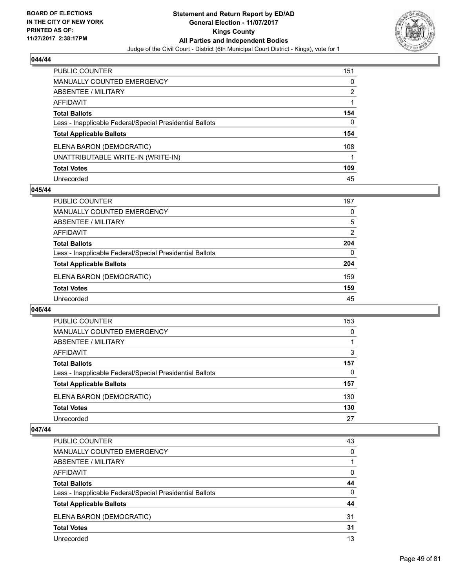

| PUBLIC COUNTER                                           | 151 |
|----------------------------------------------------------|-----|
| <b>MANUALLY COUNTED EMERGENCY</b>                        | 0   |
| ABSENTEE / MILITARY                                      | 2   |
| <b>AFFIDAVIT</b>                                         |     |
| <b>Total Ballots</b>                                     | 154 |
| Less - Inapplicable Federal/Special Presidential Ballots | 0   |
| <b>Total Applicable Ballots</b>                          | 154 |
| ELENA BARON (DEMOCRATIC)                                 | 108 |
| UNATTRIBUTABLE WRITE-IN (WRITE-IN)                       |     |
| <b>Total Votes</b>                                       | 109 |
| Unrecorded                                               | 45  |

### **045/44**

| <b>PUBLIC COUNTER</b>                                    | 197 |
|----------------------------------------------------------|-----|
| MANUALLY COUNTED EMERGENCY                               | 0   |
| ABSENTEE / MILITARY                                      | 5   |
| AFFIDAVIT                                                | 2   |
| <b>Total Ballots</b>                                     | 204 |
| Less - Inapplicable Federal/Special Presidential Ballots | 0   |
| <b>Total Applicable Ballots</b>                          | 204 |
| ELENA BARON (DEMOCRATIC)                                 | 159 |
| <b>Total Votes</b>                                       | 159 |
| Unrecorded                                               | 45  |

#### **046/44**

| <b>PUBLIC COUNTER</b>                                    | 153 |
|----------------------------------------------------------|-----|
| <b>MANUALLY COUNTED EMERGENCY</b>                        | 0   |
| ABSENTEE / MILITARY                                      |     |
| AFFIDAVIT                                                | 3   |
| <b>Total Ballots</b>                                     | 157 |
| Less - Inapplicable Federal/Special Presidential Ballots | 0   |
| <b>Total Applicable Ballots</b>                          | 157 |
| ELENA BARON (DEMOCRATIC)                                 | 130 |
| <b>Total Votes</b>                                       | 130 |
| Unrecorded                                               | 27  |

| <b>PUBLIC COUNTER</b>                                    | 43 |
|----------------------------------------------------------|----|
| <b>MANUALLY COUNTED EMERGENCY</b>                        | 0  |
| ABSENTEE / MILITARY                                      |    |
| AFFIDAVIT                                                | 0  |
| <b>Total Ballots</b>                                     | 44 |
| Less - Inapplicable Federal/Special Presidential Ballots | 0  |
| <b>Total Applicable Ballots</b>                          | 44 |
| ELENA BARON (DEMOCRATIC)                                 | 31 |
| <b>Total Votes</b>                                       | 31 |
| Unrecorded                                               | 13 |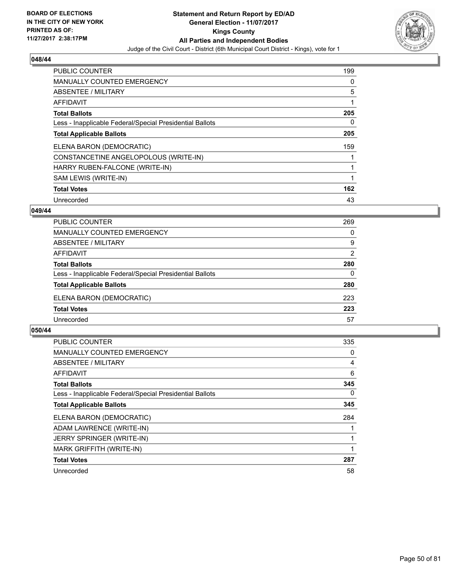

| <b>PUBLIC COUNTER</b>                                    | 199 |
|----------------------------------------------------------|-----|
| <b>MANUALLY COUNTED EMERGENCY</b>                        | 0   |
| ABSENTEE / MILITARY                                      | 5   |
| <b>AFFIDAVIT</b>                                         |     |
| <b>Total Ballots</b>                                     | 205 |
| Less - Inapplicable Federal/Special Presidential Ballots | 0   |
| <b>Total Applicable Ballots</b>                          | 205 |
| ELENA BARON (DEMOCRATIC)                                 | 159 |
| CONSTANCETINE ANGELOPOLOUS (WRITE-IN)                    |     |
| HARRY RUBEN-FALCONE (WRITE-IN)                           |     |
| SAM LEWIS (WRITE-IN)                                     |     |
| <b>Total Votes</b>                                       | 162 |
| Unrecorded                                               | 43  |

### **049/44**

| <b>PUBLIC COUNTER</b>                                    | 269      |
|----------------------------------------------------------|----------|
| MANUALLY COUNTED EMERGENCY                               | 0        |
| ABSENTEE / MILITARY                                      | 9        |
| AFFIDAVIT                                                | 2        |
| <b>Total Ballots</b>                                     | 280      |
| Less - Inapplicable Federal/Special Presidential Ballots | $\Omega$ |
| <b>Total Applicable Ballots</b>                          | 280      |
| ELENA BARON (DEMOCRATIC)                                 | 223      |
| <b>Total Votes</b>                                       | 223      |
| Unrecorded                                               | 57       |

| <b>PUBLIC COUNTER</b>                                    | 335 |
|----------------------------------------------------------|-----|
| <b>MANUALLY COUNTED EMERGENCY</b>                        | 0   |
| ABSENTEE / MILITARY                                      | 4   |
| AFFIDAVIT                                                | 6   |
| <b>Total Ballots</b>                                     | 345 |
| Less - Inapplicable Federal/Special Presidential Ballots | 0   |
| <b>Total Applicable Ballots</b>                          | 345 |
| ELENA BARON (DEMOCRATIC)                                 | 284 |
| ADAM LAWRENCE (WRITE-IN)                                 |     |
| <b>JERRY SPRINGER (WRITE-IN)</b>                         |     |
| MARK GRIFFITH (WRITE-IN)                                 |     |
| <b>Total Votes</b>                                       | 287 |
| Unrecorded                                               | 58  |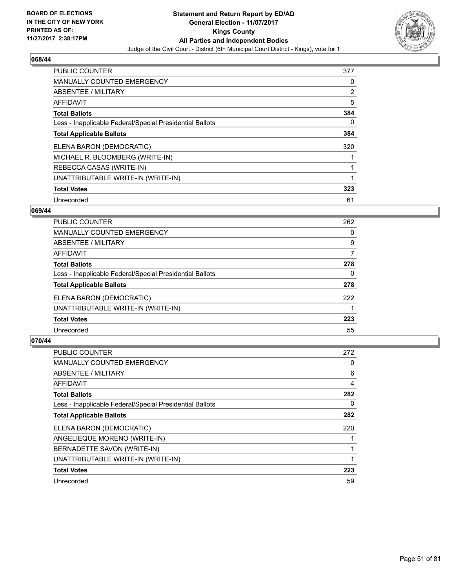

| <b>PUBLIC COUNTER</b>                                    | 377 |
|----------------------------------------------------------|-----|
| <b>MANUALLY COUNTED EMERGENCY</b>                        | 0   |
| ABSENTEE / MILITARY                                      | 2   |
| <b>AFFIDAVIT</b>                                         | 5   |
| <b>Total Ballots</b>                                     | 384 |
| Less - Inapplicable Federal/Special Presidential Ballots | 0   |
| <b>Total Applicable Ballots</b>                          | 384 |
| ELENA BARON (DEMOCRATIC)                                 | 320 |
| MICHAEL R. BLOOMBERG (WRITE-IN)                          |     |
| REBECCA CASAS (WRITE-IN)                                 |     |
| UNATTRIBUTABLE WRITE-IN (WRITE-IN)                       | 1   |
| <b>Total Votes</b>                                       | 323 |
| Unrecorded                                               | 61  |

### **069/44**

| 262 |
|-----|
| 0   |
| 9   |
| 7   |
| 278 |
| 0   |
| 278 |
| 222 |
|     |
| 223 |
| 55  |
|     |

| PUBLIC COUNTER                                           | 272 |
|----------------------------------------------------------|-----|
| MANUALLY COUNTED EMERGENCY                               | 0   |
| ABSENTEE / MILITARY                                      | 6   |
| AFFIDAVIT                                                | 4   |
| <b>Total Ballots</b>                                     | 282 |
| Less - Inapplicable Federal/Special Presidential Ballots | 0   |
| <b>Total Applicable Ballots</b>                          | 282 |
| ELENA BARON (DEMOCRATIC)                                 | 220 |
| ANGELIEQUE MORENO (WRITE-IN)                             |     |
| BERNADETTE SAVON (WRITE-IN)                              |     |
| UNATTRIBUTABLE WRITE-IN (WRITE-IN)                       |     |
| <b>Total Votes</b>                                       | 223 |
| Unrecorded                                               | 59  |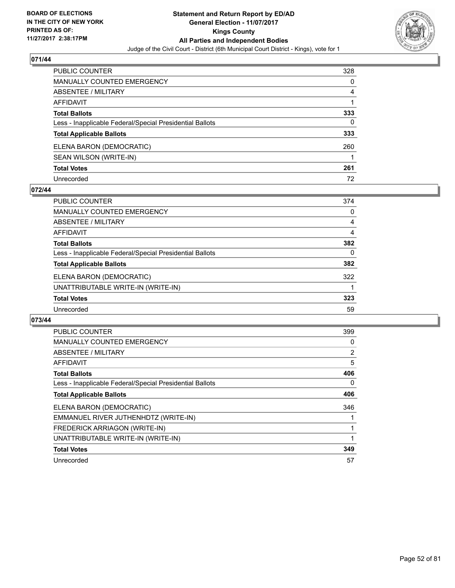

| <b>PUBLIC COUNTER</b>                                    | 328 |
|----------------------------------------------------------|-----|
| <b>MANUALLY COUNTED EMERGENCY</b>                        | 0   |
| ABSENTEE / MILITARY                                      | 4   |
| AFFIDAVIT                                                |     |
| <b>Total Ballots</b>                                     | 333 |
| Less - Inapplicable Federal/Special Presidential Ballots | 0   |
| <b>Total Applicable Ballots</b>                          | 333 |
| ELENA BARON (DEMOCRATIC)                                 | 260 |
| SEAN WILSON (WRITE-IN)                                   |     |
| <b>Total Votes</b>                                       | 261 |
| Unrecorded                                               | 72  |

### **072/44**

| <b>PUBLIC COUNTER</b>                                    | 374 |
|----------------------------------------------------------|-----|
| MANUALLY COUNTED EMERGENCY                               | 0   |
| ABSENTEE / MILITARY                                      | 4   |
| AFFIDAVIT                                                | 4   |
| <b>Total Ballots</b>                                     | 382 |
| Less - Inapplicable Federal/Special Presidential Ballots | 0   |
| <b>Total Applicable Ballots</b>                          | 382 |
| ELENA BARON (DEMOCRATIC)                                 | 322 |
| UNATTRIBUTABLE WRITE-IN (WRITE-IN)                       |     |
| <b>Total Votes</b>                                       | 323 |
| Unrecorded                                               | 59  |

| <b>PUBLIC COUNTER</b>                                    | 399            |
|----------------------------------------------------------|----------------|
| <b>MANUALLY COUNTED EMERGENCY</b>                        | 0              |
| <b>ABSENTEE / MILITARY</b>                               | $\overline{2}$ |
| AFFIDAVIT                                                | 5              |
| <b>Total Ballots</b>                                     | 406            |
| Less - Inapplicable Federal/Special Presidential Ballots | 0              |
| <b>Total Applicable Ballots</b>                          | 406            |
| ELENA BARON (DEMOCRATIC)                                 | 346            |
| EMMANUEL RIVER JUTHENHDTZ (WRITE-IN)                     |                |
| FREDERICK ARRIAGON (WRITE-IN)                            |                |
| UNATTRIBUTABLE WRITE-IN (WRITE-IN)                       |                |
| <b>Total Votes</b>                                       | 349            |
| Unrecorded                                               | 57             |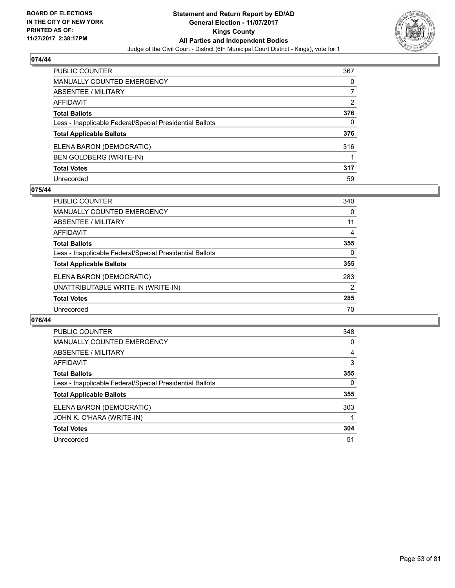

| PUBLIC COUNTER                                           | 367 |
|----------------------------------------------------------|-----|
| <b>MANUALLY COUNTED EMERGENCY</b>                        | 0   |
| ABSENTEE / MILITARY                                      |     |
| AFFIDAVIT                                                | 2   |
| <b>Total Ballots</b>                                     | 376 |
| Less - Inapplicable Federal/Special Presidential Ballots | 0   |
| <b>Total Applicable Ballots</b>                          | 376 |
| ELENA BARON (DEMOCRATIC)                                 | 316 |
| <b>BEN GOLDBERG (WRITE-IN)</b>                           |     |
| <b>Total Votes</b>                                       | 317 |
| Unrecorded                                               | 59  |

### **075/44**

| <b>PUBLIC COUNTER</b>                                    | 340 |
|----------------------------------------------------------|-----|
| <b>MANUALLY COUNTED EMERGENCY</b>                        | 0   |
| <b>ABSENTEE / MILITARY</b>                               | 11  |
| AFFIDAVIT                                                | 4   |
| <b>Total Ballots</b>                                     | 355 |
| Less - Inapplicable Federal/Special Presidential Ballots | 0   |
| <b>Total Applicable Ballots</b>                          | 355 |
| ELENA BARON (DEMOCRATIC)                                 | 283 |
| UNATTRIBUTABLE WRITE-IN (WRITE-IN)                       | 2   |
| <b>Total Votes</b>                                       | 285 |
| Unrecorded                                               | 70  |

| <b>PUBLIC COUNTER</b>                                    | 348 |
|----------------------------------------------------------|-----|
| <b>MANUALLY COUNTED EMERGENCY</b>                        | 0   |
| ABSENTEE / MILITARY                                      | 4   |
| <b>AFFIDAVIT</b>                                         | 3   |
| <b>Total Ballots</b>                                     | 355 |
| Less - Inapplicable Federal/Special Presidential Ballots | 0   |
| <b>Total Applicable Ballots</b>                          | 355 |
| ELENA BARON (DEMOCRATIC)                                 | 303 |
| JOHN K. O'HARA (WRITE-IN)                                |     |
| <b>Total Votes</b>                                       | 304 |
| Unrecorded                                               | 51  |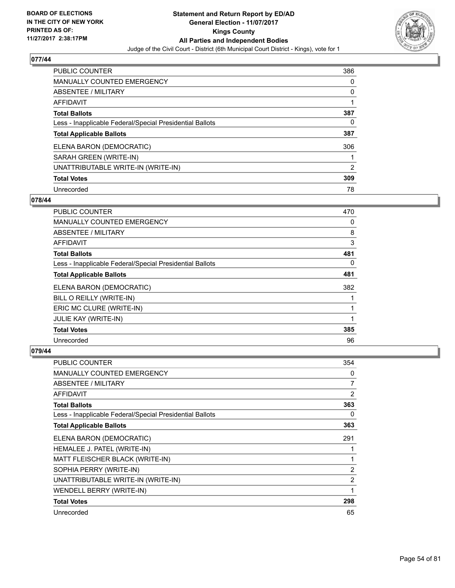

| <b>PUBLIC COUNTER</b>                                    | 386 |
|----------------------------------------------------------|-----|
| <b>MANUALLY COUNTED EMERGENCY</b>                        | 0   |
| ABSENTEE / MILITARY                                      | 0   |
| AFFIDAVIT                                                |     |
| <b>Total Ballots</b>                                     | 387 |
| Less - Inapplicable Federal/Special Presidential Ballots | 0   |
| <b>Total Applicable Ballots</b>                          | 387 |
| ELENA BARON (DEMOCRATIC)                                 | 306 |
| SARAH GREEN (WRITE-IN)                                   |     |
| UNATTRIBUTABLE WRITE-IN (WRITE-IN)                       | 2   |
| <b>Total Votes</b>                                       | 309 |
| Unrecorded                                               | 78  |

#### **078/44**

| <b>PUBLIC COUNTER</b>                                    | 470 |
|----------------------------------------------------------|-----|
| <b>MANUALLY COUNTED EMERGENCY</b>                        | 0   |
| ABSENTEE / MILITARY                                      | 8   |
| AFFIDAVIT                                                | 3   |
| <b>Total Ballots</b>                                     | 481 |
| Less - Inapplicable Federal/Special Presidential Ballots | 0   |
| <b>Total Applicable Ballots</b>                          | 481 |
| ELENA BARON (DEMOCRATIC)                                 | 382 |
| BILL O REILLY (WRITE-IN)                                 | 1   |
| ERIC MC CLURE (WRITE-IN)                                 |     |
| JULIE KAY (WRITE-IN)                                     | 1   |
| <b>Total Votes</b>                                       | 385 |
| Unrecorded                                               | 96  |

| <b>PUBLIC COUNTER</b>                                    | 354 |
|----------------------------------------------------------|-----|
| <b>MANUALLY COUNTED EMERGENCY</b>                        | 0   |
| ABSENTEE / MILITARY                                      | 7   |
| AFFIDAVIT                                                | 2   |
| <b>Total Ballots</b>                                     | 363 |
| Less - Inapplicable Federal/Special Presidential Ballots | 0   |
| <b>Total Applicable Ballots</b>                          | 363 |
| ELENA BARON (DEMOCRATIC)                                 | 291 |
| HEMALEE J. PATEL (WRITE-IN)                              |     |
| MATT FLEISCHER BLACK (WRITE-IN)                          | 1   |
| SOPHIA PERRY (WRITE-IN)                                  | 2   |
| UNATTRIBUTABLE WRITE-IN (WRITE-IN)                       | 2   |
| WENDELL BERRY (WRITE-IN)                                 | 1   |
| <b>Total Votes</b>                                       | 298 |
| Unrecorded                                               | 65  |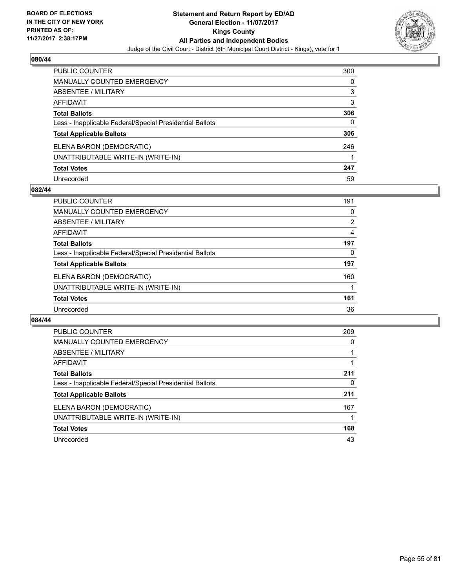

| <b>PUBLIC COUNTER</b>                                    | 300 |
|----------------------------------------------------------|-----|
| <b>MANUALLY COUNTED EMERGENCY</b>                        | 0   |
| <b>ABSENTEE / MILITARY</b>                               | 3   |
| <b>AFFIDAVIT</b>                                         | 3   |
| <b>Total Ballots</b>                                     | 306 |
| Less - Inapplicable Federal/Special Presidential Ballots | 0   |
| <b>Total Applicable Ballots</b>                          | 306 |
| ELENA BARON (DEMOCRATIC)                                 | 246 |
| UNATTRIBUTABLE WRITE-IN (WRITE-IN)                       |     |
| <b>Total Votes</b>                                       | 247 |
| Unrecorded                                               | 59  |

### **082/44**

| <b>PUBLIC COUNTER</b>                                    | 191            |
|----------------------------------------------------------|----------------|
| <b>MANUALLY COUNTED EMERGENCY</b>                        | 0              |
| ABSENTEE / MILITARY                                      | $\overline{2}$ |
| AFFIDAVIT                                                | 4              |
| <b>Total Ballots</b>                                     | 197            |
| Less - Inapplicable Federal/Special Presidential Ballots | 0              |
| <b>Total Applicable Ballots</b>                          | 197            |
| ELENA BARON (DEMOCRATIC)                                 | 160            |
| UNATTRIBUTABLE WRITE-IN (WRITE-IN)                       |                |
| <b>Total Votes</b>                                       | 161            |
| Unrecorded                                               | 36             |

| PUBLIC COUNTER                                           | 209 |
|----------------------------------------------------------|-----|
| <b>MANUALLY COUNTED EMERGENCY</b>                        | 0   |
| ABSENTEE / MILITARY                                      |     |
| <b>AFFIDAVIT</b>                                         |     |
| <b>Total Ballots</b>                                     | 211 |
| Less - Inapplicable Federal/Special Presidential Ballots | 0   |
| <b>Total Applicable Ballots</b>                          | 211 |
| ELENA BARON (DEMOCRATIC)                                 | 167 |
| UNATTRIBUTABLE WRITE-IN (WRITE-IN)                       |     |
| <b>Total Votes</b>                                       | 168 |
| Unrecorded                                               | 43  |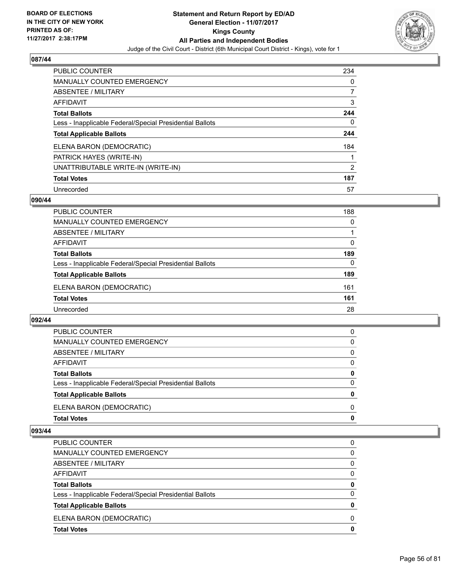

| <b>PUBLIC COUNTER</b>                                    | 234 |
|----------------------------------------------------------|-----|
| <b>MANUALLY COUNTED EMERGENCY</b>                        | 0   |
| ABSENTEE / MILITARY                                      |     |
| AFFIDAVIT                                                | 3   |
| <b>Total Ballots</b>                                     | 244 |
| Less - Inapplicable Federal/Special Presidential Ballots | 0   |
| <b>Total Applicable Ballots</b>                          | 244 |
| ELENA BARON (DEMOCRATIC)                                 | 184 |
| PATRICK HAYES (WRITE-IN)                                 |     |
| UNATTRIBUTABLE WRITE-IN (WRITE-IN)                       | 2   |
| <b>Total Votes</b>                                       | 187 |
| Unrecorded                                               | 57  |

#### **090/44**

| <b>PUBLIC COUNTER</b>                                    | 188 |
|----------------------------------------------------------|-----|
| <b>MANUALLY COUNTED EMERGENCY</b>                        | 0   |
| ABSENTEE / MILITARY                                      |     |
| AFFIDAVIT                                                | 0   |
| <b>Total Ballots</b>                                     | 189 |
| Less - Inapplicable Federal/Special Presidential Ballots | 0   |
| <b>Total Applicable Ballots</b>                          | 189 |
| ELENA BARON (DEMOCRATIC)                                 | 161 |
| <b>Total Votes</b>                                       | 161 |
| Unrecorded                                               | 28  |

#### **092/44**

| <b>Total Votes</b>                                       | 0            |
|----------------------------------------------------------|--------------|
| ELENA BARON (DEMOCRATIC)                                 | <sup>0</sup> |
| <b>Total Applicable Ballots</b>                          | 0            |
| Less - Inapplicable Federal/Special Presidential Ballots | 0            |
| <b>Total Ballots</b>                                     | 0            |
| AFFIDAVIT                                                | $\Omega$     |
| ABSENTEE / MILITARY                                      | 0            |
| MANUALLY COUNTED EMERGENCY                               | 0            |
| PUBLIC COUNTER                                           | 0            |

| <b>Total Votes</b>                                       | 0        |
|----------------------------------------------------------|----------|
| ELENA BARON (DEMOCRATIC)                                 | 0        |
| <b>Total Applicable Ballots</b>                          | 0        |
| Less - Inapplicable Federal/Special Presidential Ballots | $\Omega$ |
| <b>Total Ballots</b>                                     | 0        |
| AFFIDAVIT                                                | 0        |
| ABSENTEE / MILITARY                                      | 0        |
| MANUALLY COUNTED EMERGENCY                               | $\Omega$ |
| <b>PUBLIC COUNTER</b>                                    | 0        |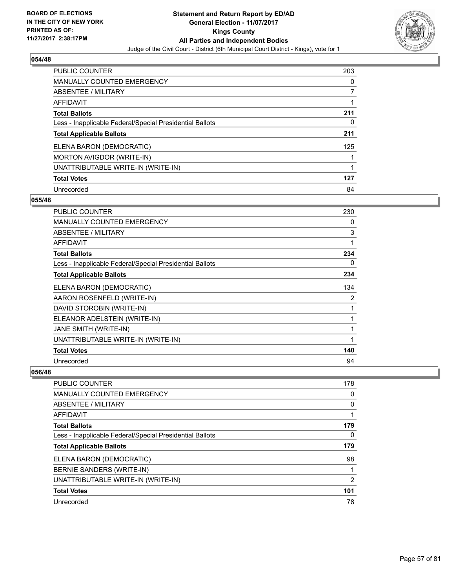

| <b>PUBLIC COUNTER</b>                                    | 203 |
|----------------------------------------------------------|-----|
| <b>MANUALLY COUNTED EMERGENCY</b>                        | 0   |
| ABSENTEE / MILITARY                                      |     |
| AFFIDAVIT                                                |     |
| <b>Total Ballots</b>                                     | 211 |
| Less - Inapplicable Federal/Special Presidential Ballots | 0   |
| <b>Total Applicable Ballots</b>                          | 211 |
| ELENA BARON (DEMOCRATIC)                                 | 125 |
| MORTON AVIGDOR (WRITE-IN)                                |     |
| UNATTRIBUTABLE WRITE-IN (WRITE-IN)                       | 1   |
| <b>Total Votes</b>                                       | 127 |
| Unrecorded                                               | 84  |

#### **055/48**

| <b>PUBLIC COUNTER</b>                                    | 230 |
|----------------------------------------------------------|-----|
| <b>MANUALLY COUNTED EMERGENCY</b>                        | 0   |
| <b>ABSENTEE / MILITARY</b>                               | 3   |
| AFFIDAVIT                                                | 1   |
| <b>Total Ballots</b>                                     | 234 |
| Less - Inapplicable Federal/Special Presidential Ballots | 0   |
| <b>Total Applicable Ballots</b>                          | 234 |
| ELENA BARON (DEMOCRATIC)                                 | 134 |
| AARON ROSENFELD (WRITE-IN)                               | 2   |
| DAVID STOROBIN (WRITE-IN)                                | 1   |
| ELEANOR ADELSTEIN (WRITE-IN)                             | 1   |
| JANE SMITH (WRITE-IN)                                    | 1   |
| UNATTRIBUTABLE WRITE-IN (WRITE-IN)                       | 1   |
| <b>Total Votes</b>                                       | 140 |
| Unrecorded                                               | 94  |

| <b>PUBLIC COUNTER</b>                                    | 178 |
|----------------------------------------------------------|-----|
| <b>MANUALLY COUNTED EMERGENCY</b>                        | 0   |
| <b>ABSENTEE / MILITARY</b>                               | 0   |
| AFFIDAVIT                                                |     |
| <b>Total Ballots</b>                                     | 179 |
| Less - Inapplicable Federal/Special Presidential Ballots | 0   |
| <b>Total Applicable Ballots</b>                          | 179 |
| ELENA BARON (DEMOCRATIC)                                 | 98  |
| BERNIE SANDERS (WRITE-IN)                                |     |
| UNATTRIBUTABLE WRITE-IN (WRITE-IN)                       | 2   |
| <b>Total Votes</b>                                       | 101 |
| Unrecorded                                               | 78  |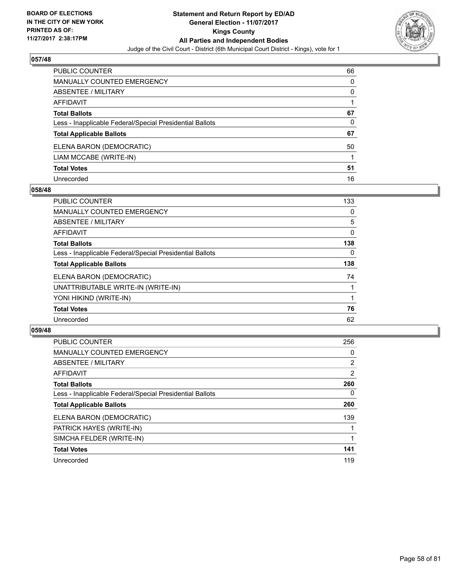

| PUBLIC COUNTER                                           | 66 |
|----------------------------------------------------------|----|
| <b>MANUALLY COUNTED EMERGENCY</b>                        | 0  |
| <b>ABSENTEE / MILITARY</b>                               | 0  |
| AFFIDAVIT                                                |    |
| <b>Total Ballots</b>                                     | 67 |
| Less - Inapplicable Federal/Special Presidential Ballots | 0  |
| <b>Total Applicable Ballots</b>                          | 67 |
| ELENA BARON (DEMOCRATIC)                                 | 50 |
| LIAM MCCABE (WRITE-IN)                                   |    |
| <b>Total Votes</b>                                       | 51 |
| Unrecorded                                               | 16 |

### **058/48**

| <b>PUBLIC COUNTER</b>                                    | 133      |
|----------------------------------------------------------|----------|
| MANUALLY COUNTED EMERGENCY                               | 0        |
| ABSENTEE / MILITARY                                      | 5        |
| <b>AFFIDAVIT</b>                                         | 0        |
| <b>Total Ballots</b>                                     | 138      |
| Less - Inapplicable Federal/Special Presidential Ballots | $\Omega$ |
| <b>Total Applicable Ballots</b>                          | 138      |
| ELENA BARON (DEMOCRATIC)                                 | 74       |
| UNATTRIBUTABLE WRITE-IN (WRITE-IN)                       |          |
| YONI HIKIND (WRITE-IN)                                   |          |
| <b>Total Votes</b>                                       | 76       |
| Unrecorded                                               | 62       |

| <b>PUBLIC COUNTER</b>                                    | 256            |
|----------------------------------------------------------|----------------|
| <b>MANUALLY COUNTED EMERGENCY</b>                        | 0              |
| <b>ABSENTEE / MILITARY</b>                               | $\overline{2}$ |
| <b>AFFIDAVIT</b>                                         | 2              |
| <b>Total Ballots</b>                                     | 260            |
| Less - Inapplicable Federal/Special Presidential Ballots | 0              |
| <b>Total Applicable Ballots</b>                          | 260            |
| ELENA BARON (DEMOCRATIC)                                 | 139            |
| PATRICK HAYES (WRITE-IN)                                 |                |
| SIMCHA FELDER (WRITE-IN)                                 |                |
| <b>Total Votes</b>                                       | 141            |
| Unrecorded                                               | 119            |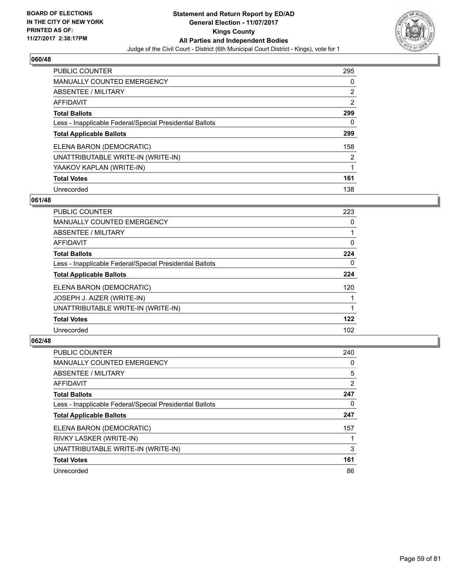

| <b>PUBLIC COUNTER</b>                                    | 295 |
|----------------------------------------------------------|-----|
| <b>MANUALLY COUNTED EMERGENCY</b>                        | 0   |
| ABSENTEE / MILITARY                                      | 2   |
| AFFIDAVIT                                                | 2   |
| <b>Total Ballots</b>                                     | 299 |
| Less - Inapplicable Federal/Special Presidential Ballots | 0   |
| <b>Total Applicable Ballots</b>                          | 299 |
| ELENA BARON (DEMOCRATIC)                                 | 158 |
| UNATTRIBUTABLE WRITE-IN (WRITE-IN)                       | 2   |
| YAAKOV KAPLAN (WRITE-IN)                                 | 1   |
| <b>Total Votes</b>                                       | 161 |
| Unrecorded                                               | 138 |

#### **061/48**

| <b>PUBLIC COUNTER</b>                                    | 223 |
|----------------------------------------------------------|-----|
| <b>MANUALLY COUNTED EMERGENCY</b>                        | 0   |
| ABSENTEE / MILITARY                                      |     |
| <b>AFFIDAVIT</b>                                         | 0   |
| <b>Total Ballots</b>                                     | 224 |
| Less - Inapplicable Federal/Special Presidential Ballots | 0   |
| <b>Total Applicable Ballots</b>                          | 224 |
| ELENA BARON (DEMOCRATIC)                                 | 120 |
| JOSEPH J. AIZER (WRITE-IN)                               |     |
| UNATTRIBUTABLE WRITE-IN (WRITE-IN)                       |     |
| <b>Total Votes</b>                                       | 122 |
| Unrecorded                                               | 102 |

| <b>PUBLIC COUNTER</b>                                    | 240            |
|----------------------------------------------------------|----------------|
| <b>MANUALLY COUNTED EMERGENCY</b>                        | 0              |
| ABSENTEE / MILITARY                                      | 5              |
| <b>AFFIDAVIT</b>                                         | $\overline{2}$ |
| <b>Total Ballots</b>                                     | 247            |
| Less - Inapplicable Federal/Special Presidential Ballots | 0              |
| <b>Total Applicable Ballots</b>                          | 247            |
| ELENA BARON (DEMOCRATIC)                                 | 157            |
| RIVKY LASKER (WRITE-IN)                                  |                |
| UNATTRIBUTABLE WRITE-IN (WRITE-IN)                       | 3              |
| <b>Total Votes</b>                                       | 161            |
| Unrecorded                                               | 86             |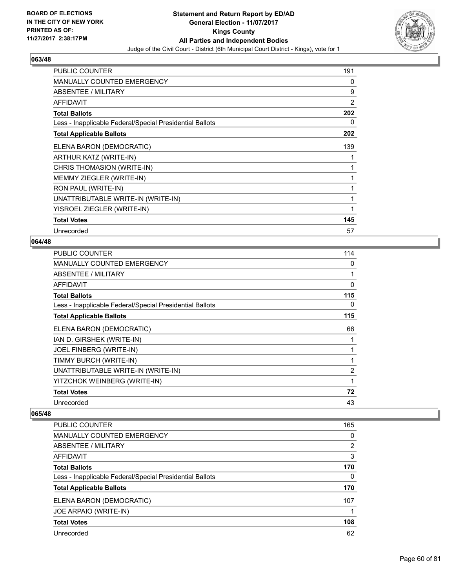

| <b>PUBLIC COUNTER</b>                                    | 191 |
|----------------------------------------------------------|-----|
| MANUALLY COUNTED EMERGENCY                               | 0   |
| ABSENTEE / MILITARY                                      | 9   |
| <b>AFFIDAVIT</b>                                         | 2   |
| <b>Total Ballots</b>                                     | 202 |
| Less - Inapplicable Federal/Special Presidential Ballots | 0   |
| <b>Total Applicable Ballots</b>                          | 202 |
| ELENA BARON (DEMOCRATIC)                                 | 139 |
| ARTHUR KATZ (WRITE-IN)                                   | 1   |
| CHRIS THOMASION (WRITE-IN)                               | 1   |
| MEMMY ZIEGLER (WRITE-IN)                                 | 1   |
| RON PAUL (WRITE-IN)                                      | 1   |
| UNATTRIBUTABLE WRITE-IN (WRITE-IN)                       | 1   |
| YISROEL ZIEGLER (WRITE-IN)                               | 1   |
| <b>Total Votes</b>                                       | 145 |
| Unrecorded                                               | 57  |

### **064/48**

| PUBLIC COUNTER                                           | 114 |
|----------------------------------------------------------|-----|
| <b>MANUALLY COUNTED EMERGENCY</b>                        | 0   |
| ABSENTEE / MILITARY                                      | 1   |
| <b>AFFIDAVIT</b>                                         | 0   |
| <b>Total Ballots</b>                                     | 115 |
| Less - Inapplicable Federal/Special Presidential Ballots | 0   |
| <b>Total Applicable Ballots</b>                          | 115 |
| ELENA BARON (DEMOCRATIC)                                 | 66  |
| IAN D. GIRSHEK (WRITE-IN)                                | 1   |
| JOEL FINBERG (WRITE-IN)                                  | 1   |
| TIMMY BURCH (WRITE-IN)                                   | 1   |
| UNATTRIBUTABLE WRITE-IN (WRITE-IN)                       | 2   |
| YITZCHOK WEINBERG (WRITE-IN)                             | 1   |
| <b>Total Votes</b>                                       | 72  |
| Unrecorded                                               | 43  |

| <b>PUBLIC COUNTER</b>                                    | 165 |
|----------------------------------------------------------|-----|
| <b>MANUALLY COUNTED EMERGENCY</b>                        | 0   |
| <b>ABSENTEE / MILITARY</b>                               | 2   |
| AFFIDAVIT                                                | 3   |
| <b>Total Ballots</b>                                     | 170 |
| Less - Inapplicable Federal/Special Presidential Ballots | 0   |
| <b>Total Applicable Ballots</b>                          | 170 |
| ELENA BARON (DEMOCRATIC)                                 | 107 |
| JOE ARPAIO (WRITE-IN)                                    |     |
| <b>Total Votes</b>                                       | 108 |
| Unrecorded                                               | 62  |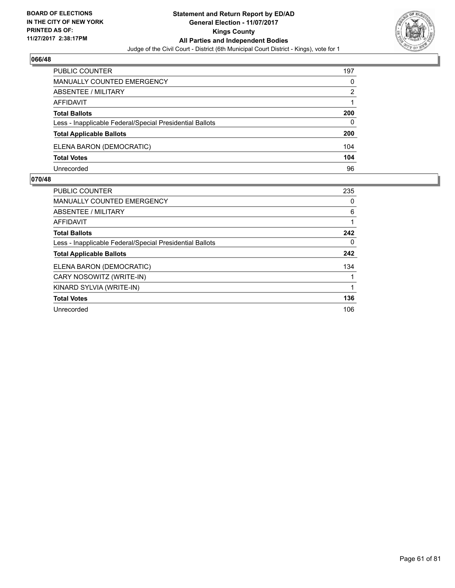

| <b>PUBLIC COUNTER</b>                                    | 197 |
|----------------------------------------------------------|-----|
| MANUALLY COUNTED EMERGENCY                               | 0   |
| ABSENTEE / MILITARY                                      | 2   |
| AFFIDAVIT                                                |     |
| <b>Total Ballots</b>                                     | 200 |
| Less - Inapplicable Federal/Special Presidential Ballots | 0   |
| <b>Total Applicable Ballots</b>                          | 200 |
| ELENA BARON (DEMOCRATIC)                                 | 104 |
| <b>Total Votes</b>                                       | 104 |
| Unrecorded                                               | 96  |

| <b>PUBLIC COUNTER</b>                                    | 235 |
|----------------------------------------------------------|-----|
| <b>MANUALLY COUNTED EMERGENCY</b>                        | 0   |
| ABSENTEE / MILITARY                                      | 6   |
| AFFIDAVIT                                                | 1   |
| <b>Total Ballots</b>                                     | 242 |
| Less - Inapplicable Federal/Special Presidential Ballots | 0   |
| <b>Total Applicable Ballots</b>                          | 242 |
| ELENA BARON (DEMOCRATIC)                                 | 134 |
| CARY NOSOWITZ (WRITE-IN)                                 |     |
| KINARD SYLVIA (WRITE-IN)                                 |     |
| <b>Total Votes</b>                                       | 136 |
| Unrecorded                                               | 106 |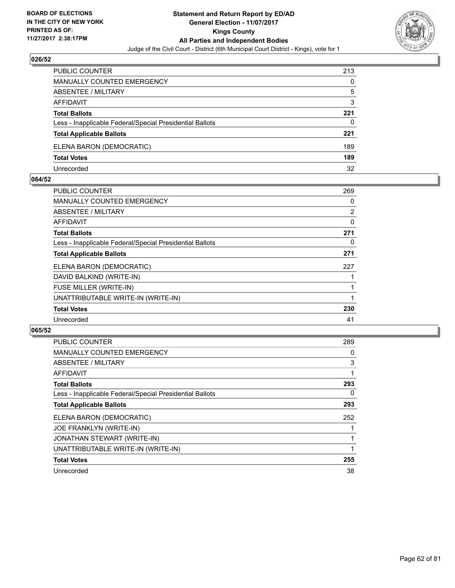

| <b>PUBLIC COUNTER</b>                                    | 213 |
|----------------------------------------------------------|-----|
| MANUALLY COUNTED EMERGENCY                               | 0   |
| <b>ABSENTEE / MILITARY</b>                               | 5   |
| AFFIDAVIT                                                | 3   |
| <b>Total Ballots</b>                                     | 221 |
| Less - Inapplicable Federal/Special Presidential Ballots | 0   |
| <b>Total Applicable Ballots</b>                          | 221 |
| ELENA BARON (DEMOCRATIC)                                 | 189 |
| <b>Total Votes</b>                                       | 189 |
| Unrecorded                                               | 32  |

#### **064/52**

| <b>PUBLIC COUNTER</b>                                    | 269 |
|----------------------------------------------------------|-----|
| MANUALLY COUNTED EMERGENCY                               | 0   |
| ABSENTEE / MILITARY                                      | 2   |
| <b>AFFIDAVIT</b>                                         | 0   |
| <b>Total Ballots</b>                                     | 271 |
| Less - Inapplicable Federal/Special Presidential Ballots | 0   |
| <b>Total Applicable Ballots</b>                          | 271 |
| ELENA BARON (DEMOCRATIC)                                 | 227 |
| DAVID BALKIND (WRITE-IN)                                 |     |
| FUSE MILLER (WRITE-IN)                                   |     |
| UNATTRIBUTABLE WRITE-IN (WRITE-IN)                       |     |
| <b>Total Votes</b>                                       | 230 |
| Unrecorded                                               | 41  |
|                                                          |     |

| <b>PUBLIC COUNTER</b>                                    | 289 |
|----------------------------------------------------------|-----|
| <b>MANUALLY COUNTED EMERGENCY</b>                        | 0   |
| ABSENTEE / MILITARY                                      | 3   |
| <b>AFFIDAVIT</b>                                         |     |
| <b>Total Ballots</b>                                     | 293 |
| Less - Inapplicable Federal/Special Presidential Ballots | 0   |
| <b>Total Applicable Ballots</b>                          | 293 |
| ELENA BARON (DEMOCRATIC)                                 | 252 |
| <b>JOE FRANKLYN (WRITE-IN)</b>                           |     |
| <b>JONATHAN STEWART (WRITE-IN)</b>                       |     |
| UNATTRIBUTABLE WRITE-IN (WRITE-IN)                       |     |
| <b>Total Votes</b>                                       | 255 |
| Unrecorded                                               | 38  |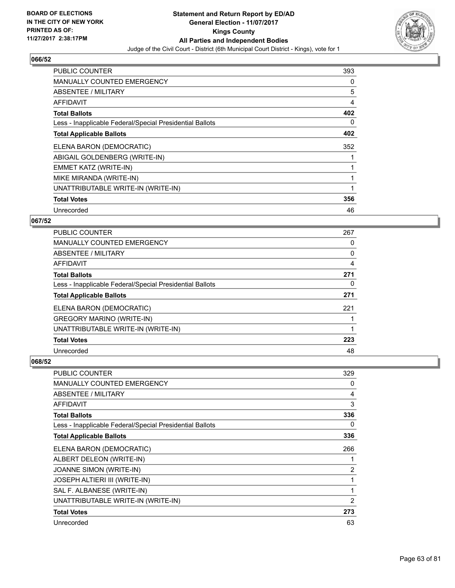

| <b>PUBLIC COUNTER</b>                                    | 393 |
|----------------------------------------------------------|-----|
| <b>MANUALLY COUNTED EMERGENCY</b>                        | 0   |
| <b>ABSENTEE / MILITARY</b>                               | 5   |
| AFFIDAVIT                                                | 4   |
| <b>Total Ballots</b>                                     | 402 |
| Less - Inapplicable Federal/Special Presidential Ballots | 0   |
| <b>Total Applicable Ballots</b>                          | 402 |
| ELENA BARON (DEMOCRATIC)                                 | 352 |
| ABIGAIL GOLDENBERG (WRITE-IN)                            |     |
| EMMET KATZ (WRITE-IN)                                    |     |
| MIKE MIRANDA (WRITE-IN)                                  | 1   |
| UNATTRIBUTABLE WRITE-IN (WRITE-IN)                       |     |
| <b>Total Votes</b>                                       | 356 |
|                                                          |     |

## **067/52**

| <b>PUBLIC COUNTER</b>                                    | 267 |
|----------------------------------------------------------|-----|
| <b>MANUALLY COUNTED EMERGENCY</b>                        | 0   |
| ABSENTEE / MILITARY                                      | 0   |
| <b>AFFIDAVIT</b>                                         | 4   |
| <b>Total Ballots</b>                                     | 271 |
| Less - Inapplicable Federal/Special Presidential Ballots | 0   |
| <b>Total Applicable Ballots</b>                          | 271 |
| ELENA BARON (DEMOCRATIC)                                 | 221 |
| <b>GREGORY MARINO (WRITE-IN)</b>                         |     |
| UNATTRIBUTABLE WRITE-IN (WRITE-IN)                       |     |
| <b>Total Votes</b>                                       | 223 |
| Unrecorded                                               | 48  |

| <b>PUBLIC COUNTER</b>                                    | 329 |
|----------------------------------------------------------|-----|
| <b>MANUALLY COUNTED EMERGENCY</b>                        | 0   |
| <b>ABSENTEE / MILITARY</b>                               | 4   |
| AFFIDAVIT                                                | 3   |
| <b>Total Ballots</b>                                     | 336 |
| Less - Inapplicable Federal/Special Presidential Ballots | 0   |
| <b>Total Applicable Ballots</b>                          | 336 |
| ELENA BARON (DEMOCRATIC)                                 | 266 |
| ALBERT DELEON (WRITE-IN)                                 |     |
| JOANNE SIMON (WRITE-IN)                                  | 2   |
| JOSEPH ALTIERI III (WRITE-IN)                            | 1   |
| SAL F. ALBANESE (WRITE-IN)                               | 1   |
| UNATTRIBUTABLE WRITE-IN (WRITE-IN)                       | 2   |
| <b>Total Votes</b>                                       | 273 |
| Unrecorded                                               | 63  |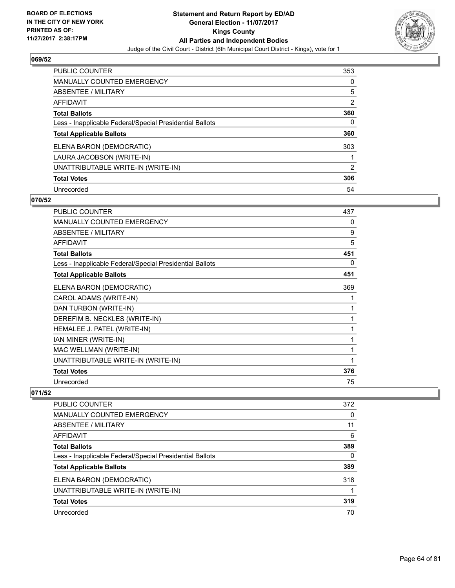

| <b>PUBLIC COUNTER</b>                                    | 353 |
|----------------------------------------------------------|-----|
| <b>MANUALLY COUNTED EMERGENCY</b>                        | 0   |
| ABSENTEE / MILITARY                                      | 5   |
| AFFIDAVIT                                                | 2   |
| <b>Total Ballots</b>                                     | 360 |
| Less - Inapplicable Federal/Special Presidential Ballots | 0   |
| <b>Total Applicable Ballots</b>                          | 360 |
| ELENA BARON (DEMOCRATIC)                                 | 303 |
| LAURA JACOBSON (WRITE-IN)                                |     |
| UNATTRIBUTABLE WRITE-IN (WRITE-IN)                       | 2   |
| <b>Total Votes</b>                                       | 306 |
| Unrecorded                                               | 54  |

### **070/52**

| <b>PUBLIC COUNTER</b>                                    | 437 |
|----------------------------------------------------------|-----|
| <b>MANUALLY COUNTED EMERGENCY</b>                        | 0   |
| <b>ABSENTEE / MILITARY</b>                               | 9   |
| <b>AFFIDAVIT</b>                                         | 5   |
| <b>Total Ballots</b>                                     | 451 |
| Less - Inapplicable Federal/Special Presidential Ballots | 0   |
| <b>Total Applicable Ballots</b>                          | 451 |
| ELENA BARON (DEMOCRATIC)                                 | 369 |
| CAROL ADAMS (WRITE-IN)                                   | 1   |
| DAN TURBON (WRITE-IN)                                    | 1   |
| DEREFIM B. NECKLES (WRITE-IN)                            | 1   |
| HEMALEE J. PATEL (WRITE-IN)                              | 1   |
| IAN MINER (WRITE-IN)                                     | 1   |
| MAC WELLMAN (WRITE-IN)                                   | 1   |
| UNATTRIBUTABLE WRITE-IN (WRITE-IN)                       | 1   |
| <b>Total Votes</b>                                       | 376 |
| Unrecorded                                               | 75  |

| <b>PUBLIC COUNTER</b>                                    | 372 |
|----------------------------------------------------------|-----|
| <b>MANUALLY COUNTED EMERGENCY</b>                        | 0   |
| ABSENTEE / MILITARY                                      | 11  |
| AFFIDAVIT                                                | 6   |
| <b>Total Ballots</b>                                     | 389 |
| Less - Inapplicable Federal/Special Presidential Ballots | 0   |
| <b>Total Applicable Ballots</b>                          | 389 |
| ELENA BARON (DEMOCRATIC)                                 | 318 |
| UNATTRIBUTABLE WRITE-IN (WRITE-IN)                       |     |
| <b>Total Votes</b>                                       | 319 |
| Unrecorded                                               | 70  |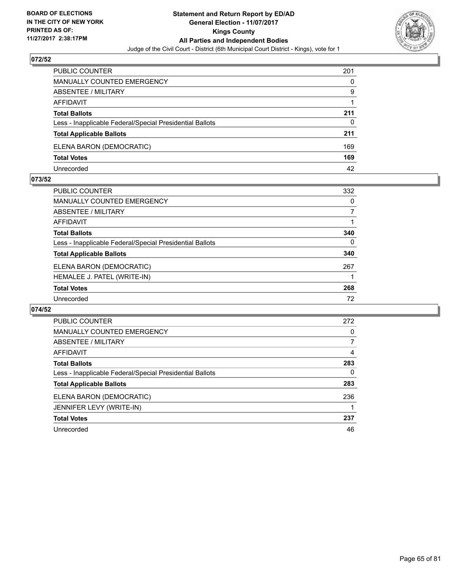

| PUBLIC COUNTER                                           | 201 |
|----------------------------------------------------------|-----|
| MANUALLY COUNTED EMERGENCY                               | 0   |
| ABSENTEE / MILITARY                                      | 9   |
| AFFIDAVIT                                                |     |
| <b>Total Ballots</b>                                     | 211 |
| Less - Inapplicable Federal/Special Presidential Ballots | 0   |
| <b>Total Applicable Ballots</b>                          | 211 |
| ELENA BARON (DEMOCRATIC)                                 | 169 |
| <b>Total Votes</b>                                       | 169 |
| Unrecorded                                               | 42  |

#### **073/52**

| <b>PUBLIC COUNTER</b>                                    | 332      |
|----------------------------------------------------------|----------|
| <b>MANUALLY COUNTED EMERGENCY</b>                        | 0        |
| ABSENTEE / MILITARY                                      |          |
| AFFIDAVIT                                                |          |
| <b>Total Ballots</b>                                     | 340      |
| Less - Inapplicable Federal/Special Presidential Ballots | $\Omega$ |
| <b>Total Applicable Ballots</b>                          | 340      |
| ELENA BARON (DEMOCRATIC)                                 | 267      |
| HEMALEE J. PATEL (WRITE-IN)                              |          |
| <b>Total Votes</b>                                       | 268      |
| Unrecorded                                               | 72       |
|                                                          |          |

| <b>PUBLIC COUNTER</b>                                    | 272 |
|----------------------------------------------------------|-----|
| <b>MANUALLY COUNTED EMERGENCY</b>                        | 0   |
| ABSENTEE / MILITARY                                      | 7   |
| <b>AFFIDAVIT</b>                                         | 4   |
| <b>Total Ballots</b>                                     | 283 |
| Less - Inapplicable Federal/Special Presidential Ballots | 0   |
| <b>Total Applicable Ballots</b>                          | 283 |
| ELENA BARON (DEMOCRATIC)                                 | 236 |
| JENNIFER LEVY (WRITE-IN)                                 |     |
| <b>Total Votes</b>                                       | 237 |
| Unrecorded                                               | 46  |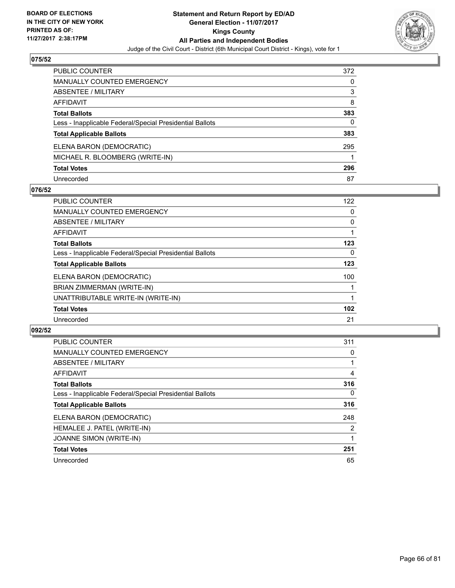

| PUBLIC COUNTER                                           | 372 |
|----------------------------------------------------------|-----|
| <b>MANUALLY COUNTED EMERGENCY</b>                        | 0   |
| ABSENTEE / MILITARY                                      | 3   |
| <b>AFFIDAVIT</b>                                         | 8   |
| <b>Total Ballots</b>                                     | 383 |
| Less - Inapplicable Federal/Special Presidential Ballots | 0   |
| <b>Total Applicable Ballots</b>                          | 383 |
| ELENA BARON (DEMOCRATIC)                                 | 295 |
| MICHAEL R. BLOOMBERG (WRITE-IN)                          |     |
| <b>Total Votes</b>                                       | 296 |
| Unrecorded                                               | 87  |

### **076/52**

| <b>PUBLIC COUNTER</b>                                    | 122 |
|----------------------------------------------------------|-----|
| <b>MANUALLY COUNTED EMERGENCY</b>                        | 0   |
| ABSENTEE / MILITARY                                      | 0   |
| <b>AFFIDAVIT</b>                                         |     |
| <b>Total Ballots</b>                                     | 123 |
| Less - Inapplicable Federal/Special Presidential Ballots | 0   |
| <b>Total Applicable Ballots</b>                          | 123 |
| ELENA BARON (DEMOCRATIC)                                 | 100 |
| BRIAN ZIMMERMAN (WRITE-IN)                               |     |
| UNATTRIBUTABLE WRITE-IN (WRITE-IN)                       |     |
| <b>Total Votes</b>                                       | 102 |
| Unrecorded                                               | 21  |

| <b>PUBLIC COUNTER</b>                                    | 311            |
|----------------------------------------------------------|----------------|
| <b>MANUALLY COUNTED EMERGENCY</b>                        | 0              |
| ABSENTEE / MILITARY                                      |                |
| <b>AFFIDAVIT</b>                                         | 4              |
| <b>Total Ballots</b>                                     | 316            |
| Less - Inapplicable Federal/Special Presidential Ballots | $\Omega$       |
| <b>Total Applicable Ballots</b>                          | 316            |
| ELENA BARON (DEMOCRATIC)                                 | 248            |
| HEMALEE J. PATEL (WRITE-IN)                              | $\overline{2}$ |
| JOANNE SIMON (WRITE-IN)                                  |                |
| <b>Total Votes</b>                                       | 251            |
| Unrecorded                                               | 65             |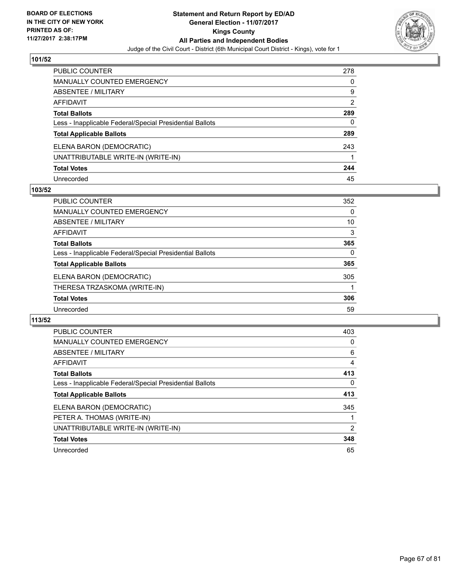

| <b>PUBLIC COUNTER</b>                                    | 278            |
|----------------------------------------------------------|----------------|
| <b>MANUALLY COUNTED EMERGENCY</b>                        | 0              |
| ABSENTEE / MILITARY                                      | 9              |
| <b>AFFIDAVIT</b>                                         | $\overline{2}$ |
| <b>Total Ballots</b>                                     | 289            |
| Less - Inapplicable Federal/Special Presidential Ballots | 0              |
| <b>Total Applicable Ballots</b>                          | 289            |
| ELENA BARON (DEMOCRATIC)                                 | 243            |
| UNATTRIBUTABLE WRITE-IN (WRITE-IN)                       |                |
| <b>Total Votes</b>                                       | 244            |
| Unrecorded                                               | 45             |

### **103/52**

| <b>PUBLIC COUNTER</b>                                    | 352 |
|----------------------------------------------------------|-----|
| <b>MANUALLY COUNTED EMERGENCY</b>                        | 0   |
| ABSENTEE / MILITARY                                      | 10  |
| AFFIDAVIT                                                | 3   |
| <b>Total Ballots</b>                                     | 365 |
| Less - Inapplicable Federal/Special Presidential Ballots | 0   |
| <b>Total Applicable Ballots</b>                          | 365 |
| ELENA BARON (DEMOCRATIC)                                 | 305 |
| THERESA TRZASKOMA (WRITE-IN)                             |     |
| <b>Total Votes</b>                                       | 306 |
| Unrecorded                                               | 59  |

| PUBLIC COUNTER                                           | 403 |
|----------------------------------------------------------|-----|
| <b>MANUALLY COUNTED EMERGENCY</b>                        | 0   |
| ABSENTEE / MILITARY                                      | 6   |
| AFFIDAVIT                                                | 4   |
| <b>Total Ballots</b>                                     | 413 |
| Less - Inapplicable Federal/Special Presidential Ballots | 0   |
| <b>Total Applicable Ballots</b>                          | 413 |
| ELENA BARON (DEMOCRATIC)                                 | 345 |
| PETER A. THOMAS (WRITE-IN)                               |     |
| UNATTRIBUTABLE WRITE-IN (WRITE-IN)                       | 2   |
| <b>Total Votes</b>                                       | 348 |
| Unrecorded                                               | 65  |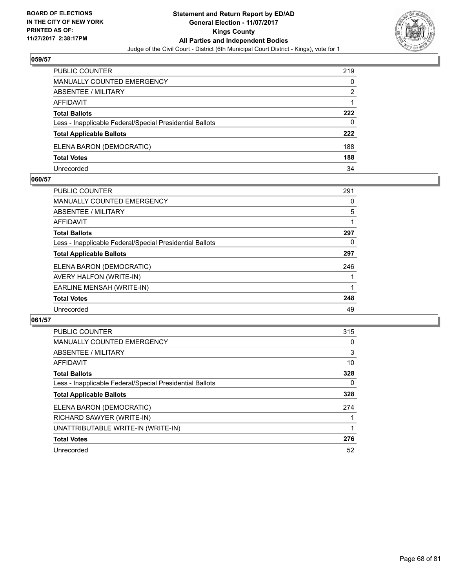

| PUBLIC COUNTER                                           | 219 |
|----------------------------------------------------------|-----|
| <b>MANUALLY COUNTED EMERGENCY</b>                        | 0   |
| <b>ABSENTEE / MILITARY</b>                               | 2   |
| AFFIDAVIT                                                |     |
| <b>Total Ballots</b>                                     | 222 |
| Less - Inapplicable Federal/Special Presidential Ballots | 0   |
| <b>Total Applicable Ballots</b>                          | 222 |
| ELENA BARON (DEMOCRATIC)                                 | 188 |
| <b>Total Votes</b>                                       | 188 |
| Unrecorded                                               | 34  |

#### **060/57**

| <b>PUBLIC COUNTER</b>                                    | 291 |
|----------------------------------------------------------|-----|
| MANUALLY COUNTED EMERGENCY                               | 0   |
| ABSENTEE / MILITARY                                      | 5   |
| AFFIDAVIT                                                |     |
| <b>Total Ballots</b>                                     | 297 |
| Less - Inapplicable Federal/Special Presidential Ballots | 0   |
| <b>Total Applicable Ballots</b>                          | 297 |
| ELENA BARON (DEMOCRATIC)                                 | 246 |
| AVERY HALFON (WRITE-IN)                                  |     |
| EARLINE MENSAH (WRITE-IN)                                |     |
| <b>Total Votes</b>                                       | 248 |
| Unrecorded                                               | 49  |
|                                                          |     |

| <b>PUBLIC COUNTER</b>                                    | 315 |
|----------------------------------------------------------|-----|
| <b>MANUALLY COUNTED EMERGENCY</b>                        | 0   |
| ABSENTEE / MILITARY                                      | 3   |
| AFFIDAVIT                                                | 10  |
| <b>Total Ballots</b>                                     | 328 |
| Less - Inapplicable Federal/Special Presidential Ballots | 0   |
| <b>Total Applicable Ballots</b>                          | 328 |
| ELENA BARON (DEMOCRATIC)                                 | 274 |
| RICHARD SAWYER (WRITE-IN)                                |     |
| UNATTRIBUTABLE WRITE-IN (WRITE-IN)                       |     |
| <b>Total Votes</b>                                       | 276 |
| Unrecorded                                               | 52  |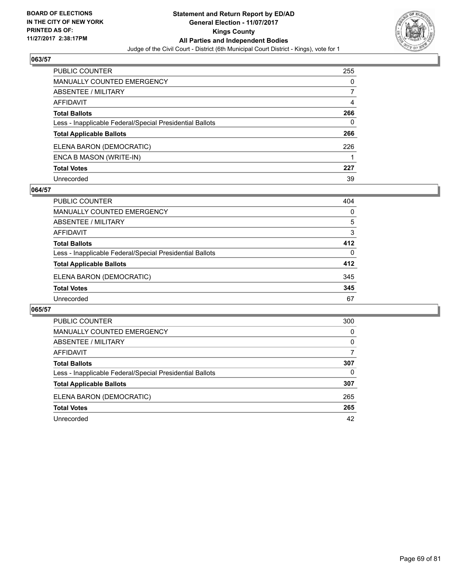

| <b>PUBLIC COUNTER</b>                                    | 255 |
|----------------------------------------------------------|-----|
| <b>MANUALLY COUNTED EMERGENCY</b>                        | 0   |
| <b>ABSENTEE / MILITARY</b>                               |     |
| <b>AFFIDAVIT</b>                                         | 4   |
| <b>Total Ballots</b>                                     | 266 |
| Less - Inapplicable Federal/Special Presidential Ballots | 0   |
| <b>Total Applicable Ballots</b>                          | 266 |
| ELENA BARON (DEMOCRATIC)                                 | 226 |
| ENCA B MASON (WRITE-IN)                                  |     |
| <b>Total Votes</b>                                       | 227 |
| Unrecorded                                               | 39  |

### **064/57**

| <b>PUBLIC COUNTER</b>                                    | 404 |
|----------------------------------------------------------|-----|
| MANUALLY COUNTED EMERGENCY                               | 0   |
| ABSENTEE / MILITARY                                      | 5   |
| AFFIDAVIT                                                | 3   |
| <b>Total Ballots</b>                                     | 412 |
| Less - Inapplicable Federal/Special Presidential Ballots | 0   |
| <b>Total Applicable Ballots</b>                          | 412 |
| ELENA BARON (DEMOCRATIC)                                 | 345 |
| <b>Total Votes</b>                                       | 345 |
| Unrecorded                                               | 67  |

| PUBLIC COUNTER                                           | 300 |
|----------------------------------------------------------|-----|
| <b>MANUALLY COUNTED EMERGENCY</b>                        | 0   |
| ABSENTEE / MILITARY                                      | 0   |
| AFFIDAVIT                                                | 7   |
| <b>Total Ballots</b>                                     | 307 |
| Less - Inapplicable Federal/Special Presidential Ballots | 0   |
| <b>Total Applicable Ballots</b>                          | 307 |
| ELENA BARON (DEMOCRATIC)                                 | 265 |
| <b>Total Votes</b>                                       | 265 |
| Unrecorded                                               | 42  |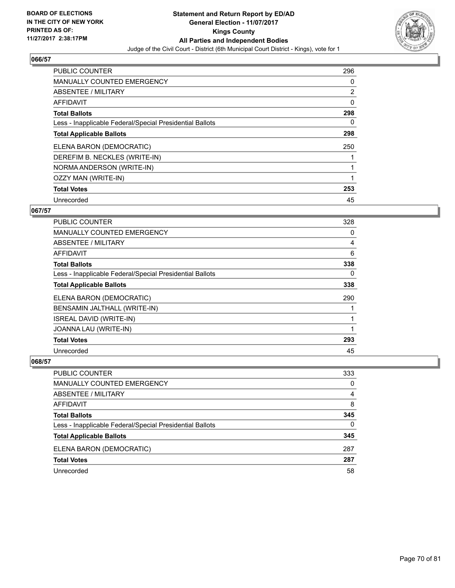

| <b>PUBLIC COUNTER</b>                                    | 296            |
|----------------------------------------------------------|----------------|
| <b>MANUALLY COUNTED EMERGENCY</b>                        | 0              |
| ABSENTEE / MILITARY                                      | $\overline{2}$ |
| <b>AFFIDAVIT</b>                                         | 0              |
| <b>Total Ballots</b>                                     | 298            |
| Less - Inapplicable Federal/Special Presidential Ballots | 0              |
| <b>Total Applicable Ballots</b>                          | 298            |
| ELENA BARON (DEMOCRATIC)                                 | 250            |
| DEREFIM B. NECKLES (WRITE-IN)                            |                |
| NORMA ANDERSON (WRITE-IN)                                |                |
| OZZY MAN (WRITE-IN)                                      |                |
| <b>Total Votes</b>                                       | 253            |
| Unrecorded                                               | 45             |

## **067/57**

| <b>PUBLIC COUNTER</b>                                    | 328 |
|----------------------------------------------------------|-----|
| <b>MANUALLY COUNTED EMERGENCY</b>                        | 0   |
| ABSENTEE / MILITARY                                      | 4   |
| <b>AFFIDAVIT</b>                                         | 6   |
| <b>Total Ballots</b>                                     | 338 |
| Less - Inapplicable Federal/Special Presidential Ballots | 0   |
| <b>Total Applicable Ballots</b>                          | 338 |
| ELENA BARON (DEMOCRATIC)                                 | 290 |
| BENSAMIN JALTHALL (WRITE-IN)                             |     |
| <b>ISREAL DAVID (WRITE-IN)</b>                           |     |
| JOANNA LAU (WRITE-IN)                                    |     |
| <b>Total Votes</b>                                       | 293 |
| Unrecorded                                               | 45  |

| <b>PUBLIC COUNTER</b>                                    | 333 |
|----------------------------------------------------------|-----|
| <b>MANUALLY COUNTED EMERGENCY</b>                        | 0   |
| ABSENTEE / MILITARY                                      | 4   |
| AFFIDAVIT                                                | 8   |
| <b>Total Ballots</b>                                     | 345 |
| Less - Inapplicable Federal/Special Presidential Ballots | 0   |
| <b>Total Applicable Ballots</b>                          | 345 |
| ELENA BARON (DEMOCRATIC)                                 | 287 |
| <b>Total Votes</b>                                       | 287 |
| Unrecorded                                               | 58  |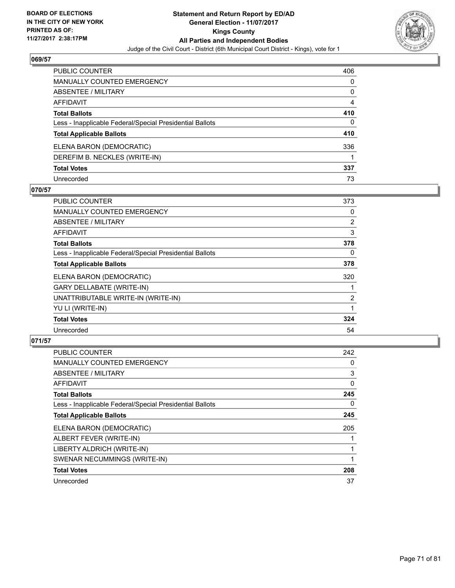

| PUBLIC COUNTER                                           | 406 |
|----------------------------------------------------------|-----|
| <b>MANUALLY COUNTED EMERGENCY</b>                        | 0   |
| ABSENTEE / MILITARY                                      | 0   |
| AFFIDAVIT                                                | 4   |
| <b>Total Ballots</b>                                     | 410 |
| Less - Inapplicable Federal/Special Presidential Ballots | 0   |
| <b>Total Applicable Ballots</b>                          | 410 |
| ELENA BARON (DEMOCRATIC)                                 | 336 |
| DEREFIM B. NECKLES (WRITE-IN)                            |     |
| <b>Total Votes</b>                                       | 337 |
| Unrecorded                                               | 73  |

### **070/57**

| <b>PUBLIC COUNTER</b>                                    | 373            |
|----------------------------------------------------------|----------------|
| <b>MANUALLY COUNTED EMERGENCY</b>                        | 0              |
| ABSENTEE / MILITARY                                      | $\overline{2}$ |
| AFFIDAVIT                                                | 3              |
| <b>Total Ballots</b>                                     | 378            |
| Less - Inapplicable Federal/Special Presidential Ballots | 0              |
| <b>Total Applicable Ballots</b>                          | 378            |
| ELENA BARON (DEMOCRATIC)                                 | 320            |
| <b>GARY DELLABATE (WRITE-IN)</b>                         |                |
| UNATTRIBUTABLE WRITE-IN (WRITE-IN)                       | $\overline{2}$ |
| YU LI (WRITE-IN)                                         |                |
| <b>Total Votes</b>                                       | 324            |
| Unrecorded                                               | 54             |

| <b>PUBLIC COUNTER</b>                                    | 242 |
|----------------------------------------------------------|-----|
| <b>MANUALLY COUNTED EMERGENCY</b>                        | 0   |
| ABSENTEE / MILITARY                                      | 3   |
| AFFIDAVIT                                                | 0   |
| <b>Total Ballots</b>                                     | 245 |
| Less - Inapplicable Federal/Special Presidential Ballots | 0   |
| <b>Total Applicable Ballots</b>                          | 245 |
| ELENA BARON (DEMOCRATIC)                                 | 205 |
| ALBERT FEVER (WRITE-IN)                                  |     |
| LIBERTY ALDRICH (WRITE-IN)                               |     |
| SWENAR NECUMMINGS (WRITE-IN)                             |     |
| <b>Total Votes</b>                                       | 208 |
| Unrecorded                                               | 37  |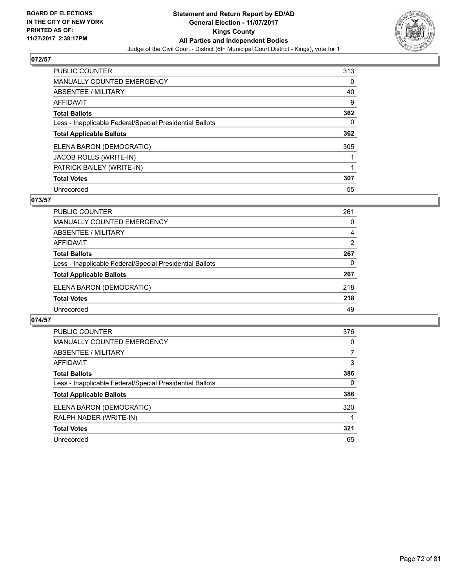

| <b>PUBLIC COUNTER</b>                                    | 313 |
|----------------------------------------------------------|-----|
| <b>MANUALLY COUNTED EMERGENCY</b>                        | 0   |
| ABSENTEE / MILITARY                                      | 40  |
| AFFIDAVIT                                                | 9   |
| <b>Total Ballots</b>                                     | 362 |
| Less - Inapplicable Federal/Special Presidential Ballots | 0   |
| <b>Total Applicable Ballots</b>                          | 362 |
| ELENA BARON (DEMOCRATIC)                                 | 305 |
| JACOB ROLLS (WRITE-IN)                                   |     |
| PATRICK BAILEY (WRITE-IN)                                |     |
| <b>Total Votes</b>                                       | 307 |
| Unrecorded                                               | 55  |

### **073/57**

| <b>PUBLIC COUNTER</b>                                    | 261            |
|----------------------------------------------------------|----------------|
| MANUALLY COUNTED EMERGENCY                               | 0              |
| ABSENTEE / MILITARY                                      | 4              |
| AFFIDAVIT                                                | $\overline{2}$ |
| <b>Total Ballots</b>                                     | 267            |
| Less - Inapplicable Federal/Special Presidential Ballots | 0              |
| <b>Total Applicable Ballots</b>                          | 267            |
| ELENA BARON (DEMOCRATIC)                                 | 218            |
| <b>Total Votes</b>                                       | 218            |
| Unrecorded                                               | 49             |

| <b>PUBLIC COUNTER</b>                                    | 376 |
|----------------------------------------------------------|-----|
| <b>MANUALLY COUNTED EMERGENCY</b>                        | 0   |
| ABSENTEE / MILITARY                                      | 7   |
| <b>AFFIDAVIT</b>                                         | 3   |
| <b>Total Ballots</b>                                     | 386 |
| Less - Inapplicable Federal/Special Presidential Ballots | 0   |
| <b>Total Applicable Ballots</b>                          | 386 |
| ELENA BARON (DEMOCRATIC)                                 | 320 |
| RALPH NADER (WRITE-IN)                                   |     |
| <b>Total Votes</b>                                       | 321 |
| Unrecorded                                               | 65  |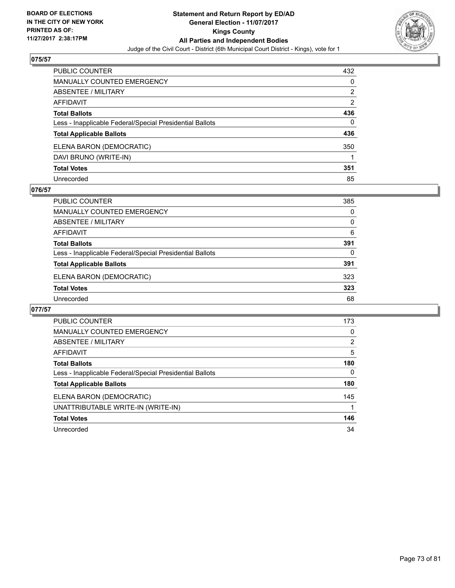

| PUBLIC COUNTER                                           | 432 |
|----------------------------------------------------------|-----|
| <b>MANUALLY COUNTED EMERGENCY</b>                        | 0   |
| <b>ABSENTEE / MILITARY</b>                               | 2   |
| <b>AFFIDAVIT</b>                                         | 2   |
| <b>Total Ballots</b>                                     | 436 |
| Less - Inapplicable Federal/Special Presidential Ballots | 0   |
| <b>Total Applicable Ballots</b>                          | 436 |
| ELENA BARON (DEMOCRATIC)                                 | 350 |
| DAVI BRUNO (WRITE-IN)                                    |     |
| <b>Total Votes</b>                                       | 351 |
| Unrecorded                                               | 85  |

### **076/57**

| <b>PUBLIC COUNTER</b>                                    | 385 |
|----------------------------------------------------------|-----|
| <b>MANUALLY COUNTED EMERGENCY</b>                        | 0   |
| ABSENTEE / MILITARY                                      | 0   |
| AFFIDAVIT                                                | 6   |
| <b>Total Ballots</b>                                     | 391 |
| Less - Inapplicable Federal/Special Presidential Ballots | 0   |
| <b>Total Applicable Ballots</b>                          | 391 |
| ELENA BARON (DEMOCRATIC)                                 | 323 |
| <b>Total Votes</b>                                       | 323 |
| Unrecorded                                               | 68  |

| <b>PUBLIC COUNTER</b>                                    | 173 |
|----------------------------------------------------------|-----|
| <b>MANUALLY COUNTED EMERGENCY</b>                        | 0   |
| ABSENTEE / MILITARY                                      | 2   |
| AFFIDAVIT                                                | 5   |
| <b>Total Ballots</b>                                     | 180 |
| Less - Inapplicable Federal/Special Presidential Ballots | 0   |
| <b>Total Applicable Ballots</b>                          | 180 |
| ELENA BARON (DEMOCRATIC)                                 | 145 |
| UNATTRIBUTABLE WRITE-IN (WRITE-IN)                       |     |
| <b>Total Votes</b>                                       | 146 |
| Unrecorded                                               | 34  |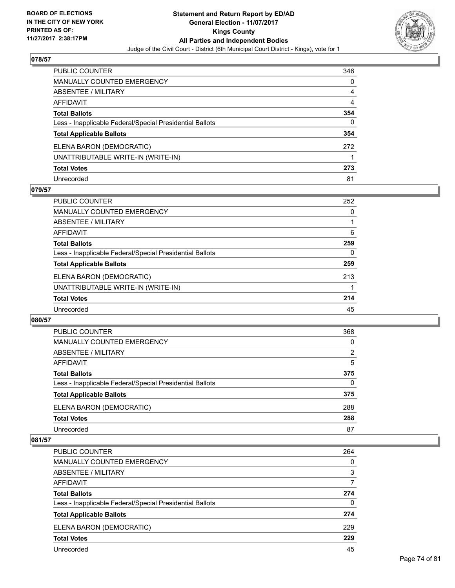

| PUBLIC COUNTER                                           | 346 |
|----------------------------------------------------------|-----|
| <b>MANUALLY COUNTED EMERGENCY</b>                        | 0   |
| ABSENTEE / MILITARY                                      | 4   |
| AFFIDAVIT                                                | 4   |
| <b>Total Ballots</b>                                     | 354 |
| Less - Inapplicable Federal/Special Presidential Ballots | 0   |
| <b>Total Applicable Ballots</b>                          | 354 |
| ELENA BARON (DEMOCRATIC)                                 | 272 |
| UNATTRIBUTABLE WRITE-IN (WRITE-IN)                       |     |
| <b>Total Votes</b>                                       | 273 |
| Unrecorded                                               | 81  |

### **079/57**

| <b>PUBLIC COUNTER</b>                                    | 252 |
|----------------------------------------------------------|-----|
| MANUALLY COUNTED EMERGENCY                               | 0   |
| ABSENTEE / MILITARY                                      |     |
| AFFIDAVIT                                                | 6   |
| <b>Total Ballots</b>                                     | 259 |
| Less - Inapplicable Federal/Special Presidential Ballots | 0   |
| <b>Total Applicable Ballots</b>                          | 259 |
| ELENA BARON (DEMOCRATIC)                                 | 213 |
| UNATTRIBUTABLE WRITE-IN (WRITE-IN)                       |     |
| <b>Total Votes</b>                                       | 214 |
| Unrecorded                                               | 45  |

### **080/57**

| PUBLIC COUNTER                                           | 368            |
|----------------------------------------------------------|----------------|
| <b>MANUALLY COUNTED EMERGENCY</b>                        | 0              |
| ABSENTEE / MILITARY                                      | $\overline{2}$ |
| AFFIDAVIT                                                | 5              |
| <b>Total Ballots</b>                                     | 375            |
| Less - Inapplicable Federal/Special Presidential Ballots | 0              |
| <b>Total Applicable Ballots</b>                          | 375            |
| ELENA BARON (DEMOCRATIC)                                 | 288            |
| <b>Total Votes</b>                                       | 288            |
| Unrecorded                                               | 87             |

| <b>PUBLIC COUNTER</b>                                    | 264 |
|----------------------------------------------------------|-----|
| <b>MANUALLY COUNTED EMERGENCY</b>                        | 0   |
| ABSENTEE / MILITARY                                      | 3   |
| AFFIDAVIT                                                | 7   |
| <b>Total Ballots</b>                                     | 274 |
| Less - Inapplicable Federal/Special Presidential Ballots | 0   |
| <b>Total Applicable Ballots</b>                          | 274 |
| ELENA BARON (DEMOCRATIC)                                 | 229 |
| <b>Total Votes</b>                                       | 229 |
| Unrecorded                                               | 45  |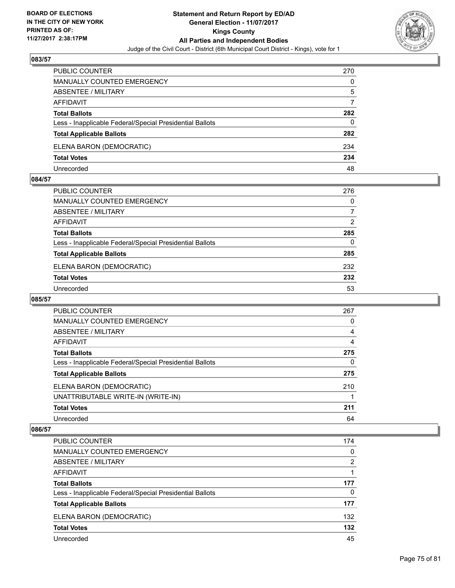

| PUBLIC COUNTER                                           | 270 |
|----------------------------------------------------------|-----|
| <b>MANUALLY COUNTED EMERGENCY</b>                        | 0   |
| ABSENTEE / MILITARY                                      | 5   |
| AFFIDAVIT                                                | 7   |
| <b>Total Ballots</b>                                     | 282 |
| Less - Inapplicable Federal/Special Presidential Ballots | 0   |
| <b>Total Applicable Ballots</b>                          | 282 |
| ELENA BARON (DEMOCRATIC)                                 | 234 |
| <b>Total Votes</b>                                       | 234 |
| Unrecorded                                               | 48  |

### **084/57**

| <b>PUBLIC COUNTER</b>                                    | 276      |
|----------------------------------------------------------|----------|
| MANUALLY COUNTED EMERGENCY                               | 0        |
| ABSENTEE / MILITARY                                      | 7        |
| AFFIDAVIT                                                | 2        |
| <b>Total Ballots</b>                                     | 285      |
| Less - Inapplicable Federal/Special Presidential Ballots | $\Omega$ |
| <b>Total Applicable Ballots</b>                          | 285      |
| ELENA BARON (DEMOCRATIC)                                 | 232      |
| <b>Total Votes</b>                                       | 232      |
| Unrecorded                                               | 53       |
|                                                          |          |

# **085/57**

| <b>PUBLIC COUNTER</b>                                    | 267 |
|----------------------------------------------------------|-----|
| <b>MANUALLY COUNTED EMERGENCY</b>                        | 0   |
| ABSENTEE / MILITARY                                      | 4   |
| AFFIDAVIT                                                | 4   |
| <b>Total Ballots</b>                                     | 275 |
| Less - Inapplicable Federal/Special Presidential Ballots | 0   |
| <b>Total Applicable Ballots</b>                          | 275 |
| ELENA BARON (DEMOCRATIC)                                 | 210 |
| UNATTRIBUTABLE WRITE-IN (WRITE-IN)                       |     |
| <b>Total Votes</b>                                       | 211 |
| Unrecorded                                               | 64  |

| PUBLIC COUNTER                                           | 174 |
|----------------------------------------------------------|-----|
| <b>MANUALLY COUNTED EMERGENCY</b>                        | 0   |
| <b>ABSENTEE / MILITARY</b>                               | 2   |
| AFFIDAVIT                                                |     |
| <b>Total Ballots</b>                                     | 177 |
| Less - Inapplicable Federal/Special Presidential Ballots | 0   |
| <b>Total Applicable Ballots</b>                          | 177 |
| ELENA BARON (DEMOCRATIC)                                 | 132 |
| <b>Total Votes</b>                                       | 132 |
| Unrecorded                                               | 45  |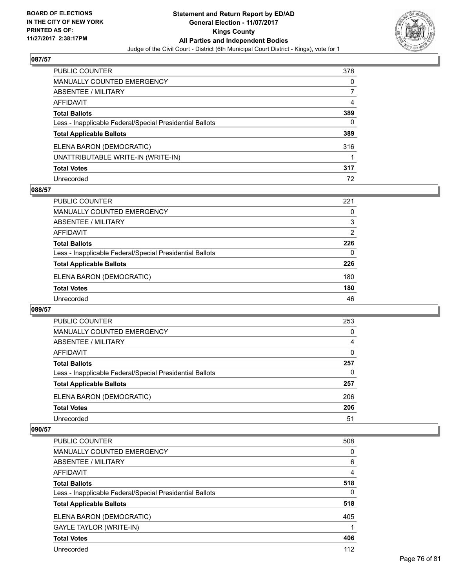

| PUBLIC COUNTER                                           | 378 |
|----------------------------------------------------------|-----|
| <b>MANUALLY COUNTED EMERGENCY</b>                        | 0   |
| ABSENTEE / MILITARY                                      |     |
| AFFIDAVIT                                                | 4   |
| <b>Total Ballots</b>                                     | 389 |
| Less - Inapplicable Federal/Special Presidential Ballots | 0   |
| <b>Total Applicable Ballots</b>                          | 389 |
| ELENA BARON (DEMOCRATIC)                                 | 316 |
| UNATTRIBUTABLE WRITE-IN (WRITE-IN)                       |     |
| <b>Total Votes</b>                                       | 317 |
| Unrecorded                                               | 72  |

### **088/57**

| <b>PUBLIC COUNTER</b>                                    | 221 |
|----------------------------------------------------------|-----|
| <b>MANUALLY COUNTED EMERGENCY</b>                        | 0   |
| ABSENTEE / MILITARY                                      | 3   |
| AFFIDAVIT                                                | 2   |
| <b>Total Ballots</b>                                     | 226 |
| Less - Inapplicable Federal/Special Presidential Ballots | 0   |
| <b>Total Applicable Ballots</b>                          | 226 |
| ELENA BARON (DEMOCRATIC)                                 | 180 |
| <b>Total Votes</b>                                       | 180 |
| Unrecorded                                               | 46  |

### **089/57**

| PUBLIC COUNTER                                           | 253 |
|----------------------------------------------------------|-----|
| <b>MANUALLY COUNTED EMERGENCY</b>                        | 0   |
| <b>ABSENTEE / MILITARY</b>                               | 4   |
| AFFIDAVIT                                                | 0   |
| <b>Total Ballots</b>                                     | 257 |
| Less - Inapplicable Federal/Special Presidential Ballots | 0   |
| <b>Total Applicable Ballots</b>                          | 257 |
| ELENA BARON (DEMOCRATIC)                                 | 206 |
| <b>Total Votes</b>                                       | 206 |
| Unrecorded                                               | 51  |

| <b>PUBLIC COUNTER</b>                                    | 508      |
|----------------------------------------------------------|----------|
| <b>MANUALLY COUNTED EMERGENCY</b>                        | 0        |
| ABSENTEE / MILITARY                                      | 6        |
| AFFIDAVIT                                                | 4        |
| <b>Total Ballots</b>                                     | 518      |
| Less - Inapplicable Federal/Special Presidential Ballots | $\Omega$ |
| <b>Total Applicable Ballots</b>                          | 518      |
| ELENA BARON (DEMOCRATIC)                                 | 405      |
| <b>GAYLE TAYLOR (WRITE-IN)</b>                           |          |
| <b>Total Votes</b>                                       | 406      |
| Unrecorded                                               | 112      |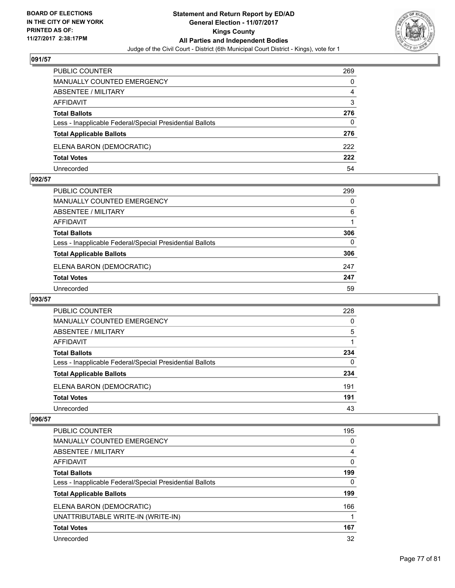

| <b>PUBLIC COUNTER</b>                                    | 269 |
|----------------------------------------------------------|-----|
| <b>MANUALLY COUNTED EMERGENCY</b>                        | 0   |
| ABSENTEE / MILITARY                                      | 4   |
| AFFIDAVIT                                                | 3   |
| <b>Total Ballots</b>                                     | 276 |
| Less - Inapplicable Federal/Special Presidential Ballots | 0   |
| <b>Total Applicable Ballots</b>                          | 276 |
| ELENA BARON (DEMOCRATIC)                                 | 222 |
| <b>Total Votes</b>                                       | 222 |
| Unrecorded                                               | 54  |

### **092/57**

| PUBLIC COUNTER                                           | 299 |
|----------------------------------------------------------|-----|
| <b>MANUALLY COUNTED EMERGENCY</b>                        | 0   |
| ABSENTEE / MILITARY                                      | 6   |
| AFFIDAVIT                                                |     |
| <b>Total Ballots</b>                                     | 306 |
| Less - Inapplicable Federal/Special Presidential Ballots | 0   |
| <b>Total Applicable Ballots</b>                          | 306 |
| ELENA BARON (DEMOCRATIC)                                 | 247 |
| <b>Total Votes</b>                                       | 247 |
| Unrecorded                                               | 59  |
|                                                          |     |

# **093/57**

| <b>PUBLIC COUNTER</b>                                    | 228 |
|----------------------------------------------------------|-----|
| <b>MANUALLY COUNTED EMERGENCY</b>                        | 0   |
| ABSENTEE / MILITARY                                      | 5   |
| AFFIDAVIT                                                |     |
| <b>Total Ballots</b>                                     | 234 |
| Less - Inapplicable Federal/Special Presidential Ballots | 0   |
| <b>Total Applicable Ballots</b>                          | 234 |
| ELENA BARON (DEMOCRATIC)                                 | 191 |
| <b>Total Votes</b>                                       | 191 |
| Unrecorded                                               | 43  |

| PUBLIC COUNTER                                           | 195 |
|----------------------------------------------------------|-----|
| <b>MANUALLY COUNTED EMERGENCY</b>                        | 0   |
| ABSENTEE / MILITARY                                      | 4   |
| AFFIDAVIT                                                | 0   |
| <b>Total Ballots</b>                                     | 199 |
| Less - Inapplicable Federal/Special Presidential Ballots | 0   |
| <b>Total Applicable Ballots</b>                          | 199 |
| ELENA BARON (DEMOCRATIC)                                 | 166 |
| UNATTRIBUTABLE WRITE-IN (WRITE-IN)                       |     |
| <b>Total Votes</b>                                       | 167 |
| Unrecorded                                               | 32  |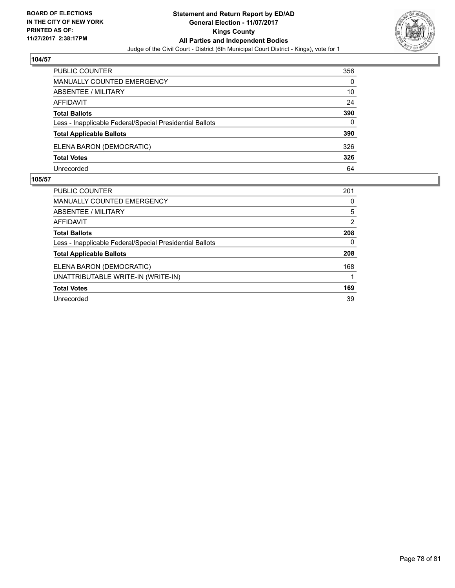

| PUBLIC COUNTER                                           | 356 |
|----------------------------------------------------------|-----|
| <b>MANUALLY COUNTED EMERGENCY</b>                        | 0   |
| ABSENTEE / MILITARY                                      | 10  |
| AFFIDAVIT                                                | 24  |
| <b>Total Ballots</b>                                     | 390 |
| Less - Inapplicable Federal/Special Presidential Ballots | 0   |
| <b>Total Applicable Ballots</b>                          | 390 |
| ELENA BARON (DEMOCRATIC)                                 | 326 |
| <b>Total Votes</b>                                       | 326 |
| Unrecorded                                               | 64  |

| <b>PUBLIC COUNTER</b>                                    | 201            |
|----------------------------------------------------------|----------------|
| <b>MANUALLY COUNTED EMERGENCY</b>                        | 0              |
| ABSENTEE / MILITARY                                      | 5              |
| AFFIDAVIT                                                | $\overline{2}$ |
| <b>Total Ballots</b>                                     | 208            |
| Less - Inapplicable Federal/Special Presidential Ballots | 0              |
| <b>Total Applicable Ballots</b>                          | 208            |
| ELENA BARON (DEMOCRATIC)                                 | 168            |
| UNATTRIBUTABLE WRITE-IN (WRITE-IN)                       |                |
| <b>Total Votes</b>                                       | 169            |
| Unrecorded                                               | 39             |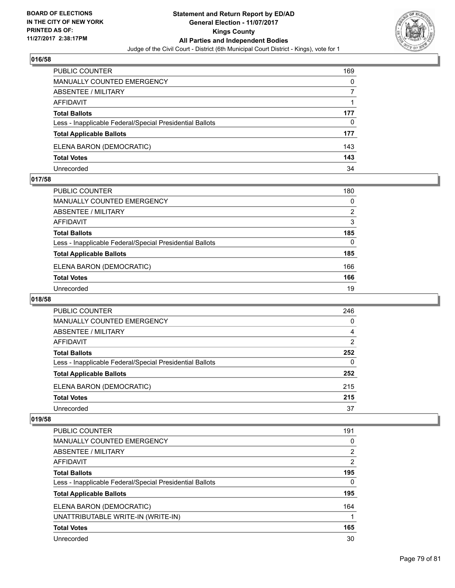

| <b>PUBLIC COUNTER</b>                                    | 169 |
|----------------------------------------------------------|-----|
| MANUALLY COUNTED EMERGENCY                               | 0   |
| ABSENTEE / MILITARY                                      |     |
| AFFIDAVIT                                                |     |
| <b>Total Ballots</b>                                     | 177 |
| Less - Inapplicable Federal/Special Presidential Ballots | 0   |
| <b>Total Applicable Ballots</b>                          | 177 |
| ELENA BARON (DEMOCRATIC)                                 | 143 |
| <b>Total Votes</b>                                       | 143 |
| Unrecorded                                               | 34  |

### **017/58**

| PUBLIC COUNTER                                           | 180      |
|----------------------------------------------------------|----------|
| MANUALLY COUNTED EMERGENCY                               | $\Omega$ |
| ABSENTEE / MILITARY                                      | 2        |
| AFFIDAVIT                                                | 3        |
| <b>Total Ballots</b>                                     | 185      |
| Less - Inapplicable Federal/Special Presidential Ballots | $\Omega$ |
| <b>Total Applicable Ballots</b>                          | 185      |
| ELENA BARON (DEMOCRATIC)                                 | 166      |
| <b>Total Votes</b>                                       | 166      |
| Unrecorded                                               | 19       |
|                                                          |          |

# **018/58**

| <b>PUBLIC COUNTER</b>                                    | 246            |
|----------------------------------------------------------|----------------|
| <b>MANUALLY COUNTED EMERGENCY</b>                        | 0              |
| <b>ABSENTEE / MILITARY</b>                               | 4              |
| AFFIDAVIT                                                | $\overline{2}$ |
| <b>Total Ballots</b>                                     | 252            |
| Less - Inapplicable Federal/Special Presidential Ballots | 0              |
| <b>Total Applicable Ballots</b>                          | 252            |
| ELENA BARON (DEMOCRATIC)                                 | 215            |
| <b>Total Votes</b>                                       | 215            |
| Unrecorded                                               | 37             |

| <b>PUBLIC COUNTER</b>                                    | 191            |
|----------------------------------------------------------|----------------|
| <b>MANUALLY COUNTED EMERGENCY</b>                        | 0              |
| ABSENTEE / MILITARY                                      | $\overline{2}$ |
| AFFIDAVIT                                                | 2              |
| <b>Total Ballots</b>                                     | 195            |
| Less - Inapplicable Federal/Special Presidential Ballots | 0              |
| <b>Total Applicable Ballots</b>                          | 195            |
| ELENA BARON (DEMOCRATIC)                                 | 164            |
| UNATTRIBUTABLE WRITE-IN (WRITE-IN)                       |                |
| <b>Total Votes</b>                                       | 165            |
| Unrecorded                                               | 30             |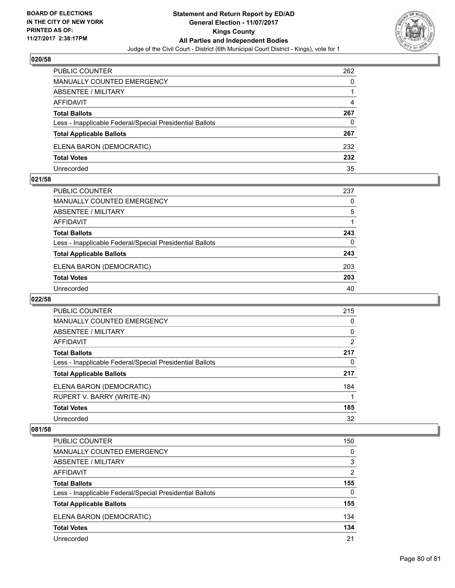

| <b>PUBLIC COUNTER</b>                                    | 262 |
|----------------------------------------------------------|-----|
| <b>MANUALLY COUNTED EMERGENCY</b>                        | 0   |
| ABSENTEE / MILITARY                                      |     |
| AFFIDAVIT                                                | 4   |
| <b>Total Ballots</b>                                     | 267 |
| Less - Inapplicable Federal/Special Presidential Ballots | 0   |
| <b>Total Applicable Ballots</b>                          | 267 |
| ELENA BARON (DEMOCRATIC)                                 | 232 |
| <b>Total Votes</b>                                       | 232 |
| Unrecorded                                               | 35  |

### **021/58**

| PUBLIC COUNTER                                           | 237      |
|----------------------------------------------------------|----------|
| <b>MANUALLY COUNTED EMERGENCY</b>                        | 0        |
| ABSENTEE / MILITARY                                      | 5        |
| AFFIDAVIT                                                |          |
| <b>Total Ballots</b>                                     | 243      |
| Less - Inapplicable Federal/Special Presidential Ballots | $\Omega$ |
| <b>Total Applicable Ballots</b>                          | 243      |
| ELENA BARON (DEMOCRATIC)                                 | 203      |
| <b>Total Votes</b>                                       | 203      |
| Unrecorded                                               | 40       |

# **022/58**

| <b>PUBLIC COUNTER</b>                                    | 215      |
|----------------------------------------------------------|----------|
| <b>MANUALLY COUNTED EMERGENCY</b>                        | 0        |
| ABSENTEE / MILITARY                                      | $\Omega$ |
| AFFIDAVIT                                                | 2        |
| <b>Total Ballots</b>                                     | 217      |
| Less - Inapplicable Federal/Special Presidential Ballots | 0        |
| <b>Total Applicable Ballots</b>                          | 217      |
| ELENA BARON (DEMOCRATIC)                                 | 184      |
| RUPERT V. BARRY (WRITE-IN)                               |          |
| <b>Total Votes</b>                                       | 185      |
| Unrecorded                                               | 32       |

| <b>PUBLIC COUNTER</b>                                    | 150 |
|----------------------------------------------------------|-----|
| <b>MANUALLY COUNTED EMERGENCY</b>                        | 0   |
| <b>ABSENTEE / MILITARY</b>                               | 3   |
| AFFIDAVIT                                                | 2   |
| <b>Total Ballots</b>                                     | 155 |
| Less - Inapplicable Federal/Special Presidential Ballots | 0   |
| <b>Total Applicable Ballots</b>                          | 155 |
| ELENA BARON (DEMOCRATIC)                                 | 134 |
| <b>Total Votes</b>                                       | 134 |
| Unrecorded                                               | 21  |